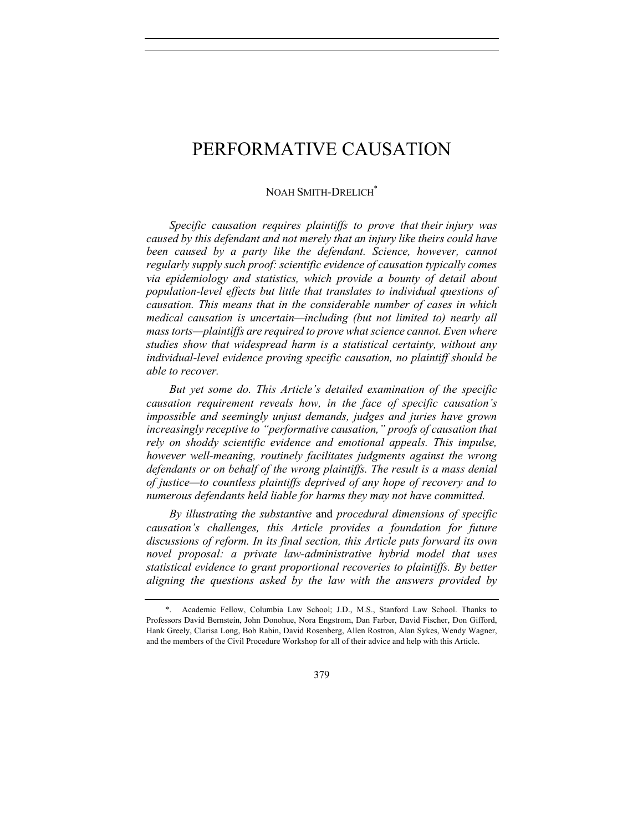# NOAH SMITH-DRELICH<sup>\*</sup>

*Specific causation requires plaintiffs to prove that their injury was caused by this defendant and not merely that an injury like theirs could have been caused by a party like the defendant. Science, however, cannot regularly supply such proof: scientific evidence of causation typically comes via epidemiology and statistics, which provide a bounty of detail about population-level effects but little that translates to individual questions of causation. This means that in the considerable number of cases in which medical causation is uncertain—including (but not limited to) nearly all mass torts—plaintiffs are required to prove what science cannot. Even where studies show that widespread harm is a statistical certainty, without any individual-level evidence proving specific causation, no plaintiff should be able to recover.* 

*But yet some do. This Article's detailed examination of the specific causation requirement reveals how, in the face of specific causation's impossible and seemingly unjust demands, judges and juries have grown increasingly receptive to "performative causation," proofs of causation that rely on shoddy scientific evidence and emotional appeals. This impulse, however well-meaning, routinely facilitates judgments against the wrong defendants or on behalf of the wrong plaintiffs. The result is a mass denial of justice—to countless plaintiffs deprived of any hope of recovery and to numerous defendants held liable for harms they may not have committed.*

*By illustrating the substantive* and *procedural dimensions of specific causation's challenges, this Article provides a foundation for future discussions of reform. In its final section, this Article puts forward its own novel proposal: a private law-administrative hybrid model that uses statistical evidence to grant proportional recoveries to plaintiffs. By better aligning the questions asked by the law with the answers provided by* 

<sup>\*.</sup> Academic Fellow, Columbia Law School; J.D., M.S., Stanford Law School. Thanks to Professors David Bernstein, John Donohue, Nora Engstrom, Dan Farber, David Fischer, Don Gifford, Hank Greely, Clarisa Long, Bob Rabin, David Rosenberg, Allen Rostron, Alan Sykes, Wendy Wagner, and the members of the Civil Procedure Workshop for all of their advice and help with this Article.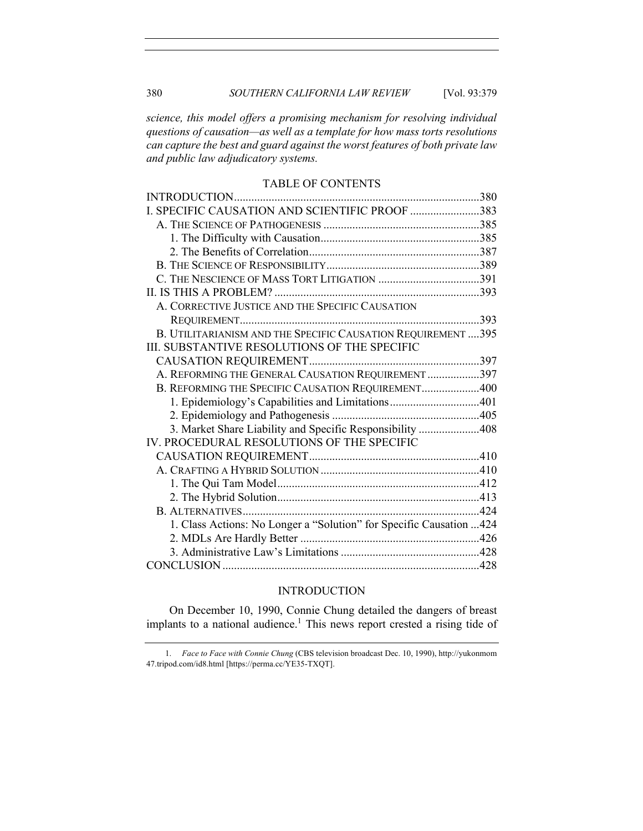*science, this model offers a promising mechanism for resolving individual questions of causation—as well as a template for how mass torts resolutions can capture the best and guard against the worst features of both private law and public law adjudicatory systems.*

## TABLE OF CONTENTS

| INTRODUCTION                                                         |  |
|----------------------------------------------------------------------|--|
| I. SPECIFIC CAUSATION AND SCIENTIFIC PROOF 383                       |  |
|                                                                      |  |
|                                                                      |  |
|                                                                      |  |
|                                                                      |  |
|                                                                      |  |
|                                                                      |  |
| A. CORRECTIVE JUSTICE AND THE SPECIFIC CAUSATION                     |  |
|                                                                      |  |
| B. UTILITARIANISM AND THE SPECIFIC CAUSATION REQUIREMENT  395        |  |
| III. SUBSTANTIVE RESOLUTIONS OF THE SPECIFIC                         |  |
|                                                                      |  |
| A. REFORMING THE GENERAL CAUSATION REQUIREMENT 397                   |  |
| B. REFORMING THE SPECIFIC CAUSATION REQUIREMENT400                   |  |
| 1. Epidemiology's Capabilities and Limitations401                    |  |
|                                                                      |  |
| 3. Market Share Liability and Specific Responsibility 408            |  |
| IV. PROCEDURAL RESOLUTIONS OF THE SPECIFIC                           |  |
|                                                                      |  |
|                                                                      |  |
|                                                                      |  |
|                                                                      |  |
|                                                                      |  |
| 1. Class Actions: No Longer a "Solution" for Specific Causation  424 |  |
|                                                                      |  |
|                                                                      |  |
|                                                                      |  |

# INTRODUCTION

On December 10, 1990, Connie Chung detailed the dangers of breast implants to a national audience.<sup>1</sup> This news report crested a rising tide of

<sup>1.</sup> *Face to Face with Connie Chung* (CBS television broadcast Dec. 10, 1990), http://yukonmom 47.tripod.com/id8.html [https://perma.cc/YE35-TXQT].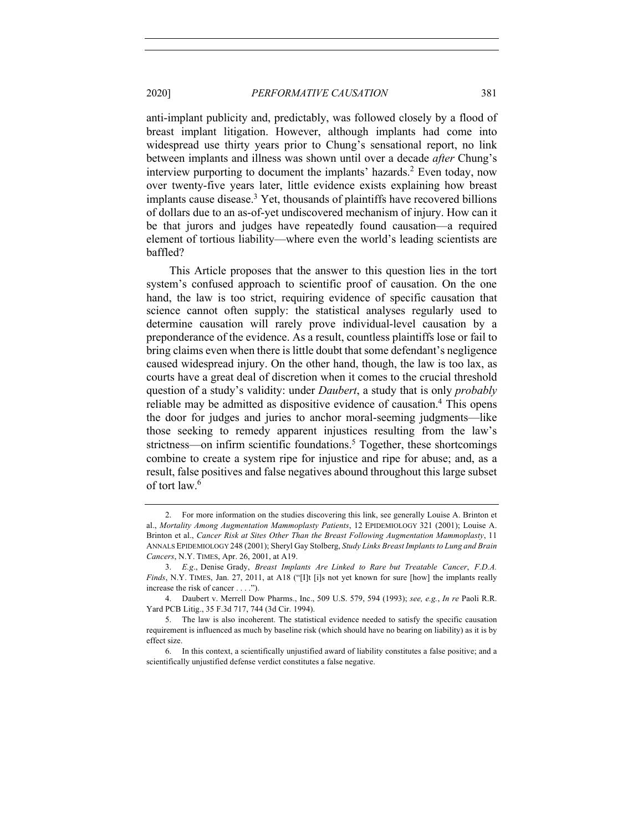anti-implant publicity and, predictably, was followed closely by a flood of breast implant litigation. However, although implants had come into widespread use thirty years prior to Chung's sensational report, no link between implants and illness was shown until over a decade *after* Chung's interview purporting to document the implants' hazards.<sup>2</sup> Even today, now over twenty-five years later, little evidence exists explaining how breast implants cause disease. <sup>3</sup> Yet, thousands of plaintiffs have recovered billions of dollars due to an as-of-yet undiscovered mechanism of injury. How can it be that jurors and judges have repeatedly found causation—a required element of tortious liability—where even the world's leading scientists are baffled?

This Article proposes that the answer to this question lies in the tort system's confused approach to scientific proof of causation. On the one hand, the law is too strict, requiring evidence of specific causation that science cannot often supply: the statistical analyses regularly used to determine causation will rarely prove individual-level causation by a preponderance of the evidence. As a result, countless plaintiffs lose or fail to bring claims even when there is little doubt that some defendant's negligence caused widespread injury. On the other hand, though, the law is too lax, as courts have a great deal of discretion when it comes to the crucial threshold question of a study's validity: under *Daubert*, a study that is only *probably* reliable may be admitted as dispositive evidence of causation. <sup>4</sup> This opens the door for judges and juries to anchor moral-seeming judgments—like those seeking to remedy apparent injustices resulting from the law's strictness—on infirm scientific foundations.<sup>5</sup> Together, these shortcomings combine to create a system ripe for injustice and ripe for abuse; and, as a result, false positives and false negatives abound throughout this large subset of tort law.6

<sup>2.</sup> For more information on the studies discovering this link, see generally Louise A. Brinton et al., *Mortality Among Augmentation Mammoplasty Patients*, 12 EPIDEMIOLOGY 321 (2001); Louise A. Brinton et al., *Cancer Risk at Sites Other Than the Breast Following Augmentation Mammoplasty*, 11 ANNALS EPIDEMIOLOGY 248 (2001); Sheryl Gay Stolberg, *Study Links Breast Implants to Lung and Brain Cancers*, N.Y. TIMES, Apr. 26, 2001, at A19.

<sup>3.</sup> *E.g*., Denise Grady, *Breast Implants Are Linked to Rare but Treatable Cancer*, *F.D.A. Finds*, N.Y. TIMES, Jan. 27, 2011, at A18 ("[I]t [i]s not yet known for sure [how] the implants really increase the risk of cancer . . . .").

<sup>4.</sup> Daubert v. Merrell Dow Pharms., Inc., 509 U.S. 579, 594 (1993); *see, e.g.*, *In re* Paoli R.R. Yard PCB Litig., 35 F.3d 717, 744 (3d Cir. 1994).

<sup>5.</sup> The law is also incoherent. The statistical evidence needed to satisfy the specific causation requirement is influenced as much by baseline risk (which should have no bearing on liability) as it is by effect size.

<sup>6.</sup> In this context, a scientifically unjustified award of liability constitutes a false positive; and a scientifically unjustified defense verdict constitutes a false negative.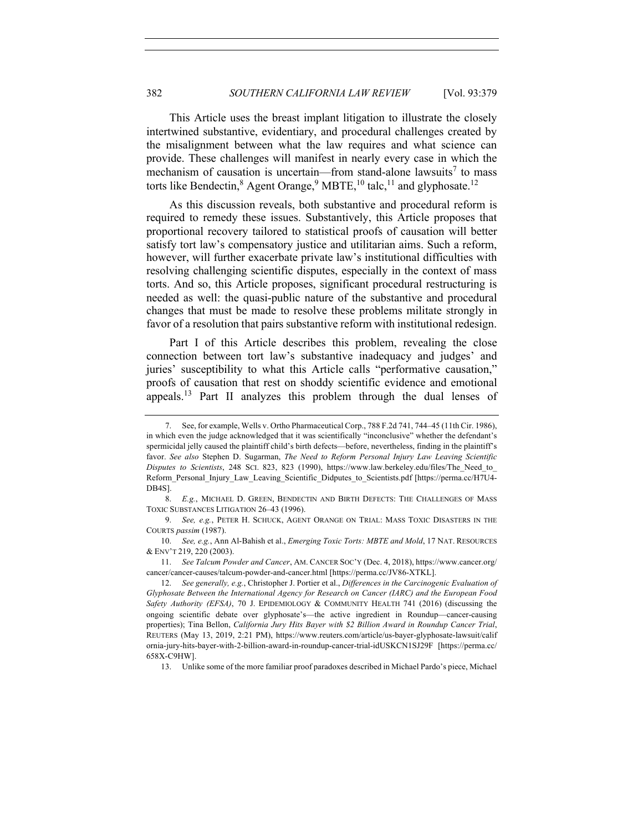This Article uses the breast implant litigation to illustrate the closely intertwined substantive, evidentiary, and procedural challenges created by the misalignment between what the law requires and what science can provide. These challenges will manifest in nearly every case in which the mechanism of causation is uncertain—from stand-alone lawsuits<sup>7</sup> to mass torts like Bendectin,<sup>8</sup> Agent Orange,<sup>9</sup> MBTE,<sup>10</sup> talc,<sup>11</sup> and glyphosate.<sup>12</sup>

As this discussion reveals, both substantive and procedural reform is required to remedy these issues. Substantively, this Article proposes that proportional recovery tailored to statistical proofs of causation will better satisfy tort law's compensatory justice and utilitarian aims. Such a reform, however, will further exacerbate private law's institutional difficulties with resolving challenging scientific disputes, especially in the context of mass torts. And so, this Article proposes, significant procedural restructuring is needed as well: the quasi-public nature of the substantive and procedural changes that must be made to resolve these problems militate strongly in favor of a resolution that pairs substantive reform with institutional redesign.

Part I of this Article describes this problem, revealing the close connection between tort law's substantive inadequacy and judges' and juries' susceptibility to what this Article calls "performative causation," proofs of causation that rest on shoddy scientific evidence and emotional appeals.<sup>13</sup> Part II analyzes this problem through the dual lenses of

9. *See, e.g.*, PETER H. SCHUCK, AGENT ORANGE ON TRIAL: MASS TOXIC DISASTERS IN THE COURTS *passim* (1987).

10. *See, e.g.*, Ann Al-Bahish et al., *Emerging Toxic Torts: MBTE and Mold*, 17 NAT. RESOURCES & ENV'T 219, 220 (2003).

11. *See Talcum Powder and Cancer*, AM. CANCER SOC'Y (Dec. 4, 2018), https://www.cancer.org/ cancer/cancer-causes/talcum-powder-and-cancer.html [https://perma.cc/JV86-XTKL].

13. Unlike some of the more familiar proof paradoxes described in Michael Pardo's piece, Michael

<sup>7.</sup> See, for example, Wells v. Ortho Pharmaceutical Corp., 788 F.2d 741, 744–45 (11th Cir. 1986), in which even the judge acknowledged that it was scientifically "inconclusive" whether the defendant's spermicidal jelly caused the plaintiff child's birth defects—before, nevertheless, finding in the plaintiff's favor. *See also* Stephen D. Sugarman, *The Need to Reform Personal Injury Law Leaving Scientific Disputes to Scientists*, 248 SCI. 823, 823 (1990), https://www.law.berkeley.edu/files/The\_Need\_to\_ Reform\_Personal\_Injury\_Law\_Leaving\_Scientific\_Didputes\_to\_Scientists.pdf [https://perma.cc/H7U4- DB4S].

<sup>8.</sup> *E.g.*, MICHAEL D. GREEN, BENDECTIN AND BIRTH DEFECTS: THE CHALLENGES OF MASS TOXIC SUBSTANCES LITIGATION 26–43 (1996).

<sup>12.</sup> *See generally, e.g.*, Christopher J. Portier et al., *Differences in the Carcinogenic Evaluation of Glyphosate Between the International Agency for Research on Cancer (IARC) and the European Food Safety Authority (EFSA)*, 70 J. EPIDEMIOLOGY & COMMUNITY HEALTH 741 (2016) (discussing the ongoing scientific debate over glyphosate's—the active ingredient in Roundup—cancer-causing properties); Tina Bellon, *California Jury Hits Bayer with \$2 Billion Award in Roundup Cancer Trial*, REUTERS (May 13, 2019, 2:21 PM), https://www.reuters.com/article/us-bayer-glyphosate-lawsuit/calif ornia-jury-hits-bayer-with-2-billion-award-in-roundup-cancer-trial-idUSKCN1SJ29F [https://perma.cc/ 658X-C9HW].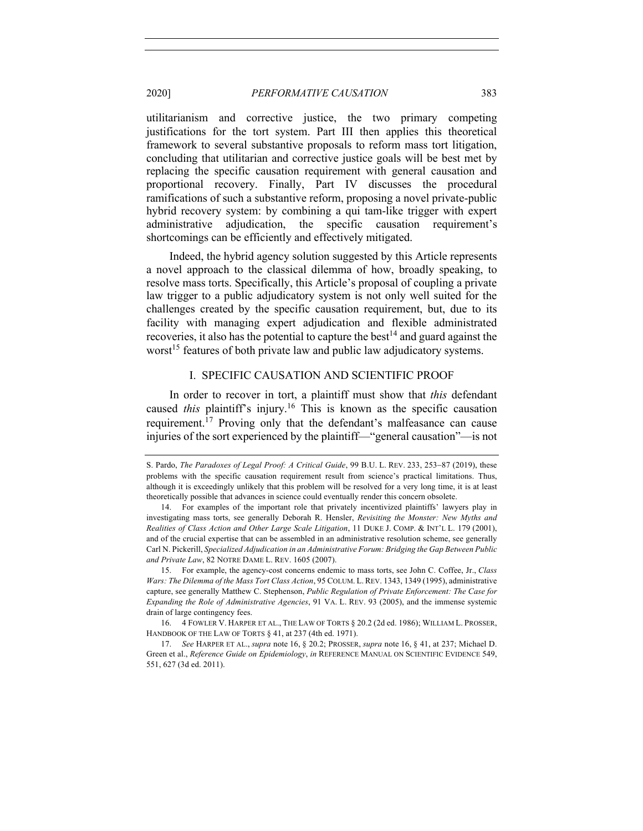utilitarianism and corrective justice, the two primary competing justifications for the tort system. Part III then applies this theoretical framework to several substantive proposals to reform mass tort litigation, concluding that utilitarian and corrective justice goals will be best met by replacing the specific causation requirement with general causation and proportional recovery. Finally, Part IV discusses the procedural ramifications of such a substantive reform, proposing a novel private-public hybrid recovery system: by combining a qui tam-like trigger with expert administrative adjudication, the specific causation requirement's shortcomings can be efficiently and effectively mitigated.

Indeed, the hybrid agency solution suggested by this Article represents a novel approach to the classical dilemma of how, broadly speaking, to resolve mass torts. Specifically, this Article's proposal of coupling a private law trigger to a public adjudicatory system is not only well suited for the challenges created by the specific causation requirement, but, due to its facility with managing expert adjudication and flexible administrated recoveries, it also has the potential to capture the best<sup>14</sup> and guard against the worst<sup>15</sup> features of both private law and public law adjudicatory systems.

# I. SPECIFIC CAUSATION AND SCIENTIFIC PROOF

In order to recover in tort, a plaintiff must show that *this* defendant caused *this* plaintiff's injury. <sup>16</sup> This is known as the specific causation requirement.<sup>17</sup> Proving only that the defendant's malfeasance can cause injuries of the sort experienced by the plaintiff—"general causation"—is not

S. Pardo, *The Paradoxes of Legal Proof: A Critical Guide*, 99 B.U. L. REV. 233, 253-87 (2019), these problems with the specific causation requirement result from science's practical limitations. Thus, although it is exceedingly unlikely that this problem will be resolved for a very long time, it is at least theoretically possible that advances in science could eventually render this concern obsolete.

<sup>14.</sup> For examples of the important role that privately incentivized plaintiffs' lawyers play in investigating mass torts, see generally Deborah R. Hensler, *Revisiting the Monster: New Myths and Realities of Class Action and Other Large Scale Litigation*, 11 DUKE J. COMP. & INT'L L. 179 (2001), and of the crucial expertise that can be assembled in an administrative resolution scheme, see generally Carl N. Pickerill, *Specialized Adjudication in an Administrative Forum: Bridging the Gap Between Public and Private Law*, 82 NOTRE DAME L. REV. 1605 (2007).

<sup>15.</sup> For example, the agency-cost concerns endemic to mass torts, see John C. Coffee, Jr., *Class Wars: The Dilemma of the Mass Tort Class Action*, 95 COLUM. L. REV. 1343, 1349 (1995), administrative capture, see generally Matthew C. Stephenson, *Public Regulation of Private Enforcement: The Case for Expanding the Role of Administrative Agencies*, 91 VA. L. REV. 93 (2005), and the immense systemic drain of large contingency fees.

<sup>16.</sup> 4 FOWLER V. HARPER ET AL., THE LAW OF TORTS § 20.2 (2d ed. 1986); WILLIAM L. PROSSER, HANDBOOK OF THE LAW OF TORTS § 41, at 237 (4th ed. 1971).

<sup>17.</sup> *See* HARPER ET AL., *supra* note 16, § 20.2; PROSSER, *supra* note 16, § 41, at 237; Michael D. Green et al., *Reference Guide on Epidemiology*, *in* REFERENCE MANUAL ON SCIENTIFIC EVIDENCE 549, 551, 627 (3d ed. 2011).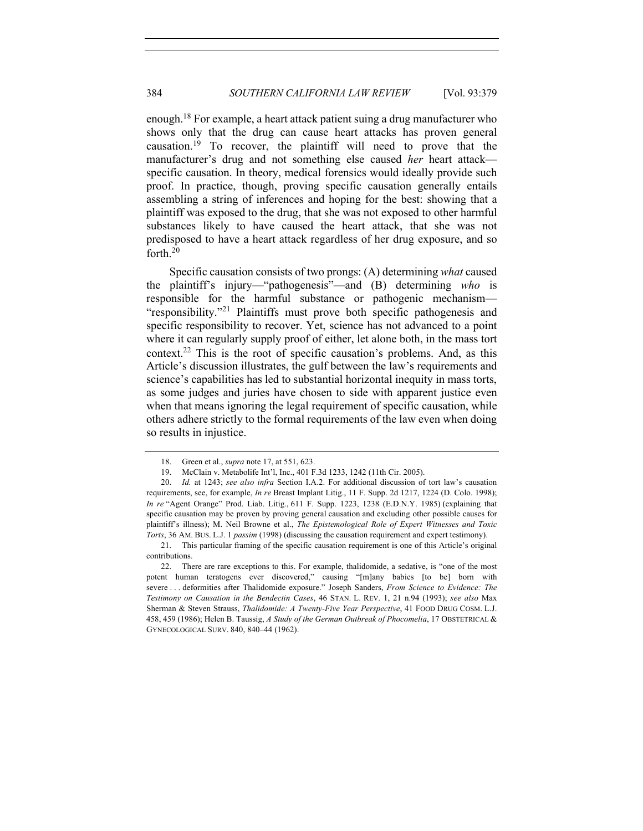enough.<sup>18</sup> For example, a heart attack patient suing a drug manufacturer who shows only that the drug can cause heart attacks has proven general causation.<sup>19</sup> To recover, the plaintiff will need to prove that the manufacturer's drug and not something else caused *her* heart attack specific causation. In theory, medical forensics would ideally provide such proof. In practice, though, proving specific causation generally entails assembling a string of inferences and hoping for the best: showing that a plaintiff was exposed to the drug, that she was not exposed to other harmful substances likely to have caused the heart attack, that she was not predisposed to have a heart attack regardless of her drug exposure, and so forth.<sup>20</sup>

Specific causation consists of two prongs: (A) determining *what* caused the plaintiff's injury—"pathogenesis"—and (B) determining *who* is responsible for the harmful substance or pathogenic mechanism— "responsibility."<sup>21</sup> Plaintiffs must prove both specific pathogenesis and specific responsibility to recover. Yet, science has not advanced to a point where it can regularly supply proof of either, let alone both, in the mass tort context.<sup>22</sup> This is the root of specific causation's problems. And, as this Article's discussion illustrates, the gulf between the law's requirements and science's capabilities has led to substantial horizontal inequity in mass torts, as some judges and juries have chosen to side with apparent justice even when that means ignoring the legal requirement of specific causation, while others adhere strictly to the formal requirements of the law even when doing so results in injustice.

<sup>18.</sup> Green et al., *supra* note 17, at 551, 623.

<sup>19.</sup> McClain v. Metabolife Int'l, Inc., 401 F.3d 1233, 1242 (11th Cir. 2005).

<sup>20.</sup> *Id.* at 1243; *see also infra* Section I.A.2. For additional discussion of tort law's causation requirements, see, for example, *In re* Breast Implant Litig., 11 F. Supp. 2d 1217, 1224 (D. Colo. 1998); *In re* "Agent Orange" Prod. Liab. Litig., 611 F. Supp. 1223, 1238 (E.D.N.Y. 1985) (explaining that specific causation may be proven by proving general causation and excluding other possible causes for plaintiff's illness); M. Neil Browne et al., *The Epistemological Role of Expert Witnesses and Toxic Torts*, 36 AM. BUS. L.J. 1 *passim* (1998) (discussing the causation requirement and expert testimony).

<sup>21.</sup> This particular framing of the specific causation requirement is one of this Article's original contributions.

<sup>22.</sup> There are rare exceptions to this. For example, thalidomide, a sedative, is "one of the most potent human teratogens ever discovered," causing "[m]any babies [to be] born with severe . . . deformities after Thalidomide exposure." Joseph Sanders, *From Science to Evidence: The Testimony on Causation in the Bendectin Cases*, 46 STAN. L. REV. 1, 21 n.94 (1993); *see also* Max Sherman & Steven Strauss, *Thalidomide: A Twenty-Five Year Perspective*, 41 FOOD DRUG COSM. L.J. 458, 459 (1986); Helen B. Taussig, *A Study of the German Outbreak of Phocomelia*, 17 OBSTETRICAL & GYNECOLOGICAL SURV. 840, 840–44 (1962).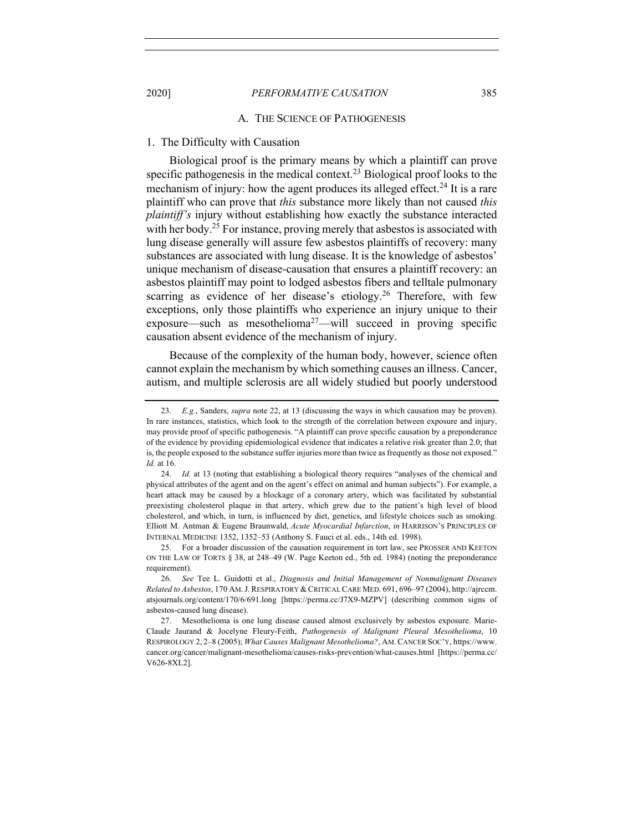#### A. THE SCIENCE OF PATHOGENESIS

# 1. The Difficulty with Causation

Biological proof is the primary means by which a plaintiff can prove specific pathogenesis in the medical context.<sup>23</sup> Biological proof looks to the mechanism of injury: how the agent produces its alleged effect.<sup>24</sup> It is a rare plaintiff who can prove that *this* substance more likely than not caused *this plaintiff's* injury without establishing how exactly the substance interacted with her body.<sup>25</sup> For instance, proving merely that asbestos is associated with lung disease generally will assure few asbestos plaintiffs of recovery: many substances are associated with lung disease. It is the knowledge of asbestos' unique mechanism of disease-causation that ensures a plaintiff recovery: an asbestos plaintiff may point to lodged asbestos fibers and telltale pulmonary scarring as evidence of her disease's etiology.<sup>26</sup> Therefore, with few exceptions, only those plaintiffs who experience an injury unique to their exposure—such as mesothelioma<sup>27</sup>—will succeed in proving specific causation absent evidence of the mechanism of injury.

Because of the complexity of the human body, however, science often cannot explain the mechanism by which something causes an illness. Cancer, autism, and multiple sclerosis are all widely studied but poorly understood

<sup>23.</sup> *E.g.*, Sanders, *supra* note 22, at 13 (discussing the ways in which causation may be proven). In rare instances, statistics, which look to the strength of the correlation between exposure and injury, may provide proof of specific pathogenesis. "A plaintiff can prove specific causation by a preponderance of the evidence by providing epidemiological evidence that indicates a relative risk greater than 2.0; that is, the people exposed to the substance suffer injuries more than twice as frequently as those not exposed." *Id.* at 16.

<sup>24.</sup> *Id.* at 13 (noting that establishing a biological theory requires "analyses of the chemical and physical attributes of the agent and on the agent's effect on animal and human subjects"). For example, a heart attack may be caused by a blockage of a coronary artery, which was facilitated by substantial preexisting cholesterol plaque in that artery, which grew due to the patient's high level of blood cholesterol, and which, in turn, is influenced by diet, genetics, and lifestyle choices such as smoking. Elliott M. Antman & Eugene Braunwald, *Acute Myocardial Infarction*, *in* HARRISON'S PRINCIPLES OF INTERNAL MEDICINE 1352, 1352–53 (Anthony S. Fauci et al. eds., 14th ed. 1998).

<sup>25.</sup> For a broader discussion of the causation requirement in tort law, see PROSSER AND KEETON ON THE LAW OF TORTS § 38, at 248–49 (W. Page Keeton ed., 5th ed. 1984) (noting the preponderance requirement).

<sup>26.</sup> *See* Tee L. Guidotti et al., *Diagnosis and Initial Management of Nonmalignant Diseases Related to Asbestos*, 170 AM.J.RESPIRATORY & CRITICAL CARE MED. 691, 696–97 (2004), http://ajrccm. atsjournals.org/content/170/6/691.long [https://perma.cc/J7X9-MZPV] (describing common signs of asbestos-caused lung disease).

<sup>27.</sup> Mesothelioma is one lung disease caused almost exclusively by asbestos exposure. Marie-Claude Jaurand & Jocelyne Fleury-Feith, *Pathogenesis of Malignant Pleural Mesothelioma*, 10 RESPIROLOGY 2, 2–8 (2005); *What Causes Malignant Mesothelioma?*, AM. CANCER SOC'Y, https://www. cancer.org/cancer/malignant-mesothelioma/causes-risks-prevention/what-causes.html [https://perma.cc/ V626-8XL2].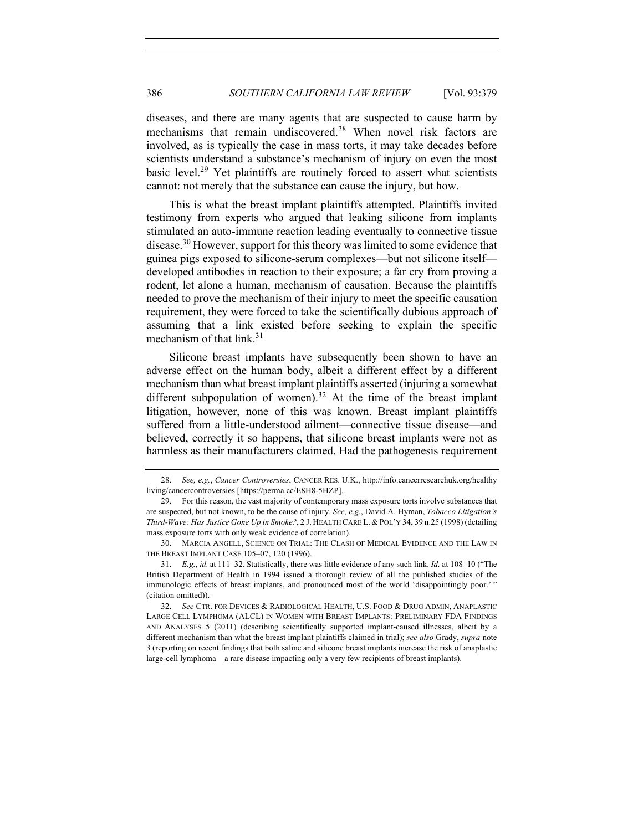diseases, and there are many agents that are suspected to cause harm by mechanisms that remain undiscovered.28 When novel risk factors are involved, as is typically the case in mass torts, it may take decades before scientists understand a substance's mechanism of injury on even the most basic level.29 Yet plaintiffs are routinely forced to assert what scientists cannot: not merely that the substance can cause the injury, but how.

This is what the breast implant plaintiffs attempted. Plaintiffs invited testimony from experts who argued that leaking silicone from implants stimulated an auto-immune reaction leading eventually to connective tissue disease.<sup>30</sup> However, support for this theory was limited to some evidence that guinea pigs exposed to silicone-serum complexes—but not silicone itself developed antibodies in reaction to their exposure; a far cry from proving a rodent, let alone a human, mechanism of causation. Because the plaintiffs needed to prove the mechanism of their injury to meet the specific causation requirement, they were forced to take the scientifically dubious approach of assuming that a link existed before seeking to explain the specific mechanism of that  $link.^{31}$ 

Silicone breast implants have subsequently been shown to have an adverse effect on the human body, albeit a different effect by a different mechanism than what breast implant plaintiffs asserted (injuring a somewhat different subpopulation of women).<sup>32</sup> At the time of the breast implant litigation, however, none of this was known. Breast implant plaintiffs suffered from a little-understood ailment—connective tissue disease—and believed, correctly it so happens, that silicone breast implants were not as harmless as their manufacturers claimed. Had the pathogenesis requirement

<sup>28.</sup> *See, e.g.*, *Cancer Controversies*, CANCER RES. U.K., http://info.cancerresearchuk.org/healthy living/cancercontroversies [https://perma.cc/E8H8-5HZP].

<sup>29.</sup> For this reason, the vast majority of contemporary mass exposure torts involve substances that are suspected, but not known, to be the cause of injury. *See, e.g.*, David A. Hyman, *Tobacco Litigation's Third-Wave: Has Justice Gone Up in Smoke?*, 2 J. HEALTH CARE L. & POL'Y 34, 39 n.25 (1998) (detailing mass exposure torts with only weak evidence of correlation).

<sup>30.</sup> MARCIA ANGELL, SCIENCE ON TRIAL: THE CLASH OF MEDICAL EVIDENCE AND THE LAW IN THE BREAST IMPLANT CASE 105–07, 120 (1996).

<sup>31.</sup> *E.g.*, *id.* at 111–32. Statistically, there was little evidence of any such link. *Id.* at 108–10 ("The British Department of Health in 1994 issued a thorough review of all the published studies of the immunologic effects of breast implants, and pronounced most of the world 'disappointingly poor.' " (citation omitted)).

<sup>32.</sup> *See* CTR. FOR DEVICES & RADIOLOGICAL HEALTH, U.S. FOOD & DRUG ADMIN, ANAPLASTIC LARGE CELL LYMPHOMA (ALCL) IN WOMEN WITH BREAST IMPLANTS: PRELIMINARY FDA FINDINGS AND ANALYSES 5 (2011) (describing scientifically supported implant-caused illnesses, albeit by a different mechanism than what the breast implant plaintiffs claimed in trial); *see also* Grady, *supra* note 3 (reporting on recent findings that both saline and silicone breast implants increase the risk of anaplastic large-cell lymphoma—a rare disease impacting only a very few recipients of breast implants).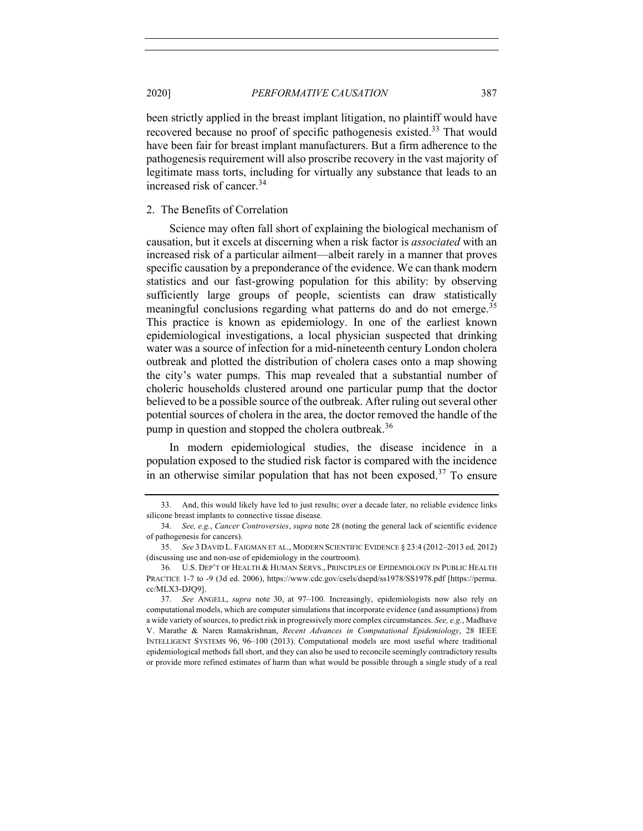been strictly applied in the breast implant litigation, no plaintiff would have recovered because no proof of specific pathogenesis existed.<sup>33</sup> That would have been fair for breast implant manufacturers. But a firm adherence to the pathogenesis requirement will also proscribe recovery in the vast majority of legitimate mass torts, including for virtually any substance that leads to an increased risk of cancer.34

# 2. The Benefits of Correlation

Science may often fall short of explaining the biological mechanism of causation, but it excels at discerning when a risk factor is *associated* with an increased risk of a particular ailment—albeit rarely in a manner that proves specific causation by a preponderance of the evidence. We can thank modern statistics and our fast-growing population for this ability: by observing sufficiently large groups of people, scientists can draw statistically meaningful conclusions regarding what patterns do and do not emerge.<sup>35</sup> This practice is known as epidemiology. In one of the earliest known epidemiological investigations, a local physician suspected that drinking water was a source of infection for a mid-nineteenth century London cholera outbreak and plotted the distribution of cholera cases onto a map showing the city's water pumps. This map revealed that a substantial number of choleric households clustered around one particular pump that the doctor believed to be a possible source of the outbreak. After ruling out several other potential sources of cholera in the area, the doctor removed the handle of the pump in question and stopped the cholera outbreak.<sup>36</sup>

In modern epidemiological studies, the disease incidence in a population exposed to the studied risk factor is compared with the incidence in an otherwise similar population that has not been exposed. <sup>37</sup> To ensure

<sup>33.</sup> And, this would likely have led to just results; over a decade later, no reliable evidence links silicone breast implants to connective tissue disease.

<sup>34.</sup> *See, e.g.*, *Cancer Controversies*, *supra* note 28 (noting the general lack of scientific evidence of pathogenesis for cancers).

<sup>35.</sup> *See* 3 DAVID L. FAIGMAN ET AL., MODERN SCIENTIFIC EVIDENCE § 23:4 (2012–2013 ed. 2012) (discussing use and non-use of epidemiology in the courtroom).

<sup>36.</sup> U.S. DEP'T OF HEALTH & HUMAN SERVS., PRINCIPLES OF EPIDEMIOLOGY IN PUBLIC HEALTH PRACTICE 1-7 to -9 (3d ed. 2006), https://www.cdc.gov/csels/dsepd/ss1978/SS1978.pdf [https://perma. cc/MLX3-DJQ9].

<sup>37.</sup> *See* ANGELL, *supra* note 30, at 97–100. Increasingly, epidemiologists now also rely on computational models, which are computer simulations that incorporate evidence (and assumptions) from a wide variety of sources, to predict risk in progressively more complex circumstances. *See, e.g.*, Madhave V. Marathe & Naren Ramakrishnan, *Recent Advances in Computational Epidemiology*, 28 IEEE INTELLIGENT SYSTEMS 96, 96–100 (2013). Computational models are most useful where traditional epidemiological methods fall short, and they can also be used to reconcile seemingly contradictory results or provide more refined estimates of harm than what would be possible through a single study of a real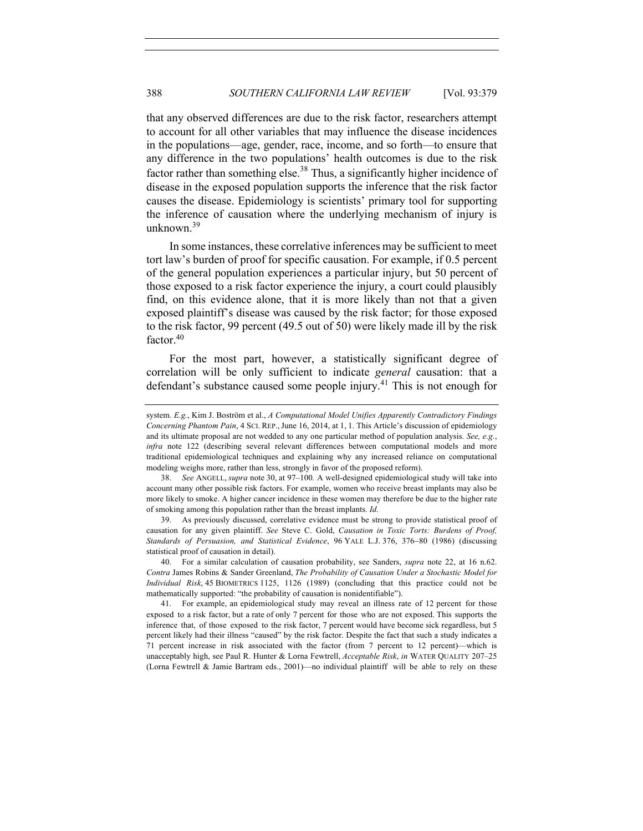that any observed differences are due to the risk factor, researchers attempt to account for all other variables that may influence the disease incidences in the populations—age, gender, race, income, and so forth—to ensure that any difference in the two populations' health outcomes is due to the risk factor rather than something else.<sup>38</sup> Thus, a significantly higher incidence of disease in the exposed population supports the inference that the risk factor causes the disease. Epidemiology is scientists' primary tool for supporting the inference of causation where the underlying mechanism of injury is unknown.39

In some instances, these correlative inferences may be sufficient to meet tort law's burden of proof for specific causation. For example, if 0.5 percent of the general population experiences a particular injury, but 50 percent of those exposed to a risk factor experience the injury, a court could plausibly find, on this evidence alone, that it is more likely than not that a given exposed plaintiff's disease was caused by the risk factor; for those exposed to the risk factor, 99 percent (49.5 out of 50) were likely made ill by the risk factor.<sup>40</sup>

For the most part, however, a statistically significant degree of correlation will be only sufficient to indicate *general* causation: that a defendant's substance caused some people injury.<sup>41</sup> This is not enough for

system. *E.g.*, Kim J. Boström et al., *A Computational Model Unifies Apparently Contradictory Findings Concerning Phantom Pain*, 4 SCI. REP., June 16, 2014, at 1, 1. This Article's discussion of epidemiology and its ultimate proposal are not wedded to any one particular method of population analysis. *See, e.g.*, *infra* note 122 (describing several relevant differences between computational models and more traditional epidemiological techniques and explaining why any increased reliance on computational modeling weighs more, rather than less, strongly in favor of the proposed reform).

<sup>38.</sup> *See* ANGELL, *supra* note 30, at 97–100*.* A well-designed epidemiological study will take into account many other possible risk factors. For example, women who receive breast implants may also be more likely to smoke. A higher cancer incidence in these women may therefore be due to the higher rate of smoking among this population rather than the breast implants. *Id.*

<sup>39.</sup> As previously discussed, correlative evidence must be strong to provide statistical proof of causation for any given plaintiff. *See* Steve C. Gold, *Causation in Toxic Torts: Burdens of Proof, Standards of Persuasion, and Statistical Evidence*, 96 YALE L.J. 376, 376-80 (1986) (discussing statistical proof of causation in detail).

<sup>40.</sup> For a similar calculation of causation probability, see Sanders, *supra* note 22, at 16 n.62. *Contra* James Robins & Sander Greenland, *The Probability of Causation Under a Stochastic Model for Individual Risk*, 45 BIOMETRICS 1125, 1126 (1989) (concluding that this practice could not be mathematically supported: "the probability of causation is nonidentifiable").

<sup>41.</sup> For example, an epidemiological study may reveal an illness rate of 12 percent for those exposed to a risk factor, but a rate of only 7 percent for those who are not exposed. This supports the inference that, of those exposed to the risk factor, 7 percent would have become sick regardless, but 5 percent likely had their illness "caused" by the risk factor. Despite the fact that such a study indicates a 71 percent increase in risk associated with the factor (from 7 percent to 12 percent)—which is unacceptably high, see Paul R. Hunter & Lorna Fewtrell, *Acceptable Risk*, *in* WATER QUALITY 207–25 (Lorna Fewtrell & Jamie Bartram eds., 2001)—no individual plaintiff will be able to rely on these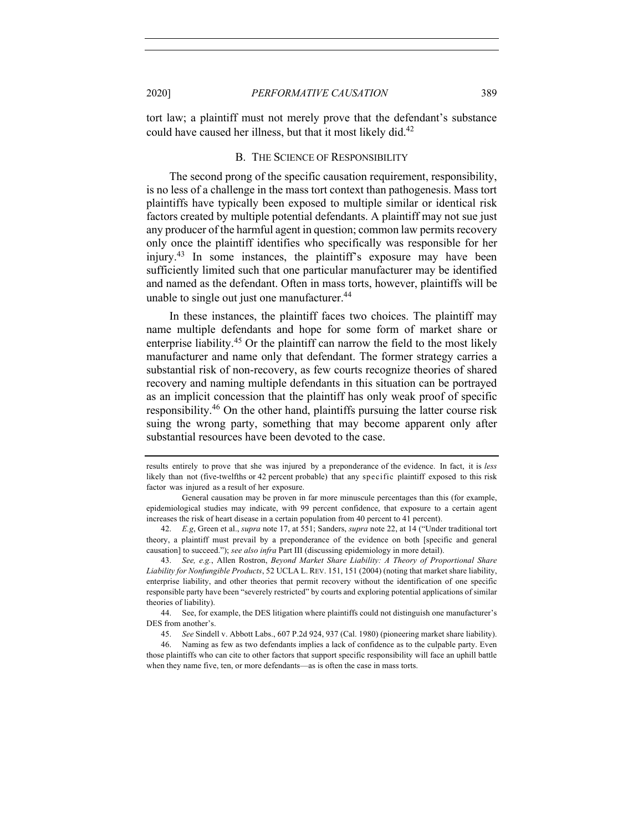tort law; a plaintiff must not merely prove that the defendant's substance could have caused her illness, but that it most likely did.<sup>42</sup>

# B. THE SCIENCE OF RESPONSIBILITY

The second prong of the specific causation requirement, responsibility, is no less of a challenge in the mass tort context than pathogenesis. Mass tort plaintiffs have typically been exposed to multiple similar or identical risk factors created by multiple potential defendants. A plaintiff may not sue just any producer of the harmful agent in question; common law permits recovery only once the plaintiff identifies who specifically was responsible for her injury.<sup>43</sup> In some instances, the plaintiff's exposure may have been sufficiently limited such that one particular manufacturer may be identified and named as the defendant. Often in mass torts, however, plaintiffs will be unable to single out just one manufacturer.<sup>44</sup>

In these instances, the plaintiff faces two choices. The plaintiff may name multiple defendants and hope for some form of market share or enterprise liability.<sup>45</sup> Or the plaintiff can narrow the field to the most likely manufacturer and name only that defendant. The former strategy carries a substantial risk of non-recovery, as few courts recognize theories of shared recovery and naming multiple defendants in this situation can be portrayed as an implicit concession that the plaintiff has only weak proof of specific responsibility.<sup>46</sup> On the other hand, plaintiffs pursuing the latter course risk suing the wrong party, something that may become apparent only after substantial resources have been devoted to the case.

results entirely to prove that she was injured by a preponderance of the evidence. In fact, it is *less* likely than not (five-twelfths or 42 percent probable) that any specific plaintiff exposed to this risk factor was injured as a result of her exposure.

General causation may be proven in far more minuscule percentages than this (for example, epidemiological studies may indicate, with 99 percent confidence, that exposure to a certain agent increases the risk of heart disease in a certain population from 40 percent to 41 percent).

<sup>42.</sup> *E.g*, Green et al., *supra* note 17, at 551; Sanders, *supra* note 22, at 14 ("Under traditional tort theory, a plaintiff must prevail by a preponderance of the evidence on both [specific and general causation] to succeed."); *see also infra* Part III (discussing epidemiology in more detail).

<sup>43.</sup> *See, e.g.*, Allen Rostron, *Beyond Market Share Liability: A Theory of Proportional Share Liability for Nonfungible Products*, 52 UCLA L. REV. 151, 151 (2004) (noting that market share liability, enterprise liability, and other theories that permit recovery without the identification of one specific responsible party have been "severely restricted" by courts and exploring potential applications of similar theories of liability).

<sup>44.</sup> See, for example, the DES litigation where plaintiffs could not distinguish one manufacturer's DES from another's.

<sup>45.</sup> *See* Sindell v. Abbott Labs., 607 P.2d 924, 937 (Cal. 1980) (pioneering market share liability).

<sup>46.</sup> Naming as few as two defendants implies a lack of confidence as to the culpable party. Even those plaintiffs who can cite to other factors that support specific responsibility will face an uphill battle when they name five, ten, or more defendants—as is often the case in mass torts.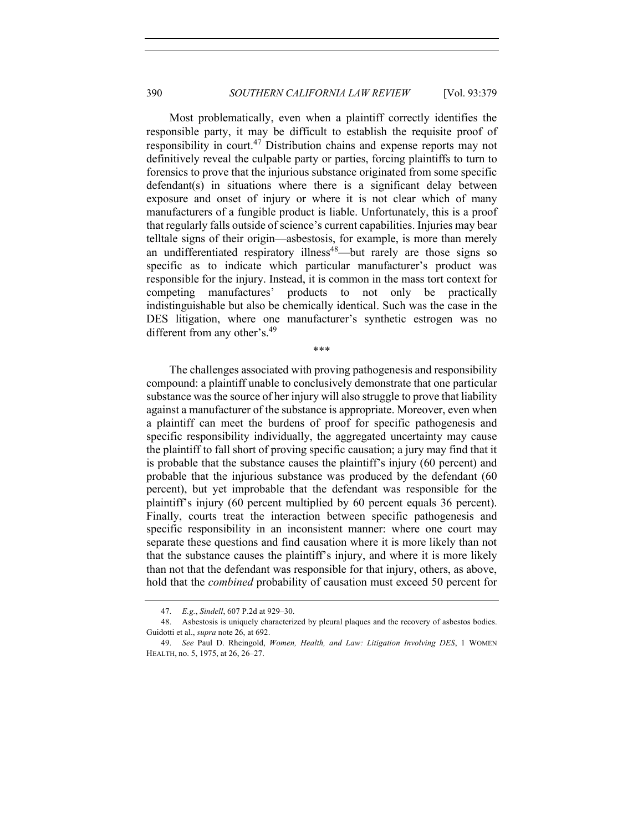Most problematically, even when a plaintiff correctly identifies the responsible party, it may be difficult to establish the requisite proof of responsibility in court.<sup>47</sup> Distribution chains and expense reports may not definitively reveal the culpable party or parties, forcing plaintiffs to turn to forensics to prove that the injurious substance originated from some specific defendant(s) in situations where there is a significant delay between exposure and onset of injury or where it is not clear which of many manufacturers of a fungible product is liable. Unfortunately, this is a proof that regularly falls outside of science's current capabilities. Injuries may bear telltale signs of their origin—asbestosis, for example, is more than merely an undifferentiated respiratory illness<sup>48</sup>—but rarely are those signs so specific as to indicate which particular manufacturer's product was responsible for the injury. Instead, it is common in the mass tort context for competing manufactures' products to not only be practically indistinguishable but also be chemically identical. Such was the case in the DES litigation, where one manufacturer's synthetic estrogen was no different from any other's.<sup>49</sup>

\*\*\*

The challenges associated with proving pathogenesis and responsibility compound: a plaintiff unable to conclusively demonstrate that one particular substance was the source of her injury will also struggle to prove that liability against a manufacturer of the substance is appropriate. Moreover, even when a plaintiff can meet the burdens of proof for specific pathogenesis and specific responsibility individually, the aggregated uncertainty may cause the plaintiff to fall short of proving specific causation; a jury may find that it is probable that the substance causes the plaintiff's injury (60 percent) and probable that the injurious substance was produced by the defendant (60 percent), but yet improbable that the defendant was responsible for the plaintiff's injury (60 percent multiplied by 60 percent equals 36 percent). Finally, courts treat the interaction between specific pathogenesis and specific responsibility in an inconsistent manner: where one court may separate these questions and find causation where it is more likely than not that the substance causes the plaintiff's injury, and where it is more likely than not that the defendant was responsible for that injury, others, as above, hold that the *combined* probability of causation must exceed 50 percent for

<sup>47.</sup> *E.g.*, *Sindell*, 607 P.2d at 929–30.

<sup>48.</sup> Asbestosis is uniquely characterized by pleural plaques and the recovery of asbestos bodies. Guidotti et al., *supra* note 26, at 692.

<sup>49.</sup> *See* Paul D. Rheingold, *Women, Health, and Law: Litigation Involving DES*, 1 WOMEN HEALTH, no. 5, 1975, at 26, 26–27.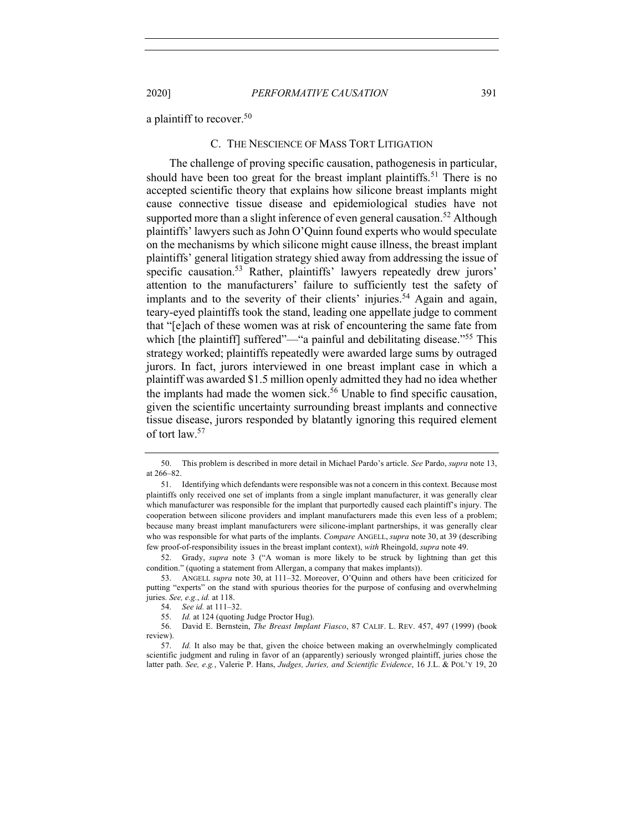a plaintiff to recover.<sup>50</sup>

## C. THE NESCIENCE OF MASS TORT LITIGATION

The challenge of proving specific causation, pathogenesis in particular, should have been too great for the breast implant plaintiffs.<sup>51</sup> There is no accepted scientific theory that explains how silicone breast implants might cause connective tissue disease and epidemiological studies have not supported more than a slight inference of even general causation.<sup>52</sup> Although plaintiffs' lawyers such as John O'Quinn found experts who would speculate on the mechanisms by which silicone might cause illness, the breast implant plaintiffs' general litigation strategy shied away from addressing the issue of specific causation.<sup>53</sup> Rather, plaintiffs' lawyers repeatedly drew jurors' attention to the manufacturers' failure to sufficiently test the safety of implants and to the severity of their clients' injuries.<sup>54</sup> Again and again, teary-eyed plaintiffs took the stand, leading one appellate judge to comment that "[e]ach of these women was at risk of encountering the same fate from which [the plaintiff] suffered"—"a painful and debilitating disease."<sup>55</sup> This strategy worked; plaintiffs repeatedly were awarded large sums by outraged jurors. In fact, jurors interviewed in one breast implant case in which a plaintiff was awarded \$1.5 million openly admitted they had no idea whether the implants had made the women sick.<sup>56</sup> Unable to find specific causation, given the scientific uncertainty surrounding breast implants and connective tissue disease, jurors responded by blatantly ignoring this required element of tort law.57

<sup>50.</sup> This problem is described in more detail in Michael Pardo's article. *See* Pardo, *supra* note 13, at 266–82.

<sup>51.</sup> Identifying which defendants were responsible was not a concern in this context. Because most plaintiffs only received one set of implants from a single implant manufacturer, it was generally clear which manufacturer was responsible for the implant that purportedly caused each plaintiff's injury. The cooperation between silicone providers and implant manufacturers made this even less of a problem; because many breast implant manufacturers were silicone-implant partnerships, it was generally clear who was responsible for what parts of the implants. *Compare* ANGELL, *supra* note 30, at 39 (describing few proof-of-responsibility issues in the breast implant context), *with* Rheingold, *supra* note 49.

<sup>52.</sup> Grady, *supra* note 3 ("A woman is more likely to be struck by lightning than get this condition." (quoting a statement from Allergan, a company that makes implants)).

<sup>53.</sup> ANGELL *supra* note 30, at 111–32. Moreover, O'Quinn and others have been criticized for putting "experts" on the stand with spurious theories for the purpose of confusing and overwhelming juries. *See, e.g.*, *id.* at 118.

<sup>54.</sup> *See id.* at 111–32.

<sup>55.</sup> *Id.* at 124 (quoting Judge Proctor Hug).

<sup>56.</sup> David E. Bernstein, *The Breast Implant Fiasco*, 87 CALIF. L. REV. 457, 497 (1999) (book review).

<sup>57.</sup> *Id.* It also may be that, given the choice between making an overwhelmingly complicated scientific judgment and ruling in favor of an (apparently) seriously wronged plaintiff, juries chose the latter path. *See, e.g.*, Valerie P. Hans, *Judges, Juries, and Scientific Evidence*, 16 J.L. & POL'Y 19, 20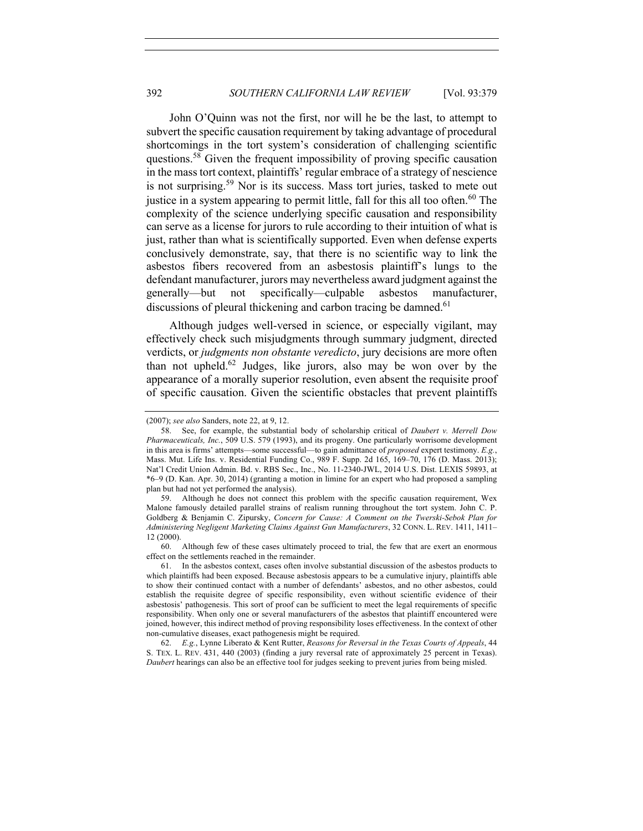John O'Quinn was not the first, nor will he be the last, to attempt to subvert the specific causation requirement by taking advantage of procedural shortcomings in the tort system's consideration of challenging scientific questions.<sup>58</sup> Given the frequent impossibility of proving specific causation in the mass tort context, plaintiffs' regular embrace of a strategy of nescience is not surprising.<sup>59</sup> Nor is its success. Mass tort juries, tasked to mete out justice in a system appearing to permit little, fall for this all too often.<sup>60</sup> The complexity of the science underlying specific causation and responsibility can serve as a license for jurors to rule according to their intuition of what is just, rather than what is scientifically supported. Even when defense experts conclusively demonstrate, say, that there is no scientific way to link the asbestos fibers recovered from an asbestosis plaintiff's lungs to the defendant manufacturer, jurors may nevertheless award judgment against the generally—but not specifically—culpable asbestos manufacturer, discussions of pleural thickening and carbon tracing be damned.<sup>61</sup>

Although judges well-versed in science, or especially vigilant, may effectively check such misjudgments through summary judgment, directed verdicts, or *judgments non obstante veredicto*, jury decisions are more often than not upheld.<sup>62</sup> Judges, like jurors, also may be won over by the appearance of a morally superior resolution, even absent the requisite proof of specific causation. Given the scientific obstacles that prevent plaintiffs

<sup>(2007);</sup> *see also* Sanders, note 22, at 9, 12.

<sup>58.</sup> See, for example, the substantial body of scholarship critical of *Daubert v. Merrell Dow Pharmaceuticals, Inc.*, 509 U.S. 579 (1993), and its progeny. One particularly worrisome development in this area is firms' attempts—some successful—to gain admittance of *proposed* expert testimony. *E.g.*, Mass. Mut. Life Ins. v. Residential Funding Co., 989 F. Supp. 2d 165, 169–70, 176 (D. Mass. 2013); Nat'l Credit Union Admin. Bd. v. RBS Sec., Inc., No. 11-2340-JWL, 2014 U.S. Dist. LEXIS 59893, at \*6–9 (D. Kan. Apr. 30, 2014) (granting a motion in limine for an expert who had proposed a sampling plan but had not yet performed the analysis).

<sup>59.</sup> Although he does not connect this problem with the specific causation requirement, Wex Malone famously detailed parallel strains of realism running throughout the tort system. John C. P. Goldberg & Benjamin C. Zipursky, *Concern for Cause: A Comment on the Twerski-Sebok Plan for Administering Negligent Marketing Claims Against Gun Manufacturers*, 32 CONN. L. REV. 1411, 1411– 12 (2000).

<sup>60.</sup> Although few of these cases ultimately proceed to trial, the few that are exert an enormous effect on the settlements reached in the remainder.

<sup>61.</sup> In the asbestos context, cases often involve substantial discussion of the asbestos products to which plaintiffs had been exposed. Because asbestosis appears to be a cumulative injury, plaintiffs able to show their continued contact with a number of defendants' asbestos, and no other asbestos, could establish the requisite degree of specific responsibility, even without scientific evidence of their asbestosis' pathogenesis. This sort of proof can be sufficient to meet the legal requirements of specific responsibility. When only one or several manufacturers of the asbestos that plaintiff encountered were joined, however, this indirect method of proving responsibility loses effectiveness. In the context of other non-cumulative diseases, exact pathogenesis might be required.

<sup>62.</sup> *E.g.*, Lynne Liberato & Kent Rutter, *Reasons for Reversal in the Texas Courts of Appeals*, 44 S. TEX. L. REV. 431, 440 (2003) (finding a jury reversal rate of approximately 25 percent in Texas). *Daubert* hearings can also be an effective tool for judges seeking to prevent juries from being misled.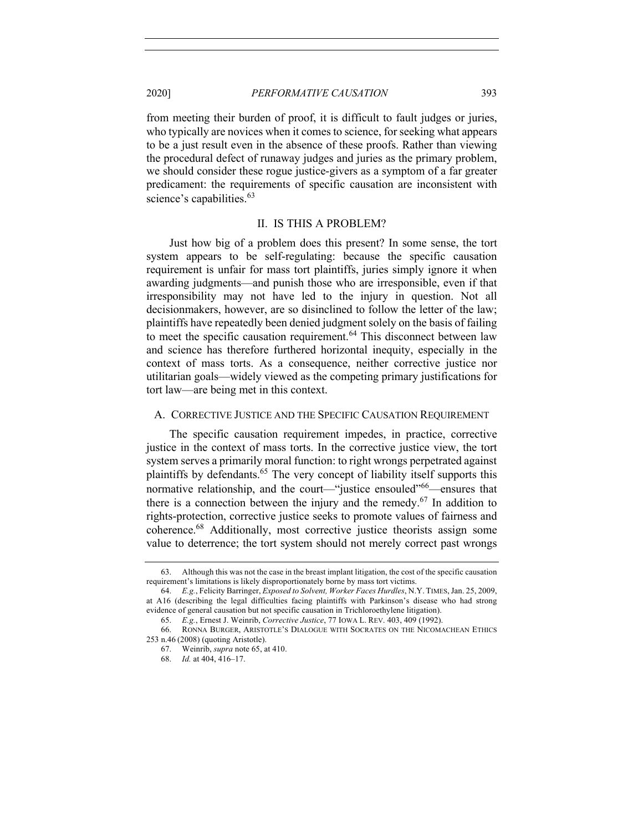from meeting their burden of proof, it is difficult to fault judges or juries, who typically are novices when it comes to science, for seeking what appears to be a just result even in the absence of these proofs. Rather than viewing the procedural defect of runaway judges and juries as the primary problem, we should consider these rogue justice-givers as a symptom of a far greater predicament: the requirements of specific causation are inconsistent with science's capabilities.<sup>63</sup>

# II. IS THIS A PROBLEM?

Just how big of a problem does this present? In some sense, the tort system appears to be self-regulating: because the specific causation requirement is unfair for mass tort plaintiffs, juries simply ignore it when awarding judgments—and punish those who are irresponsible, even if that irresponsibility may not have led to the injury in question. Not all decisionmakers, however, are so disinclined to follow the letter of the law; plaintiffs have repeatedly been denied judgment solely on the basis of failing to meet the specific causation requirement.<sup>64</sup> This disconnect between law and science has therefore furthered horizontal inequity, especially in the context of mass torts. As a consequence, neither corrective justice nor utilitarian goals—widely viewed as the competing primary justifications for tort law—are being met in this context.

# A. CORRECTIVE JUSTICE AND THE SPECIFIC CAUSATION REQUIREMENT

The specific causation requirement impedes, in practice, corrective justice in the context of mass torts. In the corrective justice view, the tort system serves a primarily moral function: to right wrongs perpetrated against plaintiffs by defendants. <sup>65</sup> The very concept of liability itself supports this normative relationship, and the court—"justice ensouled"<sup>66</sup>—ensures that there is a connection between the injury and the remedy.<sup>67</sup> In addition to rights-protection, corrective justice seeks to promote values of fairness and coherence.68 Additionally, most corrective justice theorists assign some value to deterrence; the tort system should not merely correct past wrongs

<sup>63.</sup> Although this was not the case in the breast implant litigation, the cost of the specific causation requirement's limitations is likely disproportionately borne by mass tort victims.

<sup>64.</sup> *E.g.*, Felicity Barringer, *Exposed to Solvent, Worker Faces Hurdles*, N.Y. TIMES, Jan. 25, 2009, at A16 (describing the legal difficulties facing plaintiffs with Parkinson's disease who had strong evidence of general causation but not specific causation in Trichloroethylene litigation).

<sup>65.</sup> *E.g.*, Ernest J. Weinrib, *Corrective Justice*, 77 IOWA L. REV. 403, 409 (1992).

<sup>66.</sup> RONNA BURGER, ARISTOTLE'S DIALOGUE WITH SOCRATES ON THE NICOMACHEAN ETHICS 253 n.46 (2008) (quoting Aristotle).

<sup>67.</sup> Weinrib, *supra* note 65, at 410.

<sup>68.</sup> *Id.* at 404, 416–17.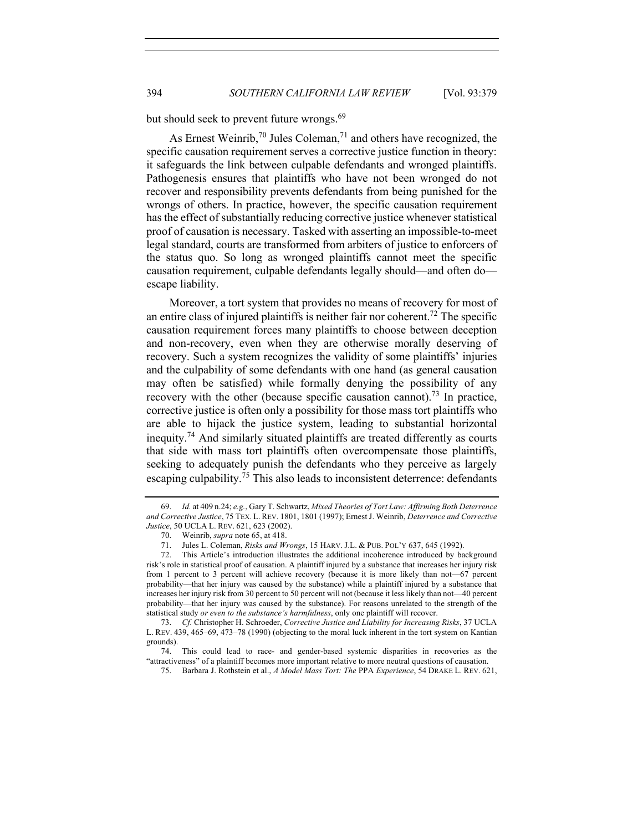but should seek to prevent future wrongs.<sup>69</sup>

As Ernest Weinrib,<sup>70</sup> Jules Coleman,<sup>71</sup> and others have recognized, the specific causation requirement serves a corrective justice function in theory: it safeguards the link between culpable defendants and wronged plaintiffs. Pathogenesis ensures that plaintiffs who have not been wronged do not recover and responsibility prevents defendants from being punished for the wrongs of others. In practice, however, the specific causation requirement has the effect of substantially reducing corrective justice whenever statistical proof of causation is necessary. Tasked with asserting an impossible-to-meet legal standard, courts are transformed from arbiters of justice to enforcers of the status quo. So long as wronged plaintiffs cannot meet the specific causation requirement, culpable defendants legally should—and often do escape liability.

Moreover, a tort system that provides no means of recovery for most of an entire class of injured plaintiffs is neither fair nor coherent.<sup>72</sup> The specific causation requirement forces many plaintiffs to choose between deception and non-recovery, even when they are otherwise morally deserving of recovery. Such a system recognizes the validity of some plaintiffs' injuries and the culpability of some defendants with one hand (as general causation may often be satisfied) while formally denying the possibility of any recovery with the other (because specific causation cannot).<sup>73</sup> In practice, corrective justice is often only a possibility for those mass tort plaintiffs who are able to hijack the justice system, leading to substantial horizontal inequity.<sup>74</sup> And similarly situated plaintiffs are treated differently as courts that side with mass tort plaintiffs often overcompensate those plaintiffs, seeking to adequately punish the defendants who they perceive as largely escaping culpability.<sup>75</sup> This also leads to inconsistent deterrence: defendants

<sup>69.</sup> *Id.* at 409 n.24; *e.g.*, Gary T. Schwartz, *Mixed Theories of Tort Law: Affirming Both Deterrence and Corrective Justice*, 75 TEX. L. REV. 1801, 1801 (1997); Ernest J. Weinrib, *Deterrence and Corrective Justice*, 50 UCLA L. REV. 621, 623 (2002).

<sup>70.</sup> Weinrib, *supra* note 65, at 418.

<sup>71.</sup> Jules L. Coleman, *Risks and Wrongs*, 15 HARV. J.L. & PUB. POL'Y 637, 645 (1992).

<sup>72.</sup> This Article's introduction illustrates the additional incoherence introduced by background risk's role in statistical proof of causation. A plaintiff injured by a substance that increases her injury risk from 1 percent to 3 percent will achieve recovery (because it is more likely than not—67 percent probability—that her injury was caused by the substance) while a plaintiff injured by a substance that increases her injury risk from 30 percent to 50 percent will not (because it less likely than not—40 percent probability—that her injury was caused by the substance). For reasons unrelated to the strength of the statistical study *or even to the substance's harmfulness*, only one plaintiff will recover.

<sup>73.</sup> *Cf.* Christopher H. Schroeder, *Corrective Justice and Liability for Increasing Risks*, 37 UCLA L. REV. 439, 465–69, 473–78 (1990) (objecting to the moral luck inherent in the tort system on Kantian grounds).

<sup>74.</sup> This could lead to race- and gender-based systemic disparities in recoveries as the "attractiveness" of a plaintiff becomes more important relative to more neutral questions of causation.

<sup>75.</sup> Barbara J. Rothstein et al., *A Model Mass Tort: The* PPA *Experience*, 54 DRAKE L. REV. 621,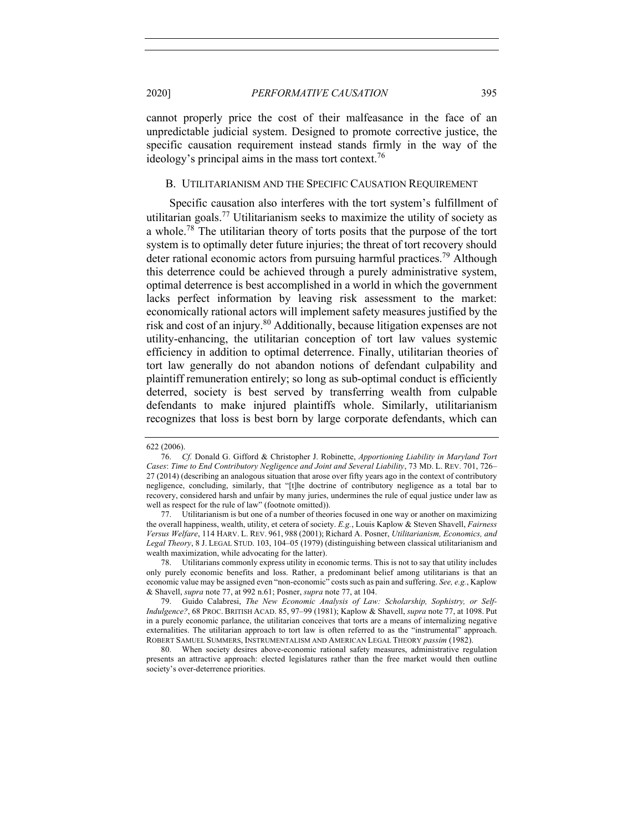cannot properly price the cost of their malfeasance in the face of an unpredictable judicial system. Designed to promote corrective justice, the specific causation requirement instead stands firmly in the way of the ideology's principal aims in the mass tort context.<sup>76</sup>

## B. UTILITARIANISM AND THE SPECIFIC CAUSATION REQUIREMENT

Specific causation also interferes with the tort system's fulfillment of utilitarian goals.<sup>77</sup> Utilitarianism seeks to maximize the utility of society as a whole.<sup>78</sup> The utilitarian theory of torts posits that the purpose of the tort system is to optimally deter future injuries; the threat of tort recovery should deter rational economic actors from pursuing harmful practices.<sup>79</sup> Although this deterrence could be achieved through a purely administrative system, optimal deterrence is best accomplished in a world in which the government lacks perfect information by leaving risk assessment to the market: economically rational actors will implement safety measures justified by the risk and cost of an injury.<sup>80</sup> Additionally, because litigation expenses are not utility-enhancing, the utilitarian conception of tort law values systemic efficiency in addition to optimal deterrence. Finally, utilitarian theories of tort law generally do not abandon notions of defendant culpability and plaintiff remuneration entirely; so long as sub-optimal conduct is efficiently deterred, society is best served by transferring wealth from culpable defendants to make injured plaintiffs whole. Similarly, utilitarianism recognizes that loss is best born by large corporate defendants, which can

<sup>622 (2006).</sup>

<sup>76.</sup> *Cf.* Donald G. Gifford & Christopher J. Robinette, *Apportioning Liability in Maryland Tort Cases*: *Time to End Contributory Negligence and Joint and Several Liability*, 73 MD. L. REV. 701, 726– 27 (2014) (describing an analogous situation that arose over fifty years ago in the context of contributory negligence, concluding, similarly, that "[t]he doctrine of contributory negligence as a total bar to recovery, considered harsh and unfair by many juries, undermines the rule of equal justice under law as well as respect for the rule of law" (footnote omitted)).

<sup>77.</sup> Utilitarianism is but one of a number of theories focused in one way or another on maximizing the overall happiness, wealth, utility, et cetera of society. *E.g.*, Louis Kaplow & Steven Shavell, *Fairness Versus Welfare*, 114 HARV. L. REV. 961, 988 (2001); Richard A. Posner, *Utilitarianism, Economics, and Legal Theory*, 8 J. LEGAL STUD. 103, 104–05 (1979) (distinguishing between classical utilitarianism and wealth maximization, while advocating for the latter).

<sup>78.</sup> Utilitarians commonly express utility in economic terms. This is not to say that utility includes only purely economic benefits and loss. Rather, a predominant belief among utilitarians is that an economic value may be assigned even "non-economic" costs such as pain and suffering. *See, e.g.*, Kaplow & Shavell, *supra* note 77, at 992 n.61; Posner, *supra* note 77, at 104.

<sup>79.</sup> Guido Calabresi, *The New Economic Analysis of Law: Scholarship, Sophistry, or Self-Indulgence?*, 68 PROC. BRITISH ACAD. 85, 97–99 (1981); Kaplow & Shavell, *supra* note 77, at 1098. Put in a purely economic parlance, the utilitarian conceives that torts are a means of internalizing negative externalities. The utilitarian approach to tort law is often referred to as the "instrumental" approach. ROBERT SAMUEL SUMMERS, INSTRUMENTALISM AND AMERICAN LEGAL THEORY *passim* (1982).

<sup>80.</sup> When society desires above-economic rational safety measures, administrative regulation presents an attractive approach: elected legislatures rather than the free market would then outline society's over-deterrence priorities.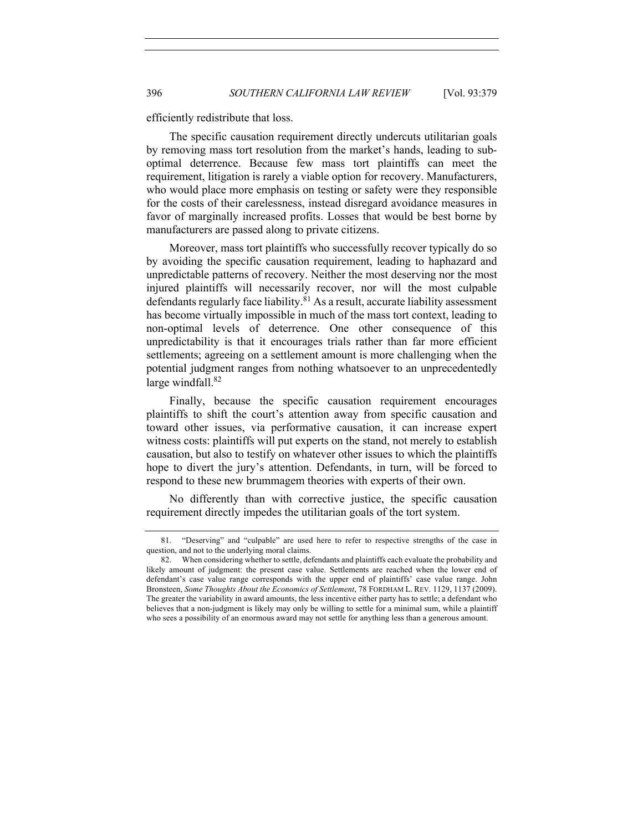efficiently redistribute that loss.

The specific causation requirement directly undercuts utilitarian goals by removing mass tort resolution from the market's hands, leading to suboptimal deterrence. Because few mass tort plaintiffs can meet the requirement, litigation is rarely a viable option for recovery. Manufacturers, who would place more emphasis on testing or safety were they responsible for the costs of their carelessness, instead disregard avoidance measures in favor of marginally increased profits. Losses that would be best borne by manufacturers are passed along to private citizens.

Moreover, mass tort plaintiffs who successfully recover typically do so by avoiding the specific causation requirement, leading to haphazard and unpredictable patterns of recovery. Neither the most deserving nor the most injured plaintiffs will necessarily recover, nor will the most culpable defendants regularly face liability. $81$  As a result, accurate liability assessment has become virtually impossible in much of the mass tort context, leading to non-optimal levels of deterrence. One other consequence of this unpredictability is that it encourages trials rather than far more efficient settlements; agreeing on a settlement amount is more challenging when the potential judgment ranges from nothing whatsoever to an unprecedentedly large windfall. $82$ 

Finally, because the specific causation requirement encourages plaintiffs to shift the court's attention away from specific causation and toward other issues, via performative causation, it can increase expert witness costs: plaintiffs will put experts on the stand, not merely to establish causation, but also to testify on whatever other issues to which the plaintiffs hope to divert the jury's attention. Defendants, in turn, will be forced to respond to these new brummagem theories with experts of their own.

No differently than with corrective justice, the specific causation requirement directly impedes the utilitarian goals of the tort system.

<sup>81.</sup> "Deserving" and "culpable" are used here to refer to respective strengths of the case in question, and not to the underlying moral claims.

<sup>82.</sup> When considering whether to settle, defendants and plaintiffs each evaluate the probability and likely amount of judgment: the present case value. Settlements are reached when the lower end of defendant's case value range corresponds with the upper end of plaintiffs' case value range. John Bronsteen, *Some Thoughts About the Economics of Settlement*, 78 FORDHAM L. REV. 1129, 1137 (2009). The greater the variability in award amounts, the less incentive either party has to settle; a defendant who believes that a non-judgment is likely may only be willing to settle for a minimal sum, while a plaintiff who sees a possibility of an enormous award may not settle for anything less than a generous amount.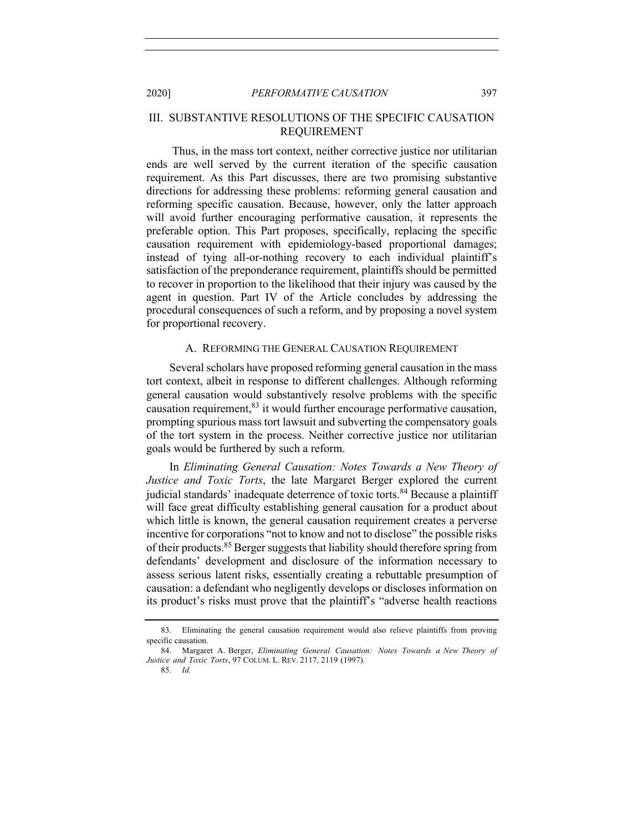# III. SUBSTANTIVE RESOLUTIONS OF THE SPECIFIC CAUSATION REQUIREMENT

Thus, in the mass tort context, neither corrective justice nor utilitarian ends are well served by the current iteration of the specific causation requirement. As this Part discusses, there are two promising substantive directions for addressing these problems: reforming general causation and reforming specific causation. Because, however, only the latter approach will avoid further encouraging performative causation, it represents the preferable option. This Part proposes, specifically, replacing the specific causation requirement with epidemiology-based proportional damages; instead of tying all-or-nothing recovery to each individual plaintiff's satisfaction of the preponderance requirement, plaintiffs should be permitted to recover in proportion to the likelihood that their injury was caused by the agent in question. Part IV of the Article concludes by addressing the procedural consequences of such a reform, and by proposing a novel system for proportional recovery.

# A. REFORMING THE GENERAL CAUSATION REQUIREMENT

Several scholars have proposed reforming general causation in the mass tort context, albeit in response to different challenges. Although reforming general causation would substantively resolve problems with the specific causation requirement, $83$  it would further encourage performative causation, prompting spurious mass tort lawsuit and subverting the compensatory goals of the tort system in the process. Neither corrective justice nor utilitarian goals would be furthered by such a reform.

In *Eliminating General Causation: Notes Towards a New Theory of Justice and Toxic Torts*, the late Margaret Berger explored the current judicial standards' inadequate deterrence of toxic torts.<sup>84</sup> Because a plaintiff will face great difficulty establishing general causation for a product about which little is known, the general causation requirement creates a perverse incentive for corporations "not to know and not to disclose" the possible risks of their products.<sup>85</sup> Berger suggests that liability should therefore spring from defendants' development and disclosure of the information necessary to assess serious latent risks, essentially creating a rebuttable presumption of causation: a defendant who negligently develops or discloses information on its product's risks must prove that the plaintiff's "adverse health reactions

85. *Id.*

<sup>83.</sup> Eliminating the general causation requirement would also relieve plaintiffs from proving specific causation.

<sup>84.</sup> Margaret A. Berger, *Eliminating General Causation: Notes Towards a New Theory of Justice and Toxic Torts*, 97 COLUM. L. REV. 2117, 2119 (1997).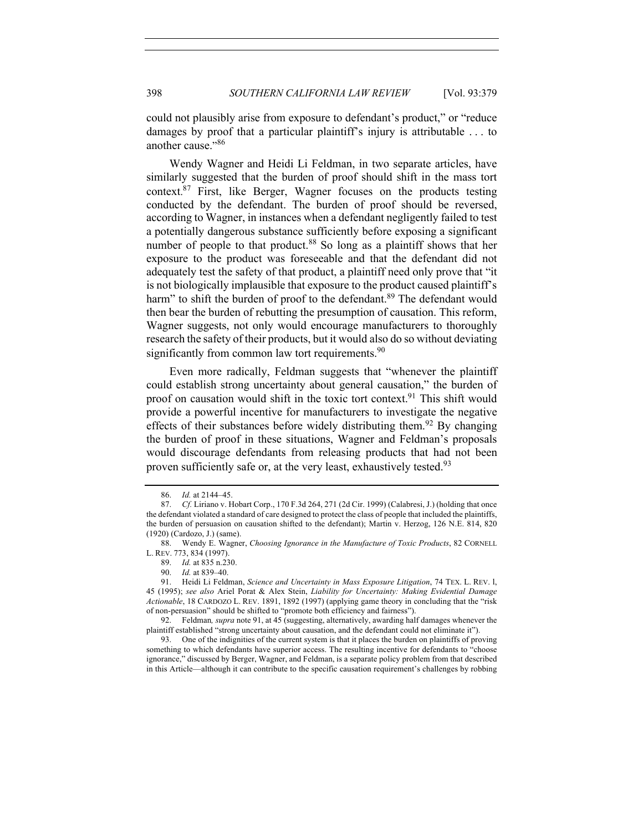could not plausibly arise from exposure to defendant's product," or "reduce damages by proof that a particular plaintiff's injury is attributable . . . to another cause."<sup>86</sup>

Wendy Wagner and Heidi Li Feldman, in two separate articles, have similarly suggested that the burden of proof should shift in the mass tort context. <sup>87</sup> First, like Berger, Wagner focuses on the products testing conducted by the defendant. The burden of proof should be reversed, according to Wagner, in instances when a defendant negligently failed to test a potentially dangerous substance sufficiently before exposing a significant number of people to that product.<sup>88</sup> So long as a plaintiff shows that her exposure to the product was foreseeable and that the defendant did not adequately test the safety of that product, a plaintiff need only prove that "it is not biologically implausible that exposure to the product caused plaintiff's harm" to shift the burden of proof to the defendant.<sup>89</sup> The defendant would then bear the burden of rebutting the presumption of causation. This reform, Wagner suggests, not only would encourage manufacturers to thoroughly research the safety of their products, but it would also do so without deviating significantly from common law tort requirements. $90$ 

Even more radically, Feldman suggests that "whenever the plaintiff could establish strong uncertainty about general causation," the burden of proof on causation would shift in the toxic tort context.<sup>91</sup> This shift would provide a powerful incentive for manufacturers to investigate the negative effects of their substances before widely distributing them.<sup>92</sup> By changing the burden of proof in these situations, Wagner and Feldman's proposals would discourage defendants from releasing products that had not been proven sufficiently safe or, at the very least, exhaustively tested.<sup>93</sup>

<sup>86.</sup> *Id.* at 2144–45.

<sup>87.</sup> *Cf.* Liriano v. Hobart Corp., 170 F.3d 264, 271 (2d Cir. 1999) (Calabresi, J.) (holding that once the defendant violated a standard of care designed to protect the class of people that included the plaintiffs, the burden of persuasion on causation shifted to the defendant); Martin v. Herzog, 126 N.E. 814, 820 (1920) (Cardozo, J.) (same).

<sup>88.</sup> Wendy E. Wagner, *Choosing Ignorance in the Manufacture of Toxic Products*, 82 CORNELL L. REV. 773, 834 (1997).

<sup>89.</sup> *Id.* at 835 n.230.

<sup>90.</sup> *Id.* at 839–40.

<sup>91.</sup> Heidi Li Feldman, *Science and Uncertainty in Mass Exposure Litigation*, 74 TEX. L. REV. l, 45 (1995); *see also* Ariel Porat & Alex Stein, *Liability for Uncertainty: Making Evidential Damage Actionable*, 18 CARDOZO L. REV. 1891, 1892 (1997) (applying game theory in concluding that the "risk of non-persuasion" should be shifted to "promote both efficiency and fairness").

<sup>92.</sup> Feldman*, supra* note 91, at 45 (suggesting, alternatively, awarding half damages whenever the plaintiff established "strong uncertainty about causation, and the defendant could not eliminate it").

<sup>93.</sup> One of the indignities of the current system is that it places the burden on plaintiffs of proving something to which defendants have superior access. The resulting incentive for defendants to "choose ignorance," discussed by Berger, Wagner, and Feldman, is a separate policy problem from that described in this Article—although it can contribute to the specific causation requirement's challenges by robbing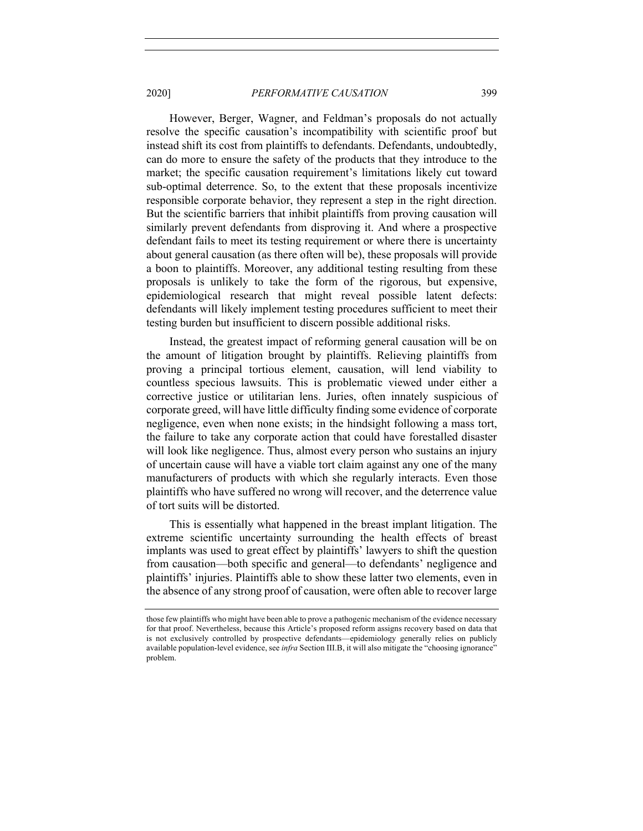However, Berger, Wagner, and Feldman's proposals do not actually resolve the specific causation's incompatibility with scientific proof but instead shift its cost from plaintiffs to defendants. Defendants, undoubtedly, can do more to ensure the safety of the products that they introduce to the market; the specific causation requirement's limitations likely cut toward sub-optimal deterrence. So, to the extent that these proposals incentivize responsible corporate behavior, they represent a step in the right direction. But the scientific barriers that inhibit plaintiffs from proving causation will similarly prevent defendants from disproving it. And where a prospective defendant fails to meet its testing requirement or where there is uncertainty about general causation (as there often will be), these proposals will provide a boon to plaintiffs. Moreover, any additional testing resulting from these proposals is unlikely to take the form of the rigorous, but expensive, epidemiological research that might reveal possible latent defects: defendants will likely implement testing procedures sufficient to meet their testing burden but insufficient to discern possible additional risks.

Instead, the greatest impact of reforming general causation will be on the amount of litigation brought by plaintiffs. Relieving plaintiffs from proving a principal tortious element, causation, will lend viability to countless specious lawsuits. This is problematic viewed under either a corrective justice or utilitarian lens. Juries, often innately suspicious of corporate greed, will have little difficulty finding some evidence of corporate negligence, even when none exists; in the hindsight following a mass tort, the failure to take any corporate action that could have forestalled disaster will look like negligence. Thus, almost every person who sustains an injury of uncertain cause will have a viable tort claim against any one of the many manufacturers of products with which she regularly interacts. Even those plaintiffs who have suffered no wrong will recover, and the deterrence value of tort suits will be distorted.

This is essentially what happened in the breast implant litigation. The extreme scientific uncertainty surrounding the health effects of breast implants was used to great effect by plaintiffs' lawyers to shift the question from causation—both specific and general—to defendants' negligence and plaintiffs' injuries. Plaintiffs able to show these latter two elements, even in the absence of any strong proof of causation, were often able to recover large

those few plaintiffs who might have been able to prove a pathogenic mechanism of the evidence necessary for that proof. Nevertheless, because this Article's proposed reform assigns recovery based on data that is not exclusively controlled by prospective defendants—epidemiology generally relies on publicly available population-level evidence, see *infra* Section III.B, it will also mitigate the "choosing ignorance" problem.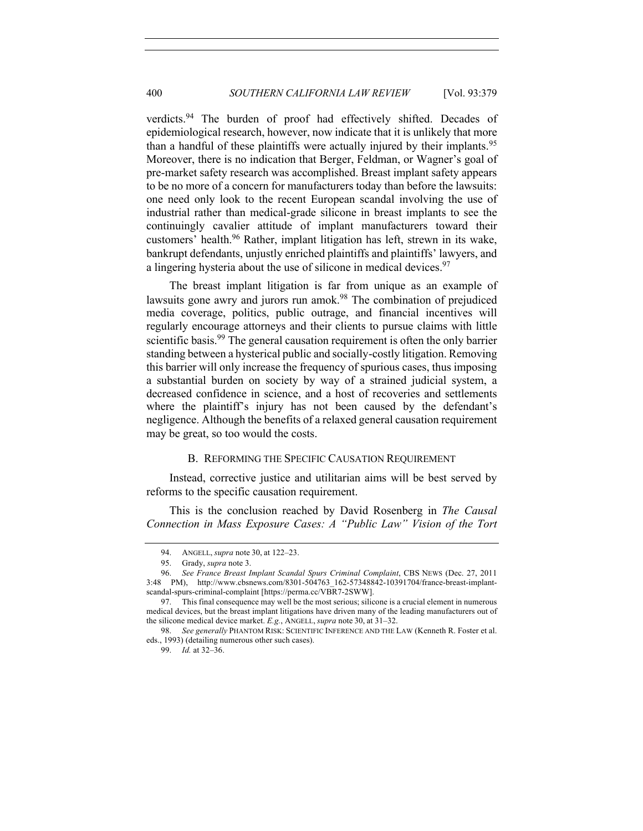verdicts.<sup>94</sup> The burden of proof had effectively shifted. Decades of epidemiological research, however, now indicate that it is unlikely that more than a handful of these plaintiffs were actually injured by their implants.<sup>95</sup> Moreover, there is no indication that Berger, Feldman, or Wagner's goal of pre-market safety research was accomplished. Breast implant safety appears to be no more of a concern for manufacturers today than before the lawsuits: one need only look to the recent European scandal involving the use of industrial rather than medical-grade silicone in breast implants to see the continuingly cavalier attitude of implant manufacturers toward their customers' health.96 Rather, implant litigation has left, strewn in its wake, bankrupt defendants, unjustly enriched plaintiffs and plaintiffs' lawyers, and a lingering hysteria about the use of silicone in medical devices.<sup>97</sup>

The breast implant litigation is far from unique as an example of lawsuits gone awry and jurors run amok.<sup>98</sup> The combination of prejudiced media coverage, politics, public outrage, and financial incentives will regularly encourage attorneys and their clients to pursue claims with little scientific basis.<sup>99</sup> The general causation requirement is often the only barrier standing between a hysterical public and socially-costly litigation. Removing this barrier will only increase the frequency of spurious cases, thus imposing a substantial burden on society by way of a strained judicial system, a decreased confidence in science, and a host of recoveries and settlements where the plaintiff's injury has not been caused by the defendant's negligence. Although the benefits of a relaxed general causation requirement may be great, so too would the costs.

# B. REFORMING THE SPECIFIC CAUSATION REQUIREMENT

Instead, corrective justice and utilitarian aims will be best served by reforms to the specific causation requirement.

This is the conclusion reached by David Rosenberg in *The Causal Connection in Mass Exposure Cases: A "Public Law" Vision of the Tort* 

<sup>94.</sup> ANGELL, *supra* note 30, at 122–23.

<sup>95.</sup> Grady, *supra* note 3.

<sup>96.</sup> *See France Breast Implant Scandal Spurs Criminal Complaint*, CBS NEWS (Dec. 27, 2011 3:48 PM), http://www.cbsnews.com/8301-504763\_162-57348842-10391704/france-breast-implantscandal-spurs-criminal-complaint [https://perma.cc/VBR7-2SWW].

<sup>97.</sup> This final consequence may well be the most serious; silicone is a crucial element in numerous medical devices, but the breast implant litigations have driven many of the leading manufacturers out of the silicone medical device market. *E.g.*, ANGELL, *supra* note 30, at 31–32.

<sup>98.</sup> *See generally* PHANTOM RISK: SCIENTIFIC INFERENCE AND THE LAW (Kenneth R. Foster et al. eds., 1993) (detailing numerous other such cases).

<sup>99.</sup> *Id.* at 32–36.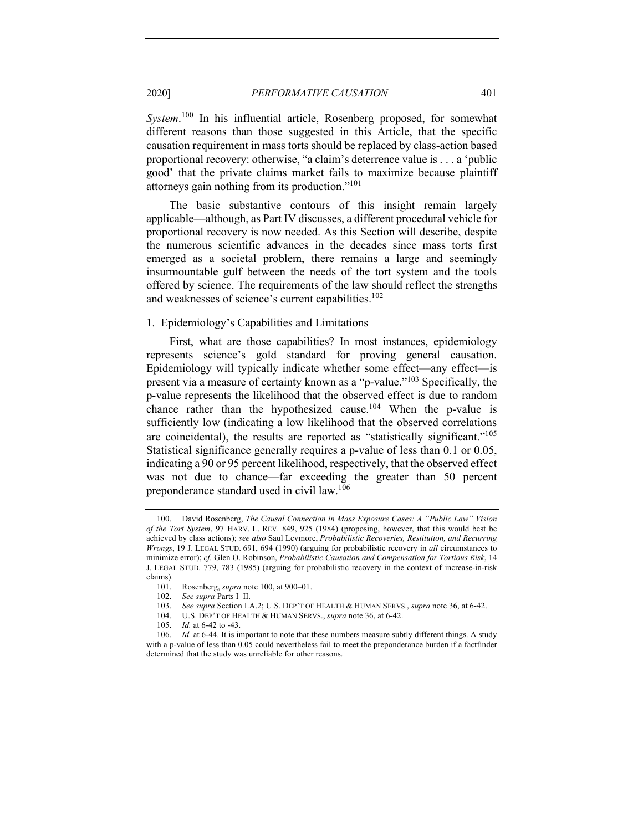*System*. <sup>100</sup> In his influential article, Rosenberg proposed, for somewhat different reasons than those suggested in this Article, that the specific causation requirement in mass torts should be replaced by class-action based proportional recovery: otherwise, "a claim's deterrence value is . . . a 'public good' that the private claims market fails to maximize because plaintiff attorneys gain nothing from its production."101

The basic substantive contours of this insight remain largely applicable—although, as Part IV discusses, a different procedural vehicle for proportional recovery is now needed. As this Section will describe, despite the numerous scientific advances in the decades since mass torts first emerged as a societal problem, there remains a large and seemingly insurmountable gulf between the needs of the tort system and the tools offered by science. The requirements of the law should reflect the strengths and weaknesses of science's current capabilities.<sup>102</sup>

# 1. Epidemiology's Capabilities and Limitations

First, what are those capabilities? In most instances, epidemiology represents science's gold standard for proving general causation. Epidemiology will typically indicate whether some effect—any effect—is present via a measure of certainty known as a "p-value."<sup>103</sup> Specifically, the p-value represents the likelihood that the observed effect is due to random chance rather than the hypothesized cause.<sup>104</sup> When the p-value is sufficiently low (indicating a low likelihood that the observed correlations are coincidental), the results are reported as "statistically significant."<sup>105</sup> Statistical significance generally requires a p-value of less than 0.1 or 0.05, indicating a 90 or 95 percent likelihood, respectively, that the observed effect was not due to chance—far exceeding the greater than 50 percent preponderance standard used in civil law.106

<sup>100.</sup> David Rosenberg, *The Causal Connection in Mass Exposure Cases: A "Public Law" Vision of the Tort System*, 97 HARV. L. REV. 849, 925 (1984) (proposing, however, that this would best be achieved by class actions); *see also* Saul Levmore, *Probabilistic Recoveries, Restitution, and Recurring Wrongs*, 19 J. LEGAL STUD. 691, 694 (1990) (arguing for probabilistic recovery in *all* circumstances to minimize error); *cf.* Glen O. Robinson, *Probabilistic Causation and Compensation for Tortious Risk*, 14 J. LEGAL STUD. 779, 783 (1985) (arguing for probabilistic recovery in the context of increase-in-risk claims).

<sup>101.</sup> Rosenberg, *supra* note 100, at 900–01.

<sup>102.</sup> *See supra* Parts I–II.

<sup>103.</sup> *See supra* Section I.A.2; U.S. DEP'T OF HEALTH & HUMAN SERVS., *supra* note 36, at 6-42.

<sup>104.</sup> U.S. DEP'T OF HEALTH & HUMAN SERVS., *supra* note 36, at 6-42.

<sup>105.</sup> *Id.* at 6-42 to -43.

<sup>106.</sup> *Id.* at 6-44. It is important to note that these numbers measure subtly different things. A study with a p-value of less than 0.05 could nevertheless fail to meet the preponderance burden if a factfinder determined that the study was unreliable for other reasons.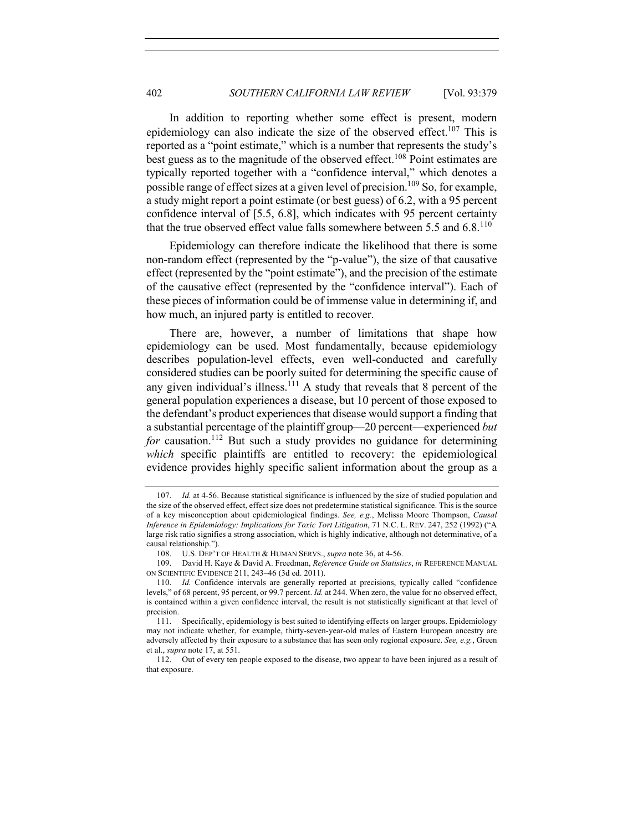In addition to reporting whether some effect is present, modern epidemiology can also indicate the size of the observed effect.<sup>107</sup> This is reported as a "point estimate," which is a number that represents the study's best guess as to the magnitude of the observed effect.<sup>108</sup> Point estimates are typically reported together with a "confidence interval," which denotes a possible range of effect sizes at a given level of precision. <sup>109</sup> So, for example, a study might report a point estimate (or best guess) of 6.2, with a 95 percent confidence interval of [5.5, 6.8], which indicates with 95 percent certainty that the true observed effect value falls somewhere between 5.5 and  $6.8$ .<sup>110</sup>

Epidemiology can therefore indicate the likelihood that there is some non-random effect (represented by the "p-value"), the size of that causative effect (represented by the "point estimate"), and the precision of the estimate of the causative effect (represented by the "confidence interval"). Each of these pieces of information could be of immense value in determining if, and how much, an injured party is entitled to recover.

There are, however, a number of limitations that shape how epidemiology can be used. Most fundamentally, because epidemiology describes population-level effects, even well-conducted and carefully considered studies can be poorly suited for determining the specific cause of any given individual's illness.<sup>111</sup> A study that reveals that 8 percent of the general population experiences a disease, but 10 percent of those exposed to the defendant's product experiences that disease would support a finding that a substantial percentage of the plaintiff group—20 percent—experienced *but for* causation.<sup>112</sup> But such a study provides no guidance for determining *which* specific plaintiffs are entitled to recovery: the epidemiological evidence provides highly specific salient information about the group as a

<sup>107.</sup> *Id.* at 4-56. Because statistical significance is influenced by the size of studied population and the size of the observed effect, effect size does not predetermine statistical significance. This is the source of a key misconception about epidemiological findings. *See, e.g.*, Melissa Moore Thompson, *Causal Inference in Epidemiology: Implications for Toxic Tort Litigation*, 71 N.C. L. REV. 247, 252 (1992) ("A large risk ratio signifies a strong association, which is highly indicative, although not determinative, of a causal relationship.").

<sup>108.</sup> U.S. DEP'T OF HEALTH & HUMAN SERVS., *supra* note 36, at 4-56.

<sup>109.</sup> David H. Kaye & David A. Freedman, *Reference Guide on Statistics*, *in* REFERENCE MANUAL ON SCIENTIFIC EVIDENCE 211, 243–46 (3d ed. 2011).

<sup>110.</sup> *Id.* Confidence intervals are generally reported at precisions, typically called "confidence levels," of 68 percent, 95 percent, or 99.7 percent. *Id.* at 244. When zero, the value for no observed effect, is contained within a given confidence interval, the result is not statistically significant at that level of precision.

<sup>111.</sup> Specifically, epidemiology is best suited to identifying effects on larger groups. Epidemiology may not indicate whether, for example, thirty-seven-year-old males of Eastern European ancestry are adversely affected by their exposure to a substance that has seen only regional exposure. *See, e.g.*, Green et al., *supra* note 17, at 551.

<sup>112.</sup> Out of every ten people exposed to the disease, two appear to have been injured as a result of that exposure.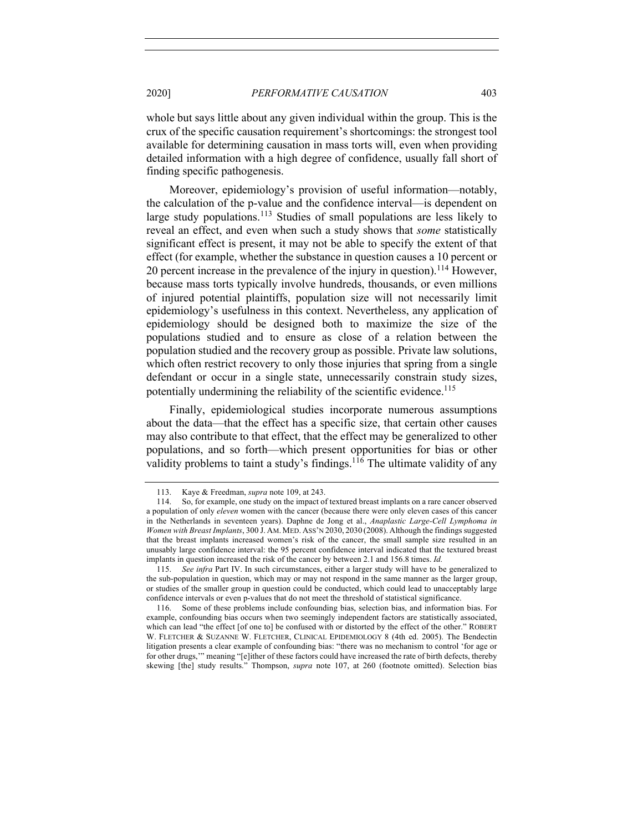whole but says little about any given individual within the group. This is the crux of the specific causation requirement's shortcomings: the strongest tool available for determining causation in mass torts will, even when providing detailed information with a high degree of confidence, usually fall short of finding specific pathogenesis.

Moreover, epidemiology's provision of useful information—notably, the calculation of the p-value and the confidence interval—is dependent on large study populations.<sup>113</sup> Studies of small populations are less likely to reveal an effect, and even when such a study shows that *some* statistically significant effect is present, it may not be able to specify the extent of that effect (for example, whether the substance in question causes a 10 percent or 20 percent increase in the prevalence of the injury in question).<sup>114</sup> However, because mass torts typically involve hundreds, thousands, or even millions of injured potential plaintiffs, population size will not necessarily limit epidemiology's usefulness in this context. Nevertheless, any application of epidemiology should be designed both to maximize the size of the populations studied and to ensure as close of a relation between the population studied and the recovery group as possible. Private law solutions, which often restrict recovery to only those injuries that spring from a single defendant or occur in a single state, unnecessarily constrain study sizes, potentially undermining the reliability of the scientific evidence.<sup>115</sup>

Finally, epidemiological studies incorporate numerous assumptions about the data—that the effect has a specific size, that certain other causes may also contribute to that effect, that the effect may be generalized to other populations, and so forth—which present opportunities for bias or other validity problems to taint a study's findings.<sup>116</sup> The ultimate validity of any

<sup>113.</sup> Kaye & Freedman, *supra* note 109, at 243.

<sup>114.</sup> So, for example, one study on the impact of textured breast implants on a rare cancer observed a population of only *eleven* women with the cancer (because there were only eleven cases of this cancer in the Netherlands in seventeen years). Daphne de Jong et al., *Anaplastic Large-Cell Lymphoma in Women with Breast Implants*, 300 J. AM. MED. ASS'N 2030, 2030 (2008). Although the findings suggested that the breast implants increased women's risk of the cancer, the small sample size resulted in an unusably large confidence interval: the 95 percent confidence interval indicated that the textured breast implants in question increased the risk of the cancer by between 2.1 and 156.8 times. *Id.*

<sup>115.</sup> *See infra* Part IV. In such circumstances, either a larger study will have to be generalized to the sub-population in question, which may or may not respond in the same manner as the larger group, or studies of the smaller group in question could be conducted, which could lead to unacceptably large confidence intervals or even p-values that do not meet the threshold of statistical significance.

<sup>116.</sup> Some of these problems include confounding bias, selection bias, and information bias. For example, confounding bias occurs when two seemingly independent factors are statistically associated, which can lead "the effect [of one to] be confused with or distorted by the effect of the other." ROBERT W. FLETCHER & SUZANNE W. FLETCHER, CLINICAL EPIDEMIOLOGY 8 (4th ed. 2005). The Bendectin litigation presents a clear example of confounding bias: "there was no mechanism to control 'for age or for other drugs,'" meaning "[e]ither of these factors could have increased the rate of birth defects, thereby skewing [the] study results." Thompson, *supra* note 107, at 260 (footnote omitted). Selection bias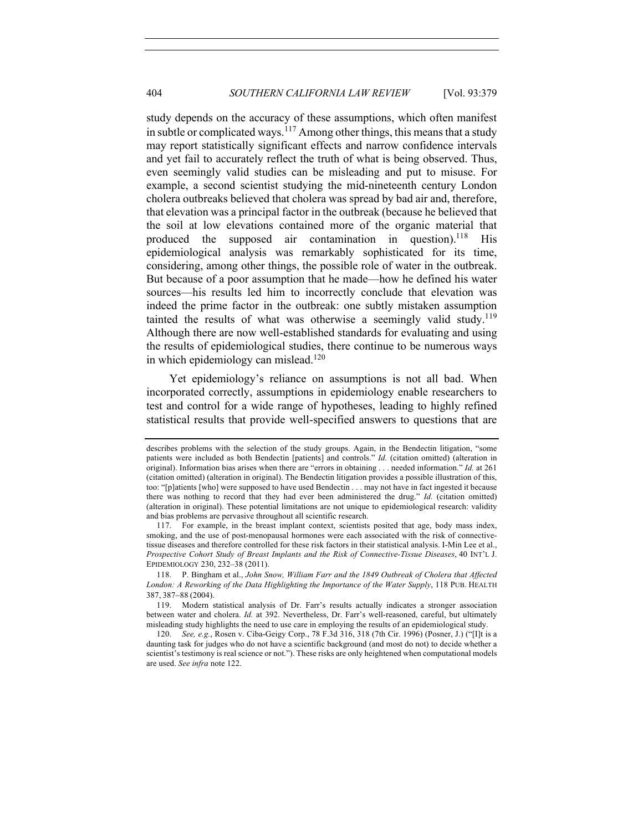study depends on the accuracy of these assumptions, which often manifest in subtle or complicated ways.<sup>117</sup> Among other things, this means that a study may report statistically significant effects and narrow confidence intervals and yet fail to accurately reflect the truth of what is being observed. Thus, even seemingly valid studies can be misleading and put to misuse. For example, a second scientist studying the mid-nineteenth century London cholera outbreaks believed that cholera was spread by bad air and, therefore, that elevation was a principal factor in the outbreak (because he believed that the soil at low elevations contained more of the organic material that produced the supposed air contamination in question).<sup>118</sup> His epidemiological analysis was remarkably sophisticated for its time, considering, among other things, the possible role of water in the outbreak. But because of a poor assumption that he made—how he defined his water sources—his results led him to incorrectly conclude that elevation was indeed the prime factor in the outbreak: one subtly mistaken assumption tainted the results of what was otherwise a seemingly valid study.<sup>119</sup> Although there are now well-established standards for evaluating and using the results of epidemiological studies, there continue to be numerous ways in which epidemiology can mislead.<sup>120</sup>

Yet epidemiology's reliance on assumptions is not all bad. When incorporated correctly, assumptions in epidemiology enable researchers to test and control for a wide range of hypotheses, leading to highly refined statistical results that provide well-specified answers to questions that are

describes problems with the selection of the study groups. Again, in the Bendectin litigation, "some patients were included as both Bendectin [patients] and controls." *Id.* (citation omitted) (alteration in original). Information bias arises when there are "errors in obtaining . . . needed information." *Id.* at 261 (citation omitted) (alteration in original). The Bendectin litigation provides a possible illustration of this, too: "[p]atients [who] were supposed to have used Bendectin . . . may not have in fact ingested it because there was nothing to record that they had ever been administered the drug." *Id.* (citation omitted) (alteration in original). These potential limitations are not unique to epidemiological research: validity and bias problems are pervasive throughout all scientific research.

<sup>117.</sup> For example, in the breast implant context, scientists posited that age, body mass index, smoking, and the use of post-menopausal hormones were each associated with the risk of connectivetissue diseases and therefore controlled for these risk factors in their statistical analysis. I-Min Lee et al., *Prospective Cohort Study of Breast Implants and the Risk of Connective-Tissue Diseases*, 40 INT'L J. EPIDEMIOLOGY 230, 232–38 (2011).

<sup>118.</sup> P. Bingham et al., *John Snow, William Farr and the 1849 Outbreak of Cholera that Affected London: A Reworking of the Data Highlighting the Importance of the Water Supply*, 118 PUB. HEALTH 387, 387-88 (2004).

<sup>119.</sup> Modern statistical analysis of Dr. Farr's results actually indicates a stronger association between water and cholera. *Id.* at 392. Nevertheless, Dr. Farr's well-reasoned, careful, but ultimately misleading study highlights the need to use care in employing the results of an epidemiological study.

<sup>120.</sup> *See, e.g.*, Rosen v. Ciba-Geigy Corp., 78 F.3d 316, 318 (7th Cir. 1996) (Posner, J.) ("[I]t is a daunting task for judges who do not have a scientific background (and most do not) to decide whether a scientist's testimony is real science or not."). These risks are only heightened when computational models are used. *See infra* note 122.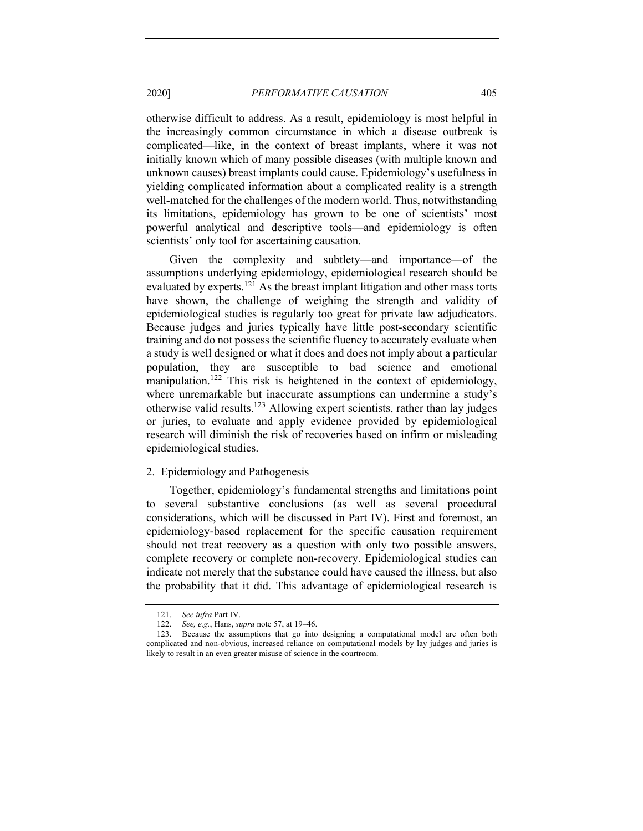otherwise difficult to address. As a result, epidemiology is most helpful in the increasingly common circumstance in which a disease outbreak is complicated—like, in the context of breast implants, where it was not initially known which of many possible diseases (with multiple known and unknown causes) breast implants could cause. Epidemiology's usefulness in yielding complicated information about a complicated reality is a strength well-matched for the challenges of the modern world. Thus, notwithstanding its limitations, epidemiology has grown to be one of scientists' most powerful analytical and descriptive tools—and epidemiology is often scientists' only tool for ascertaining causation.

Given the complexity and subtlety—and importance—of the assumptions underlying epidemiology, epidemiological research should be evaluated by experts.<sup>121</sup> As the breast implant litigation and other mass torts have shown, the challenge of weighing the strength and validity of epidemiological studies is regularly too great for private law adjudicators. Because judges and juries typically have little post-secondary scientific training and do not possess the scientific fluency to accurately evaluate when a study is well designed or what it does and does not imply about a particular population, they are susceptible to bad science and emotional manipulation.<sup>122</sup> This risk is heightened in the context of epidemiology, where unremarkable but inaccurate assumptions can undermine a study's otherwise valid results.123 Allowing expert scientists, rather than lay judges or juries, to evaluate and apply evidence provided by epidemiological research will diminish the risk of recoveries based on infirm or misleading epidemiological studies.

## 2. Epidemiology and Pathogenesis

Together, epidemiology's fundamental strengths and limitations point to several substantive conclusions (as well as several procedural considerations, which will be discussed in Part IV). First and foremost, an epidemiology-based replacement for the specific causation requirement should not treat recovery as a question with only two possible answers, complete recovery or complete non-recovery. Epidemiological studies can indicate not merely that the substance could have caused the illness, but also the probability that it did. This advantage of epidemiological research is

<sup>121.</sup> *See infra* Part IV.

<sup>122.</sup> *See, e.g.*, Hans, *supra* note 57, at 19–46.

<sup>123.</sup> Because the assumptions that go into designing a computational model are often both complicated and non-obvious, increased reliance on computational models by lay judges and juries is likely to result in an even greater misuse of science in the courtroom.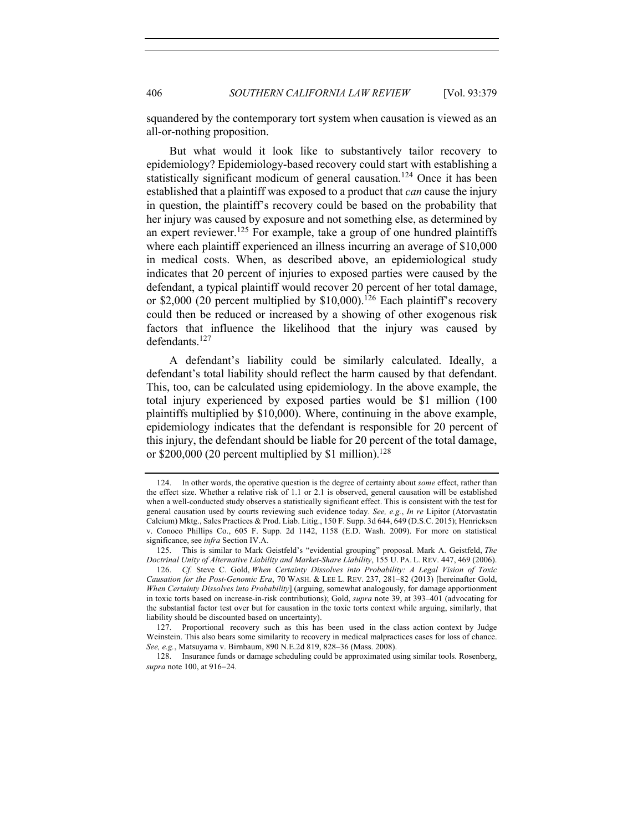squandered by the contemporary tort system when causation is viewed as an all-or-nothing proposition.

But what would it look like to substantively tailor recovery to epidemiology? Epidemiology-based recovery could start with establishing a statistically significant modicum of general causation.<sup>124</sup> Once it has been established that a plaintiff was exposed to a product that *can* cause the injury in question, the plaintiff's recovery could be based on the probability that her injury was caused by exposure and not something else, as determined by an expert reviewer.<sup>125</sup> For example, take a group of one hundred plaintiffs where each plaintiff experienced an illness incurring an average of \$10,000 in medical costs. When, as described above, an epidemiological study indicates that 20 percent of injuries to exposed parties were caused by the defendant, a typical plaintiff would recover 20 percent of her total damage, or \$2,000 (20 percent multiplied by  $$10,000$ ).<sup>126</sup> Each plaintiff's recovery could then be reduced or increased by a showing of other exogenous risk factors that influence the likelihood that the injury was caused by defendants.<sup>127</sup>

A defendant's liability could be similarly calculated. Ideally, a defendant's total liability should reflect the harm caused by that defendant. This, too, can be calculated using epidemiology. In the above example, the total injury experienced by exposed parties would be \$1 million (100 plaintiffs multiplied by \$10,000). Where, continuing in the above example, epidemiology indicates that the defendant is responsible for 20 percent of this injury, the defendant should be liable for 20 percent of the total damage, or \$200,000 (20 percent multiplied by \$1 million).<sup>128</sup>

<sup>124.</sup> In other words, the operative question is the degree of certainty about *some* effect, rather than the effect size. Whether a relative risk of 1.1 or 2.1 is observed, general causation will be established when a well-conducted study observes a statistically significant effect. This is consistent with the test for general causation used by courts reviewing such evidence today. *See, e.g.*, *In re* Lipitor (Atorvastatin Calcium) Mktg., Sales Practices & Prod. Liab. Litig., 150 F. Supp. 3d 644, 649 (D.S.C. 2015); Henricksen v. Conoco Phillips Co., 605 F. Supp. 2d 1142, 1158 (E.D. Wash. 2009). For more on statistical significance, see *infra* Section IV.A.

<sup>125.</sup> This is similar to Mark Geistfeld's "evidential grouping" proposal. Mark A. Geistfeld, *The Doctrinal Unity of Alternative Liability and Market-Share Liability*, 155 U. PA. L. REV. 447, 469 (2006).

<sup>126.</sup> *Cf.* Steve C. Gold, *When Certainty Dissolves into Probability: A Legal Vision of Toxic Causation for the Post-Genomic Era*, 70 WASH. & LEE L. REV. 237, 281–82 (2013) [hereinafter Gold, *When Certainty Dissolves into Probability*] (arguing, somewhat analogously, for damage apportionment in toxic torts based on increase-in-risk contributions); Gold, *supra* note 39, at 393–401 (advocating for the substantial factor test over but for causation in the toxic torts context while arguing, similarly, that liability should be discounted based on uncertainty).

<sup>127.</sup> Proportional recovery such as this has been used in the class action context by Judge Weinstein. This also bears some similarity to recovery in medical malpractices cases for loss of chance. *See, e.g.*, Matsuyama v. Birnbaum, 890 N.E.2d 819, 828–36 (Mass. 2008).

<sup>128.</sup> Insurance funds or damage scheduling could be approximated using similar tools. Rosenberg, *supra* note 100, at 916-24.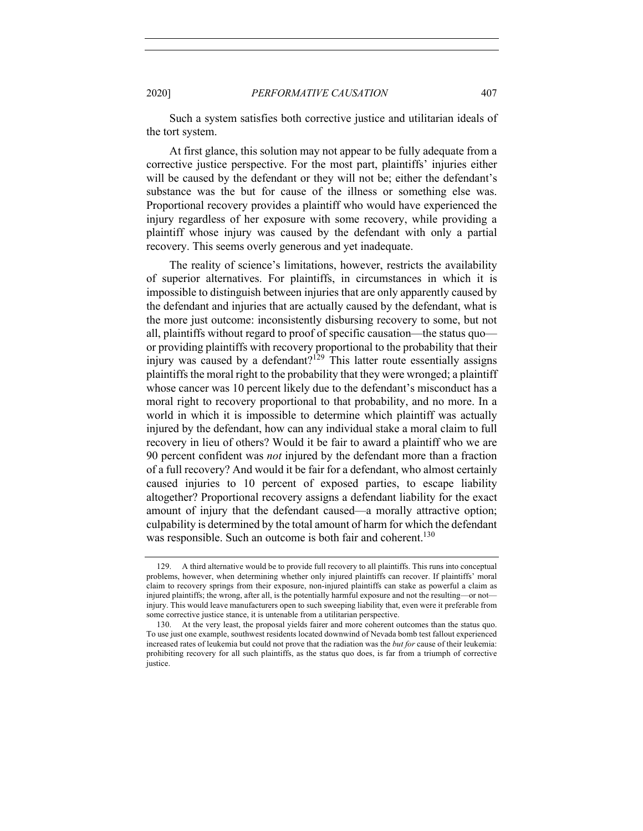Such a system satisfies both corrective justice and utilitarian ideals of the tort system.

At first glance, this solution may not appear to be fully adequate from a corrective justice perspective. For the most part, plaintiffs' injuries either will be caused by the defendant or they will not be; either the defendant's substance was the but for cause of the illness or something else was. Proportional recovery provides a plaintiff who would have experienced the injury regardless of her exposure with some recovery, while providing a plaintiff whose injury was caused by the defendant with only a partial recovery. This seems overly generous and yet inadequate.

The reality of science's limitations, however, restricts the availability of superior alternatives. For plaintiffs, in circumstances in which it is impossible to distinguish between injuries that are only apparently caused by the defendant and injuries that are actually caused by the defendant, what is the more just outcome: inconsistently disbursing recovery to some, but not all, plaintiffs without regard to proof of specific causation—the status quo or providing plaintiffs with recovery proportional to the probability that their injury was caused by a defendant?<sup>129</sup> This latter route essentially assigns plaintiffs the moral right to the probability that they were wronged; a plaintiff whose cancer was 10 percent likely due to the defendant's misconduct has a moral right to recovery proportional to that probability, and no more. In a world in which it is impossible to determine which plaintiff was actually injured by the defendant, how can any individual stake a moral claim to full recovery in lieu of others? Would it be fair to award a plaintiff who we are 90 percent confident was *not* injured by the defendant more than a fraction of a full recovery? And would it be fair for a defendant, who almost certainly caused injuries to 10 percent of exposed parties, to escape liability altogether? Proportional recovery assigns a defendant liability for the exact amount of injury that the defendant caused—a morally attractive option; culpability is determined by the total amount of harm for which the defendant was responsible. Such an outcome is both fair and coherent.<sup>130</sup>

<sup>129.</sup> A third alternative would be to provide full recovery to all plaintiffs. This runs into conceptual problems, however, when determining whether only injured plaintiffs can recover. If plaintiffs' moral claim to recovery springs from their exposure, non-injured plaintiffs can stake as powerful a claim as injured plaintiffs; the wrong, after all, is the potentially harmful exposure and not the resulting—or not injury. This would leave manufacturers open to such sweeping liability that, even were it preferable from some corrective justice stance, it is untenable from a utilitarian perspective.

<sup>130.</sup> At the very least, the proposal yields fairer and more coherent outcomes than the status quo. To use just one example, southwest residents located downwind of Nevada bomb test fallout experienced increased rates of leukemia but could not prove that the radiation was the *but for* cause of their leukemia: prohibiting recovery for all such plaintiffs, as the status quo does, is far from a triumph of corrective justice.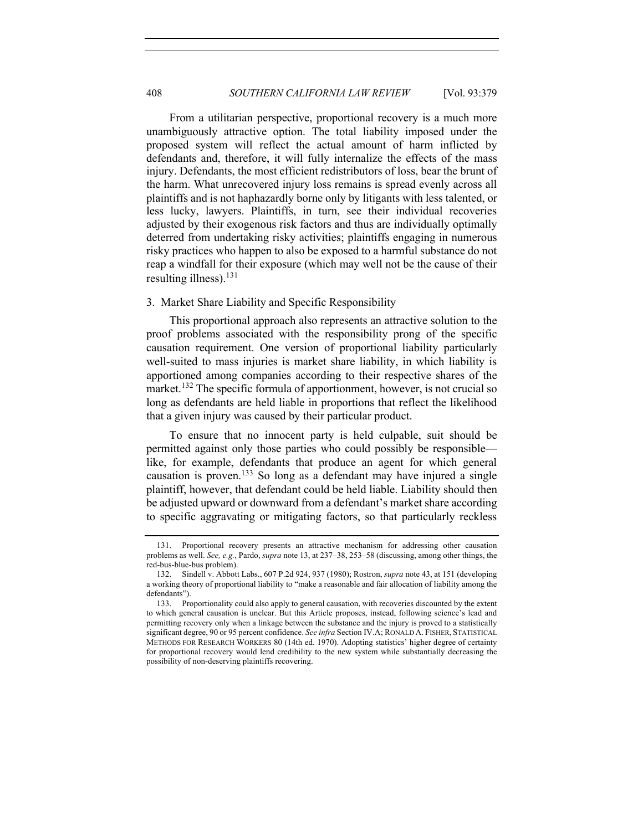From a utilitarian perspective, proportional recovery is a much more unambiguously attractive option. The total liability imposed under the proposed system will reflect the actual amount of harm inflicted by defendants and, therefore, it will fully internalize the effects of the mass injury. Defendants, the most efficient redistributors of loss, bear the brunt of the harm. What unrecovered injury loss remains is spread evenly across all plaintiffs and is not haphazardly borne only by litigants with less talented, or less lucky, lawyers. Plaintiffs, in turn, see their individual recoveries adjusted by their exogenous risk factors and thus are individually optimally deterred from undertaking risky activities; plaintiffs engaging in numerous risky practices who happen to also be exposed to a harmful substance do not reap a windfall for their exposure (which may well not be the cause of their resulting illness).<sup>131</sup>

## 3. Market Share Liability and Specific Responsibility

This proportional approach also represents an attractive solution to the proof problems associated with the responsibility prong of the specific causation requirement. One version of proportional liability particularly well-suited to mass injuries is market share liability, in which liability is apportioned among companies according to their respective shares of the market.<sup>132</sup> The specific formula of apportionment, however, is not crucial so long as defendants are held liable in proportions that reflect the likelihood that a given injury was caused by their particular product.

To ensure that no innocent party is held culpable, suit should be permitted against only those parties who could possibly be responsible like, for example, defendants that produce an agent for which general causation is proven.133 So long as a defendant may have injured a single plaintiff, however, that defendant could be held liable. Liability should then be adjusted upward or downward from a defendant's market share according to specific aggravating or mitigating factors, so that particularly reckless

<sup>131.</sup> Proportional recovery presents an attractive mechanism for addressing other causation problems as well. *See, e.g.*, Pardo, *supra* note 13, at 237–38, 253–58 (discussing, among other things, the red-bus-blue-bus problem).

<sup>132.</sup> Sindell v. Abbott Labs., 607 P.2d 924, 937 (1980); Rostron, *supra* note 43, at 151 (developing a working theory of proportional liability to "make a reasonable and fair allocation of liability among the defendants").

<sup>133.</sup> Proportionality could also apply to general causation, with recoveries discounted by the extent to which general causation is unclear. But this Article proposes, instead, following science's lead and permitting recovery only when a linkage between the substance and the injury is proved to a statistically significant degree, 90 or 95 percent confidence. *See infra* Section IV.A; RONALD A. FISHER, STATISTICAL METHODS FOR RESEARCH WORKERS 80 (14th ed. 1970). Adopting statistics' higher degree of certainty for proportional recovery would lend credibility to the new system while substantially decreasing the possibility of non-deserving plaintiffs recovering.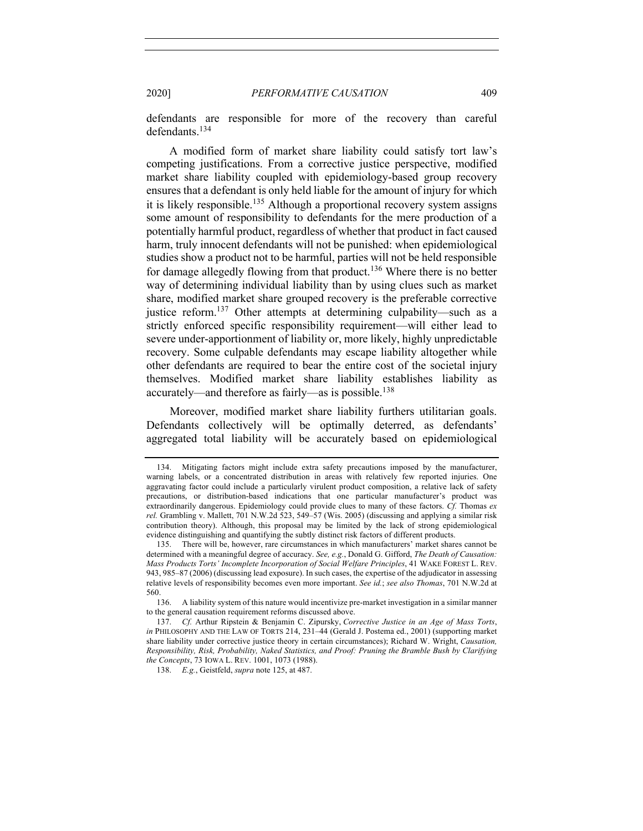defendants are responsible for more of the recovery than careful defendants.134

A modified form of market share liability could satisfy tort law's competing justifications. From a corrective justice perspective, modified market share liability coupled with epidemiology-based group recovery ensures that a defendant is only held liable for the amount of injury for which it is likely responsible.<sup>135</sup> Although a proportional recovery system assigns some amount of responsibility to defendants for the mere production of a potentially harmful product, regardless of whether that product in fact caused harm, truly innocent defendants will not be punished: when epidemiological studies show a product not to be harmful, parties will not be held responsible for damage allegedly flowing from that product.<sup>136</sup> Where there is no better way of determining individual liability than by using clues such as market share, modified market share grouped recovery is the preferable corrective justice reform.<sup>137</sup> Other attempts at determining culpability—such as a strictly enforced specific responsibility requirement—will either lead to severe under-apportionment of liability or, more likely, highly unpredictable recovery. Some culpable defendants may escape liability altogether while other defendants are required to bear the entire cost of the societal injury themselves. Modified market share liability establishes liability as accurately—and therefore as fairly—as is possible.<sup>138</sup>

Moreover, modified market share liability furthers utilitarian goals. Defendants collectively will be optimally deterred, as defendants' aggregated total liability will be accurately based on epidemiological

136. A liability system of this nature would incentivize pre-market investigation in a similar manner to the general causation requirement reforms discussed above.

138. *E.g.*, Geistfeld, *supra* note 125, at 487.

<sup>134.</sup> Mitigating factors might include extra safety precautions imposed by the manufacturer, warning labels, or a concentrated distribution in areas with relatively few reported injuries. One aggravating factor could include a particularly virulent product composition, a relative lack of safety precautions, or distribution-based indications that one particular manufacturer's product was extraordinarily dangerous. Epidemiology could provide clues to many of these factors. *Cf.* Thomas *ex rel.* Grambling v. Mallett, 701 N.W.2d 523, 549–57 (Wis. 2005) (discussing and applying a similar risk contribution theory). Although, this proposal may be limited by the lack of strong epidemiological evidence distinguishing and quantifying the subtly distinct risk factors of different products.

<sup>135.</sup> There will be, however, rare circumstances in which manufacturers' market shares cannot be determined with a meaningful degree of accuracy. *See, e.g.*, Donald G. Gifford, *The Death of Causation: Mass Products Torts' Incomplete Incorporation of Social Welfare Principles*, 41 WAKE FOREST L. REV. 943, 985–87 (2006) (discussing lead exposure). In such cases, the expertise of the adjudicator in assessing relative levels of responsibility becomes even more important. *See id.*; *see also Thomas*, 701 N.W.2d at 560.

<sup>137.</sup> *Cf.* Arthur Ripstein & Benjamin C. Zipursky, *Corrective Justice in an Age of Mass Torts*, *in* PHILOSOPHY AND THE LAW OF TORTS 214, 231–44 (Gerald J. Postema ed., 2001) (supporting market share liability under corrective justice theory in certain circumstances); Richard W. Wright, *Causation, Responsibility, Risk, Probability, Naked Statistics, and Proof: Pruning the Bramble Bush by Clarifying the Concepts*, 73 IOWA L. REV. 1001, 1073 (1988).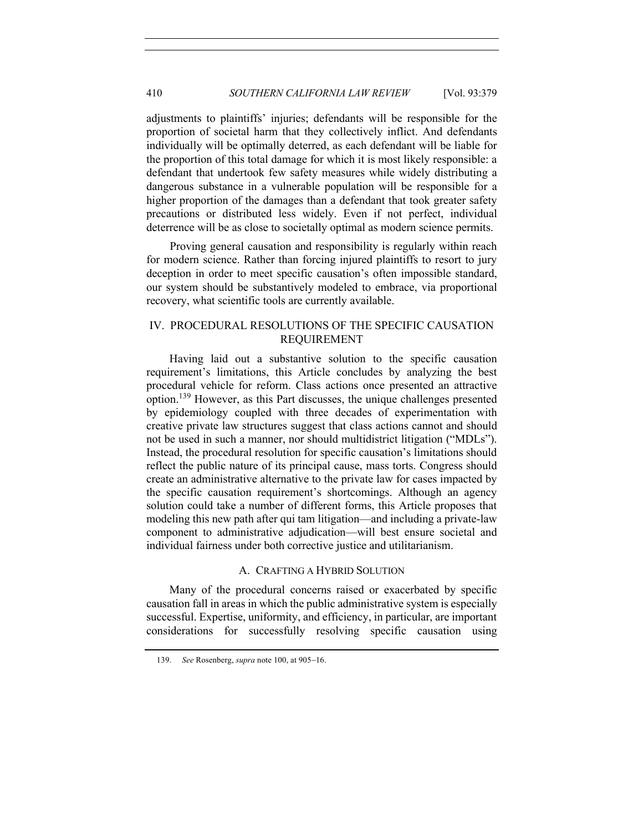adjustments to plaintiffs' injuries; defendants will be responsible for the proportion of societal harm that they collectively inflict. And defendants individually will be optimally deterred, as each defendant will be liable for the proportion of this total damage for which it is most likely responsible: a defendant that undertook few safety measures while widely distributing a dangerous substance in a vulnerable population will be responsible for a higher proportion of the damages than a defendant that took greater safety precautions or distributed less widely. Even if not perfect, individual deterrence will be as close to societally optimal as modern science permits.

Proving general causation and responsibility is regularly within reach for modern science. Rather than forcing injured plaintiffs to resort to jury deception in order to meet specific causation's often impossible standard, our system should be substantively modeled to embrace, via proportional recovery, what scientific tools are currently available.

# IV. PROCEDURAL RESOLUTIONS OF THE SPECIFIC CAUSATION REQUIREMENT

Having laid out a substantive solution to the specific causation requirement's limitations, this Article concludes by analyzing the best procedural vehicle for reform. Class actions once presented an attractive option. <sup>139</sup> However, as this Part discusses, the unique challenges presented by epidemiology coupled with three decades of experimentation with creative private law structures suggest that class actions cannot and should not be used in such a manner, nor should multidistrict litigation ("MDLs"). Instead, the procedural resolution for specific causation's limitations should reflect the public nature of its principal cause, mass torts. Congress should create an administrative alternative to the private law for cases impacted by the specific causation requirement's shortcomings. Although an agency solution could take a number of different forms, this Article proposes that modeling this new path after qui tam litigation—and including a private-law component to administrative adjudication—will best ensure societal and individual fairness under both corrective justice and utilitarianism.

# A. CRAFTING A HYBRID SOLUTION

Many of the procedural concerns raised or exacerbated by specific causation fall in areas in which the public administrative system is especially successful. Expertise, uniformity, and efficiency, in particular, are important considerations for successfully resolving specific causation using

<sup>139.</sup> *See* Rosenberg, *supra* note 100, at 905-16.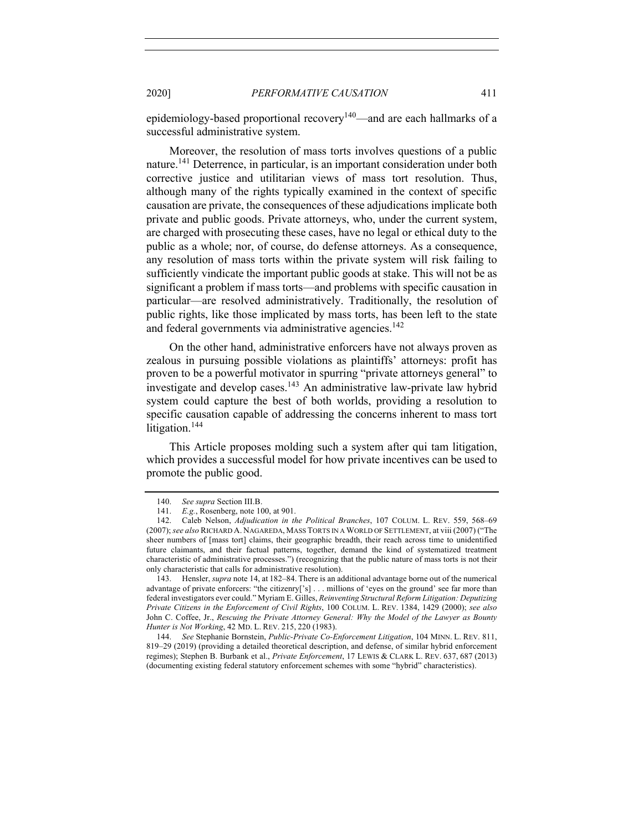epidemiology-based proportional recovery<sup>140</sup>—and are each hallmarks of a successful administrative system.

Moreover, the resolution of mass torts involves questions of a public nature.141 Deterrence, in particular, is an important consideration under both corrective justice and utilitarian views of mass tort resolution. Thus, although many of the rights typically examined in the context of specific causation are private, the consequences of these adjudications implicate both private and public goods. Private attorneys, who, under the current system, are charged with prosecuting these cases, have no legal or ethical duty to the public as a whole; nor, of course, do defense attorneys. As a consequence, any resolution of mass torts within the private system will risk failing to sufficiently vindicate the important public goods at stake. This will not be as significant a problem if mass torts—and problems with specific causation in particular—are resolved administratively. Traditionally, the resolution of public rights, like those implicated by mass torts, has been left to the state and federal governments via administrative agencies.<sup>142</sup>

On the other hand, administrative enforcers have not always proven as zealous in pursuing possible violations as plaintiffs' attorneys: profit has proven to be a powerful motivator in spurring "private attorneys general" to investigate and develop cases.<sup>143</sup> An administrative law-private law hybrid system could capture the best of both worlds, providing a resolution to specific causation capable of addressing the concerns inherent to mass tort litigation.<sup>144</sup>

This Article proposes molding such a system after qui tam litigation, which provides a successful model for how private incentives can be used to promote the public good.

<sup>140.</sup> *See supra* Section III.B.

<sup>141.</sup> *E.g.*, Rosenberg, note 100, at 901.

<sup>142.</sup> Caleb Nelson, *Adjudication in the Political Branches*, 107 COLUM. L. REV. 559, 568–69 (2007); *see also* RICHARD A. NAGAREDA, MASS TORTS IN A WORLD OF SETTLEMENT, at viii (2007) ("The sheer numbers of [mass tort] claims, their geographic breadth, their reach across time to unidentified future claimants, and their factual patterns, together, demand the kind of systematized treatment characteristic of administrative processes.") (recognizing that the public nature of mass torts is not their only characteristic that calls for administrative resolution).

<sup>143.</sup> Hensler, *supra* note 14, at 182–84. There is an additional advantage borne out of the numerical advantage of private enforcers: "the citizenry['s] . . . millions of 'eyes on the ground' see far more than federal investigators ever could." Myriam E. Gilles, *Reinventing Structural Reform Litigation: Deputizing Private Citizens in the Enforcement of Civil Rights*, 100 COLUM. L. REV. 1384, 1429 (2000); *see also* John C. Coffee, Jr., *Rescuing the Private Attorney General: Why the Model of the Lawyer as Bounty Hunter is Not Working*, 42 MD. L. REV. 215, 220 (1983).

<sup>144.</sup> *See* Stephanie Bornstein, *Public-Private Co-Enforcement Litigation*, 104 MINN. L. REV. 811, 819–29 (2019) (providing a detailed theoretical description, and defense, of similar hybrid enforcement regimes); Stephen B. Burbank et al., *Private Enforcement*, 17 LEWIS & CLARK L. REV. 637, 687 (2013) (documenting existing federal statutory enforcement schemes with some "hybrid" characteristics).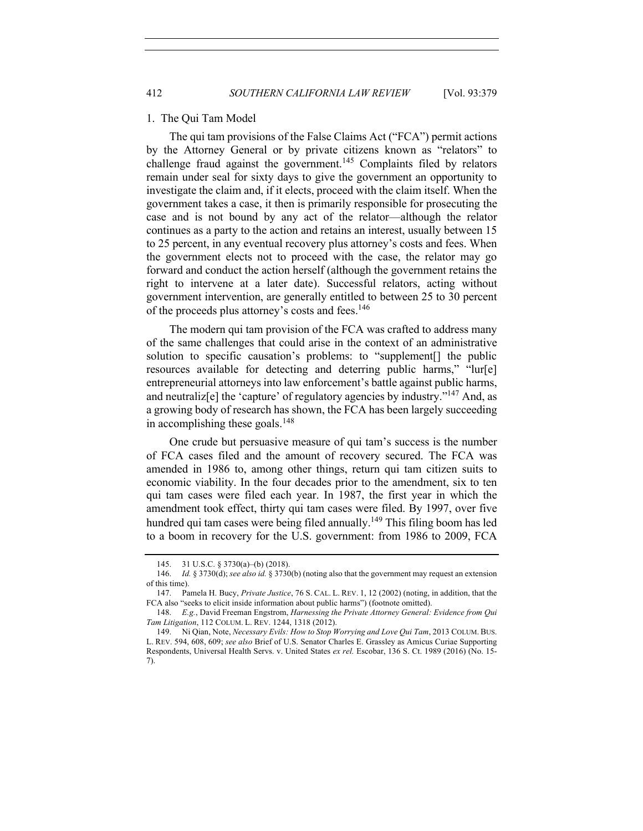#### 1. The Qui Tam Model

The qui tam provisions of the False Claims Act ("FCA") permit actions by the Attorney General or by private citizens known as "relators" to challenge fraud against the government.<sup>145</sup> Complaints filed by relators remain under seal for sixty days to give the government an opportunity to investigate the claim and, if it elects, proceed with the claim itself. When the government takes a case, it then is primarily responsible for prosecuting the case and is not bound by any act of the relator—although the relator continues as a party to the action and retains an interest, usually between 15 to 25 percent, in any eventual recovery plus attorney's costs and fees. When the government elects not to proceed with the case, the relator may go forward and conduct the action herself (although the government retains the right to intervene at a later date). Successful relators, acting without government intervention, are generally entitled to between 25 to 30 percent of the proceeds plus attorney's costs and fees.<sup>146</sup>

The modern qui tam provision of the FCA was crafted to address many of the same challenges that could arise in the context of an administrative solution to specific causation's problems: to "supplement[] the public resources available for detecting and deterring public harms," "lur[e] entrepreneurial attorneys into law enforcement's battle against public harms, and neutralize  $\epsilon$  the 'capture' of regulatory agencies by industry.<sup> $147$ </sup> And, as a growing body of research has shown, the FCA has been largely succeeding in accomplishing these goals.<sup>148</sup>

One crude but persuasive measure of qui tam's success is the number of FCA cases filed and the amount of recovery secured. The FCA was amended in 1986 to, among other things, return qui tam citizen suits to economic viability. In the four decades prior to the amendment, six to ten qui tam cases were filed each year. In 1987, the first year in which the amendment took effect, thirty qui tam cases were filed. By 1997, over five hundred qui tam cases were being filed annually.<sup>149</sup> This filing boom has led to a boom in recovery for the U.S. government: from 1986 to 2009, FCA

<sup>145.</sup> 31 U.S.C. § 3730(a)–(b) (2018).

<sup>146.</sup> *Id.* § 3730(d); *see also id.* § 3730(b) (noting also that the government may request an extension of this time).

<sup>147.</sup> Pamela H. Bucy, *Private Justice*, 76 S. CAL. L. REV. 1, 12 (2002) (noting, in addition, that the FCA also "seeks to elicit inside information about public harms") (footnote omitted).

<sup>148.</sup> *E.g.*, David Freeman Engstrom, *Harnessing the Private Attorney General: Evidence from Qui Tam Litigation*, 112 COLUM. L. REV. 1244, 1318 (2012).

<sup>149.</sup> Ni Qian, Note, *Necessary Evils: How to Stop Worrying and Love Qui Tam*, 2013 COLUM. BUS. L. REV. 594, 608, 609; *see also* Brief of U.S. Senator Charles E. Grassley as Amicus Curiae Supporting Respondents, Universal Health Servs. v. United States *ex rel.* Escobar, 136 S. Ct. 1989 (2016) (No. 15- 7).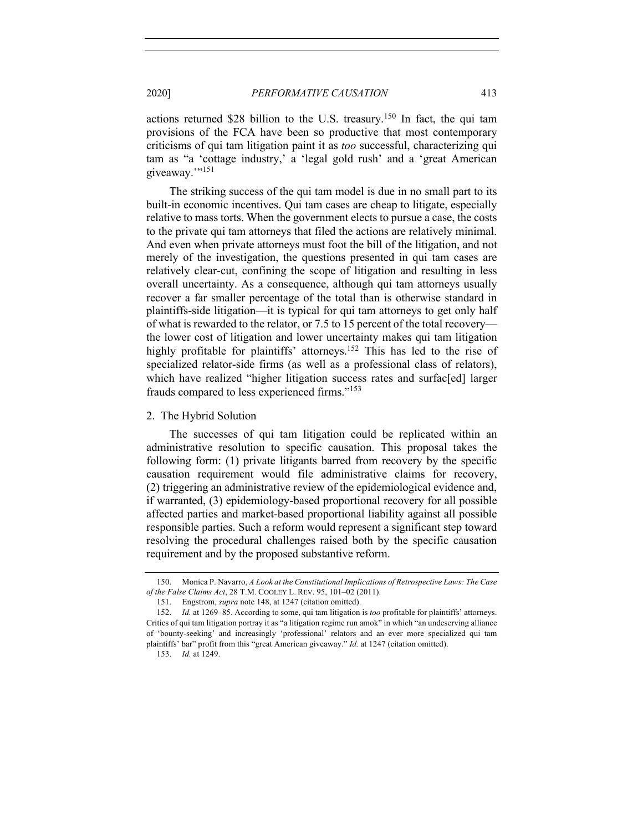actions returned \$28 billion to the U.S. treasury.<sup>150</sup> In fact, the qui tam provisions of the FCA have been so productive that most contemporary criticisms of qui tam litigation paint it as *too* successful, characterizing qui tam as "a 'cottage industry,' a 'legal gold rush' and a 'great American giveaway.">151

The striking success of the qui tam model is due in no small part to its built-in economic incentives. Qui tam cases are cheap to litigate, especially relative to mass torts. When the government elects to pursue a case, the costs to the private qui tam attorneys that filed the actions are relatively minimal. And even when private attorneys must foot the bill of the litigation, and not merely of the investigation, the questions presented in qui tam cases are relatively clear-cut, confining the scope of litigation and resulting in less overall uncertainty. As a consequence, although qui tam attorneys usually recover a far smaller percentage of the total than is otherwise standard in plaintiffs-side litigation—it is typical for qui tam attorneys to get only half of what is rewarded to the relator, or 7.5 to 15 percent of the total recovery the lower cost of litigation and lower uncertainty makes qui tam litigation highly profitable for plaintiffs' attorneys.<sup>152</sup> This has led to the rise of specialized relator-side firms (as well as a professional class of relators), which have realized "higher litigation success rates and surfac[ed] larger frauds compared to less experienced firms."153

#### 2. The Hybrid Solution

The successes of qui tam litigation could be replicated within an administrative resolution to specific causation. This proposal takes the following form: (1) private litigants barred from recovery by the specific causation requirement would file administrative claims for recovery, (2) triggering an administrative review of the epidemiological evidence and, if warranted, (3) epidemiology-based proportional recovery for all possible affected parties and market-based proportional liability against all possible responsible parties. Such a reform would represent a significant step toward resolving the procedural challenges raised both by the specific causation requirement and by the proposed substantive reform.

<sup>150.</sup> Monica P. Navarro, *A Look at the Constitutional Implications of Retrospective Laws: The Case of the False Claims Act*, 28 T.M. COOLEY L. REV. 95, 101–02 (2011).

<sup>151.</sup> Engstrom, *supra* note 148, at 1247 (citation omitted).

<sup>152.</sup> *Id.* at 1269–85. According to some, qui tam litigation is *too* profitable for plaintiffs' attorneys. Critics of qui tam litigation portray it as "a litigation regime run amok" in which "an undeserving alliance of 'bounty-seeking' and increasingly 'professional' relators and an ever more specialized qui tam plaintiffs' bar" profit from this "great American giveaway." *Id.* at 1247 (citation omitted).

<sup>153.</sup> *Id.* at 1249.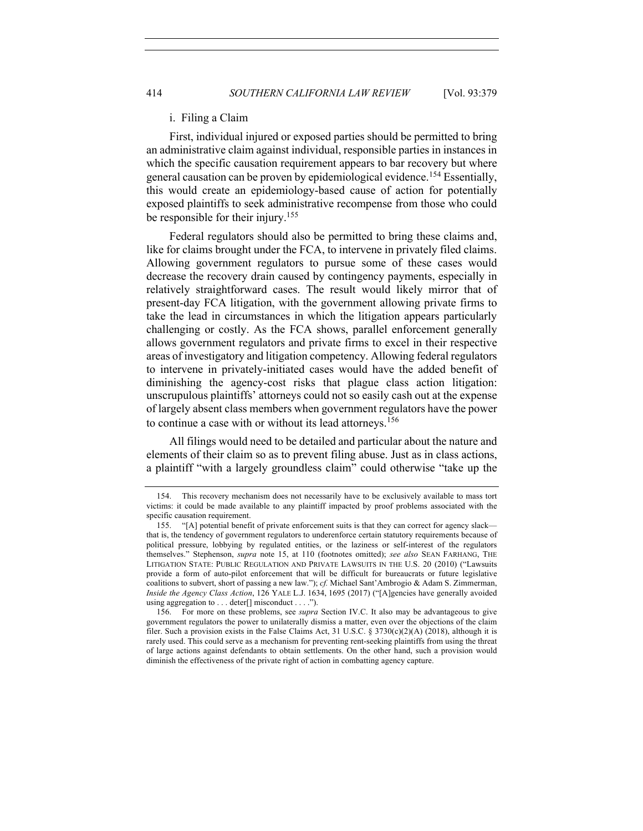#### i. Filing a Claim

First, individual injured or exposed parties should be permitted to bring an administrative claim against individual, responsible parties in instances in which the specific causation requirement appears to bar recovery but where general causation can be proven by epidemiological evidence.<sup>154</sup> Essentially, this would create an epidemiology-based cause of action for potentially exposed plaintiffs to seek administrative recompense from those who could be responsible for their injury.<sup>155</sup>

Federal regulators should also be permitted to bring these claims and, like for claims brought under the FCA, to intervene in privately filed claims. Allowing government regulators to pursue some of these cases would decrease the recovery drain caused by contingency payments, especially in relatively straightforward cases. The result would likely mirror that of present-day FCA litigation, with the government allowing private firms to take the lead in circumstances in which the litigation appears particularly challenging or costly. As the FCA shows, parallel enforcement generally allows government regulators and private firms to excel in their respective areas of investigatory and litigation competency. Allowing federal regulators to intervene in privately-initiated cases would have the added benefit of diminishing the agency-cost risks that plague class action litigation: unscrupulous plaintiffs' attorneys could not so easily cash out at the expense of largely absent class members when government regulators have the power to continue a case with or without its lead attorneys.<sup>156</sup>

All filings would need to be detailed and particular about the nature and elements of their claim so as to prevent filing abuse. Just as in class actions, a plaintiff "with a largely groundless claim" could otherwise "take up the

<sup>154.</sup> This recovery mechanism does not necessarily have to be exclusively available to mass tort victims: it could be made available to any plaintiff impacted by proof problems associated with the specific causation requirement.

<sup>155.</sup> "[A] potential benefit of private enforcement suits is that they can correct for agency slack that is, the tendency of government regulators to underenforce certain statutory requirements because of political pressure, lobbying by regulated entities, or the laziness or self-interest of the regulators themselves." Stephenson, *supra* note 15, at 110 (footnotes omitted); *see also* SEAN FARHANG, THE LITIGATION STATE: PUBLIC REGULATION AND PRIVATE LAWSUITS IN THE U.S. 20 (2010) ("Lawsuits provide a form of auto-pilot enforcement that will be difficult for bureaucrats or future legislative coalitions to subvert, short of passing a new law."); *cf.* Michael Sant'Ambrogio & Adam S. Zimmerman, *Inside the Agency Class Action*, 126 YALE L.J. 1634, 1695 (2017) ("[A]gencies have generally avoided using aggregation to . . . deter[] misconduct . . . .").

<sup>156.</sup> For more on these problems, see *supra* Section IV.C. It also may be advantageous to give government regulators the power to unilaterally dismiss a matter, even over the objections of the claim filer. Such a provision exists in the False Claims Act, 31 U.S.C. § 3730(c)(2)(A) (2018), although it is rarely used. This could serve as a mechanism for preventing rent-seeking plaintiffs from using the threat of large actions against defendants to obtain settlements. On the other hand, such a provision would diminish the effectiveness of the private right of action in combatting agency capture.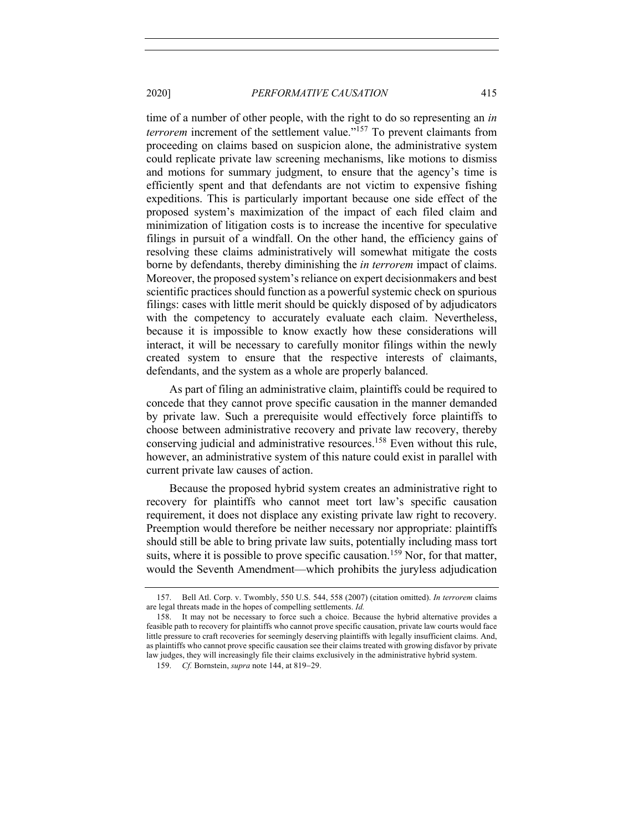time of a number of other people, with the right to do so representing an *in terrorem* increment of the settlement value."<sup>157</sup> To prevent claimants from proceeding on claims based on suspicion alone, the administrative system could replicate private law screening mechanisms, like motions to dismiss and motions for summary judgment, to ensure that the agency's time is efficiently spent and that defendants are not victim to expensive fishing expeditions. This is particularly important because one side effect of the proposed system's maximization of the impact of each filed claim and minimization of litigation costs is to increase the incentive for speculative filings in pursuit of a windfall. On the other hand, the efficiency gains of resolving these claims administratively will somewhat mitigate the costs borne by defendants, thereby diminishing the *in terrorem* impact of claims. Moreover, the proposed system's reliance on expert decisionmakers and best scientific practices should function as a powerful systemic check on spurious filings: cases with little merit should be quickly disposed of by adjudicators with the competency to accurately evaluate each claim. Nevertheless, because it is impossible to know exactly how these considerations will interact, it will be necessary to carefully monitor filings within the newly created system to ensure that the respective interests of claimants, defendants, and the system as a whole are properly balanced.

As part of filing an administrative claim, plaintiffs could be required to concede that they cannot prove specific causation in the manner demanded by private law. Such a prerequisite would effectively force plaintiffs to choose between administrative recovery and private law recovery, thereby conserving judicial and administrative resources.<sup>158</sup> Even without this rule, however, an administrative system of this nature could exist in parallel with current private law causes of action.

Because the proposed hybrid system creates an administrative right to recovery for plaintiffs who cannot meet tort law's specific causation requirement, it does not displace any existing private law right to recovery. Preemption would therefore be neither necessary nor appropriate: plaintiffs should still be able to bring private law suits, potentially including mass tort suits, where it is possible to prove specific causation.<sup>159</sup> Nor, for that matter, would the Seventh Amendment—which prohibits the juryless adjudication

<sup>157.</sup> Bell Atl. Corp. v. Twombly, 550 U.S. 544, 558 (2007) (citation omitted). *In terrorem* claims are legal threats made in the hopes of compelling settlements. *Id.*

<sup>158.</sup> It may not be necessary to force such a choice. Because the hybrid alternative provides a feasible path to recovery for plaintiffs who cannot prove specific causation, private law courts would face little pressure to craft recoveries for seemingly deserving plaintiffs with legally insufficient claims. And, as plaintiffs who cannot prove specific causation see their claims treated with growing disfavor by private law judges, they will increasingly file their claims exclusively in the administrative hybrid system.

<sup>159.</sup> *Cf.* Bornstein, *supra* note 144, at 819-29.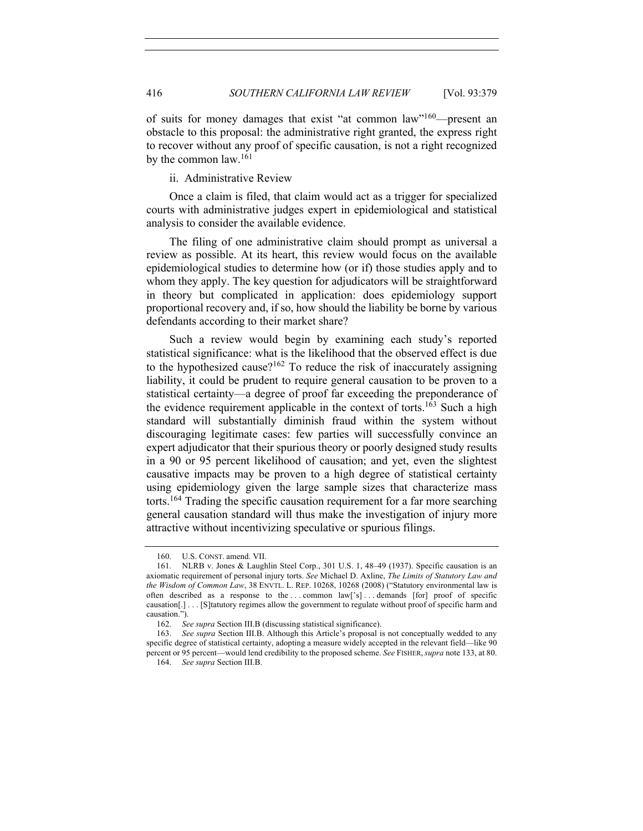of suits for money damages that exist "at common law"160—present an obstacle to this proposal: the administrative right granted, the express right to recover without any proof of specific causation, is not a right recognized by the common law.<sup>161</sup>

ii. Administrative Review

Once a claim is filed, that claim would act as a trigger for specialized courts with administrative judges expert in epidemiological and statistical analysis to consider the available evidence.

The filing of one administrative claim should prompt as universal a review as possible. At its heart, this review would focus on the available epidemiological studies to determine how (or if) those studies apply and to whom they apply. The key question for adjudicators will be straightforward in theory but complicated in application: does epidemiology support proportional recovery and, if so, how should the liability be borne by various defendants according to their market share?

Such a review would begin by examining each study's reported statistical significance: what is the likelihood that the observed effect is due to the hypothesized cause?<sup>162</sup> To reduce the risk of inaccurately assigning liability, it could be prudent to require general causation to be proven to a statistical certainty—a degree of proof far exceeding the preponderance of the evidence requirement applicable in the context of torts.<sup>163</sup> Such a high standard will substantially diminish fraud within the system without discouraging legitimate cases: few parties will successfully convince an expert adjudicator that their spurious theory or poorly designed study results in a 90 or 95 percent likelihood of causation; and yet, even the slightest causative impacts may be proven to a high degree of statistical certainty using epidemiology given the large sample sizes that characterize mass torts.<sup>164</sup> Trading the specific causation requirement for a far more searching general causation standard will thus make the investigation of injury more attractive without incentivizing speculative or spurious filings.

<sup>160.</sup> U.S. CONST. amend. VII.

<sup>161.</sup> NLRB v. Jones & Laughlin Steel Corp., 301 U.S. 1, 48–49 (1937). Specific causation is an axiomatic requirement of personal injury torts. *See* Michael D. Axline, *The Limits of Statutory Law and the Wisdom of Common Law*, 38 ENVTL. L. REP. 10268, 10268 (2008) ("Statutory environmental law is often described as a response to the ... common law['s] ... demands [for] proof of specific causation[.] . . . [S]tatutory regimes allow the government to regulate without proof of specific harm and causation.").

<sup>162.</sup> *See supra* Section III.B (discussing statistical significance).

<sup>163.</sup> *See supra* Section III.B. Although this Article's proposal is not conceptually wedded to any specific degree of statistical certainty, adopting a measure widely accepted in the relevant field—like 90 percent or 95 percent—would lend credibility to the proposed scheme. *See* FISHER,*supra* note 133, at 80.

<sup>164.</sup> *See supra* Section III.B.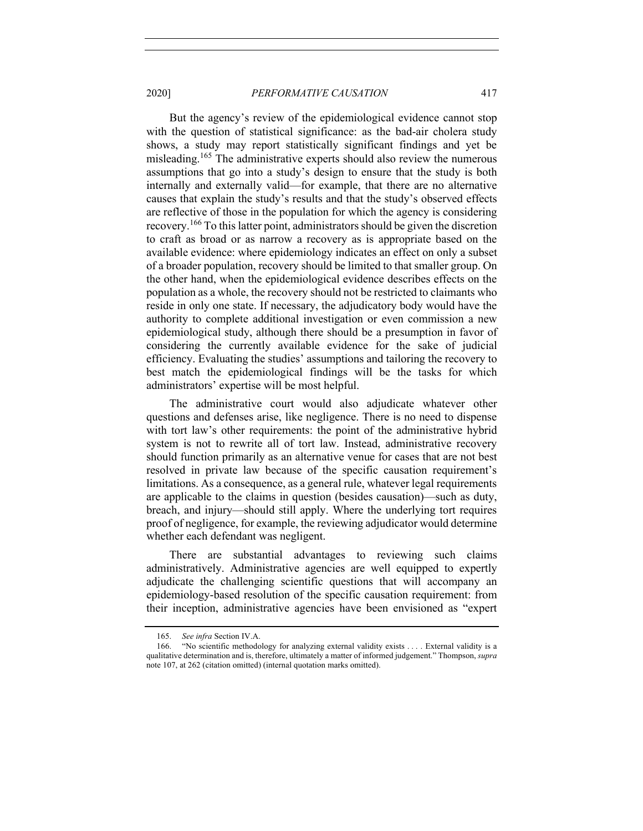But the agency's review of the epidemiological evidence cannot stop with the question of statistical significance: as the bad-air cholera study shows, a study may report statistically significant findings and yet be misleading.<sup>165</sup> The administrative experts should also review the numerous assumptions that go into a study's design to ensure that the study is both internally and externally valid—for example, that there are no alternative causes that explain the study's results and that the study's observed effects are reflective of those in the population for which the agency is considering recovery.<sup>166</sup> To this latter point, administrators should be given the discretion to craft as broad or as narrow a recovery as is appropriate based on the available evidence: where epidemiology indicates an effect on only a subset of a broader population, recovery should be limited to that smaller group. On the other hand, when the epidemiological evidence describes effects on the population as a whole, the recovery should not be restricted to claimants who reside in only one state. If necessary, the adjudicatory body would have the authority to complete additional investigation or even commission a new epidemiological study, although there should be a presumption in favor of considering the currently available evidence for the sake of judicial efficiency. Evaluating the studies' assumptions and tailoring the recovery to best match the epidemiological findings will be the tasks for which administrators' expertise will be most helpful.

The administrative court would also adjudicate whatever other questions and defenses arise, like negligence. There is no need to dispense with tort law's other requirements: the point of the administrative hybrid system is not to rewrite all of tort law. Instead, administrative recovery should function primarily as an alternative venue for cases that are not best resolved in private law because of the specific causation requirement's limitations. As a consequence, as a general rule, whatever legal requirements are applicable to the claims in question (besides causation)—such as duty, breach, and injury—should still apply. Where the underlying tort requires proof of negligence, for example, the reviewing adjudicator would determine whether each defendant was negligent.

There are substantial advantages to reviewing such claims administratively. Administrative agencies are well equipped to expertly adjudicate the challenging scientific questions that will accompany an epidemiology-based resolution of the specific causation requirement: from their inception, administrative agencies have been envisioned as "expert

<sup>165.</sup> *See infra* Section IV.A.

<sup>166.</sup> "No scientific methodology for analyzing external validity exists . . . . External validity is a qualitative determination and is, therefore, ultimately a matter of informed judgement." Thompson, *supra*  note 107, at 262 (citation omitted) (internal quotation marks omitted).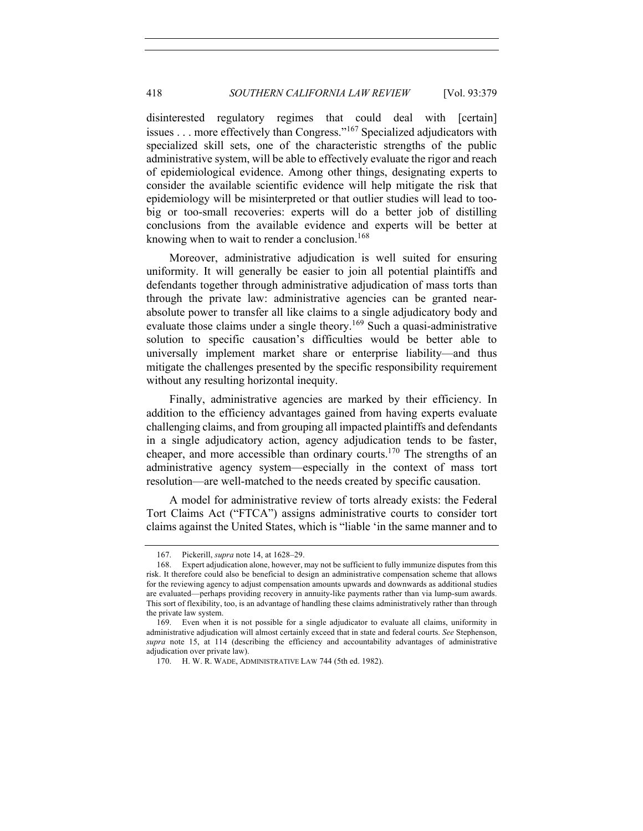disinterested regulatory regimes that could deal with [certain] issues . . . more effectively than Congress."<sup>167</sup> Specialized adjudicators with specialized skill sets, one of the characteristic strengths of the public administrative system, will be able to effectively evaluate the rigor and reach of epidemiological evidence. Among other things, designating experts to consider the available scientific evidence will help mitigate the risk that epidemiology will be misinterpreted or that outlier studies will lead to toobig or too-small recoveries: experts will do a better job of distilling conclusions from the available evidence and experts will be better at knowing when to wait to render a conclusion.<sup>168</sup>

Moreover, administrative adjudication is well suited for ensuring uniformity. It will generally be easier to join all potential plaintiffs and defendants together through administrative adjudication of mass torts than through the private law: administrative agencies can be granted nearabsolute power to transfer all like claims to a single adjudicatory body and evaluate those claims under a single theory.<sup>169</sup> Such a quasi-administrative solution to specific causation's difficulties would be better able to universally implement market share or enterprise liability—and thus mitigate the challenges presented by the specific responsibility requirement without any resulting horizontal inequity.

Finally, administrative agencies are marked by their efficiency. In addition to the efficiency advantages gained from having experts evaluate challenging claims, and from grouping all impacted plaintiffs and defendants in a single adjudicatory action, agency adjudication tends to be faster, cheaper, and more accessible than ordinary courts.170 The strengths of an administrative agency system—especially in the context of mass tort resolution—are well-matched to the needs created by specific causation.

A model for administrative review of torts already exists: the Federal Tort Claims Act ("FTCA") assigns administrative courts to consider tort claims against the United States, which is "liable 'in the same manner and to

<sup>167.</sup> Pickerill, *supra* note 14, at 1628–29.

<sup>168.</sup> Expert adjudication alone, however, may not be sufficient to fully immunize disputes from this risk. It therefore could also be beneficial to design an administrative compensation scheme that allows for the reviewing agency to adjust compensation amounts upwards and downwards as additional studies are evaluated—perhaps providing recovery in annuity-like payments rather than via lump-sum awards. This sort of flexibility, too, is an advantage of handling these claims administratively rather than through the private law system.

<sup>169.</sup> Even when it is not possible for a single adjudicator to evaluate all claims, uniformity in administrative adjudication will almost certainly exceed that in state and federal courts. *See* Stephenson, *supra* note 15, at 114 (describing the efficiency and accountability advantages of administrative adjudication over private law).

<sup>170.</sup> H. W. R. WADE, ADMINISTRATIVE LAW 744 (5th ed. 1982).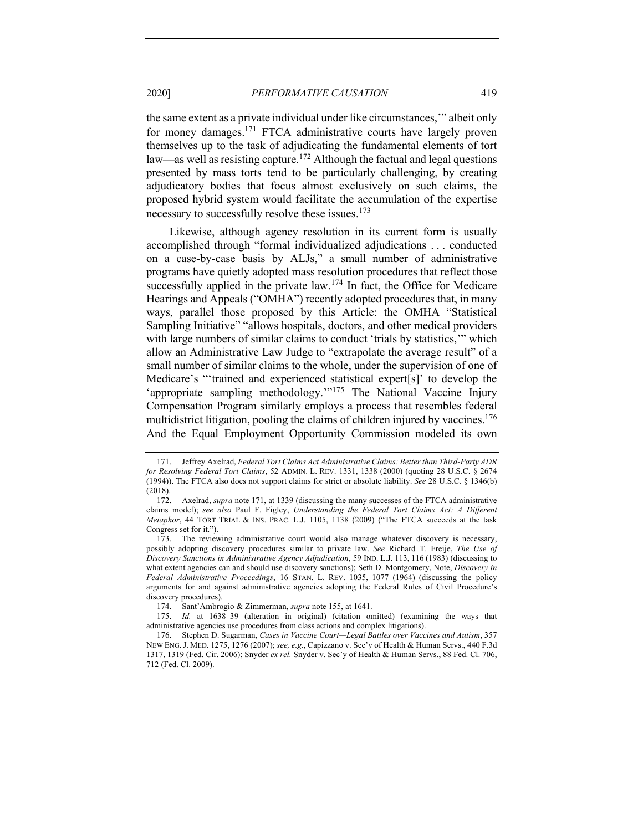the same extent as a private individual under like circumstances,'" albeit only for money damages.<sup>171</sup> FTCA administrative courts have largely proven themselves up to the task of adjudicating the fundamental elements of tort law—as well as resisting capture.<sup>172</sup> Although the factual and legal questions presented by mass torts tend to be particularly challenging, by creating adjudicatory bodies that focus almost exclusively on such claims, the proposed hybrid system would facilitate the accumulation of the expertise necessary to successfully resolve these issues.<sup>173</sup>

Likewise, although agency resolution in its current form is usually accomplished through "formal individualized adjudications . . . conducted on a case-by-case basis by ALJs," a small number of administrative programs have quietly adopted mass resolution procedures that reflect those successfully applied in the private law.<sup>174</sup> In fact, the Office for Medicare Hearings and Appeals ("OMHA") recently adopted procedures that, in many ways, parallel those proposed by this Article: the OMHA "Statistical Sampling Initiative" "allows hospitals, doctors, and other medical providers with large numbers of similar claims to conduct 'trials by statistics,'" which allow an Administrative Law Judge to "extrapolate the average result" of a small number of similar claims to the whole, under the supervision of one of Medicare's "'trained and experienced statistical expert[s]' to develop the 'appropriate sampling methodology.'"<sup>175</sup> The National Vaccine Injury Compensation Program similarly employs a process that resembles federal multidistrict litigation, pooling the claims of children injured by vaccines.<sup>176</sup> And the Equal Employment Opportunity Commission modeled its own

<sup>171.</sup> Jeffrey Axelrad, *Federal Tort Claims Act Administrative Claims: Better than Third-Party ADR for Resolving Federal Tort Claims*, 52 ADMIN. L. REV. 1331, 1338 (2000) (quoting 28 U.S.C. § 2674 (1994)). The FTCA also does not support claims for strict or absolute liability. *See* 28 U.S.C. § 1346(b) (2018).

<sup>172.</sup> Axelrad, *supra* note 171, at 1339 (discussing the many successes of the FTCA administrative claims model); *see also* Paul F. Figley, *Understanding the Federal Tort Claims Act: A Different Metaphor*, 44 TORT TRIAL & INS. PRAC. L.J. 1105, 1138 (2009) ("The FTCA succeeds at the task Congress set for it.").

<sup>173.</sup> The reviewing administrative court would also manage whatever discovery is necessary, possibly adopting discovery procedures similar to private law. *See* Richard T. Freije, *The Use of Discovery Sanctions in Administrative Agency Adjudication*, 59 IND. L.J. 113, 116 (1983) (discussing to what extent agencies can and should use discovery sanctions); Seth D. Montgomery, Note, *Discovery in Federal Administrative Proceedings*, 16 STAN. L. REV. 1035, 1077 (1964) (discussing the policy arguments for and against administrative agencies adopting the Federal Rules of Civil Procedure's discovery procedures).

<sup>174.</sup> Sant'Ambrogio & Zimmerman, *supra* note 155, at 1641.

<sup>175.</sup> *Id.* at 1638–39 (alteration in original) (citation omitted) (examining the ways that administrative agencies use procedures from class actions and complex litigations).

<sup>176.</sup> Stephen D. Sugarman, *Cases in Vaccine Court—Legal Battles over Vaccines and Autism*, 357 NEW ENG.J. MED. 1275, 1276 (2007); *see, e.g.*, Capizzano v. Sec'y of Health & Human Servs., 440 F.3d 1317, 1319 (Fed. Cir. 2006); Snyder *ex rel.* Snyder v. Sec'y of Health & Human Servs., 88 Fed. Cl. 706, 712 (Fed. Cl. 2009).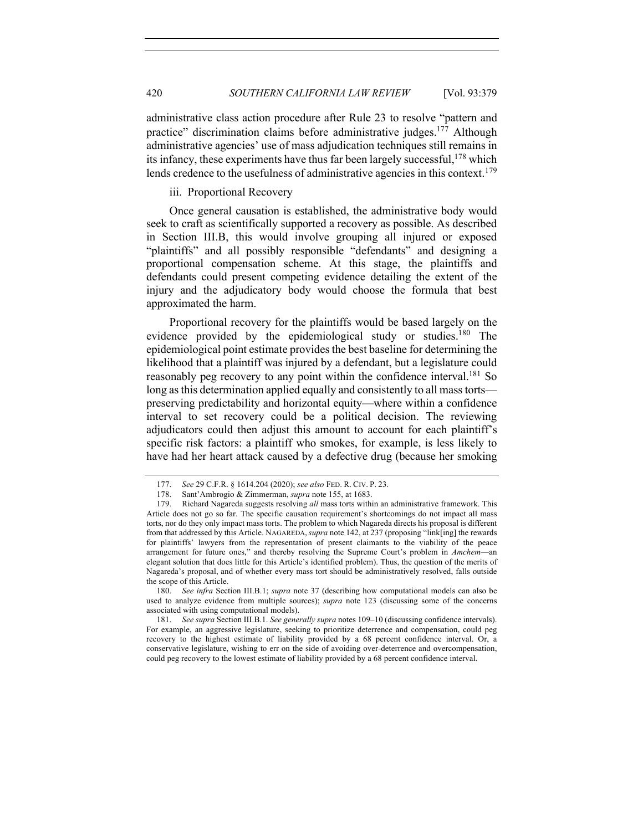administrative class action procedure after Rule 23 to resolve "pattern and practice" discrimination claims before administrative judges.177 Although administrative agencies' use of mass adjudication techniques still remains in its infancy, these experiments have thus far been largely successful,<sup>178</sup> which lends credence to the usefulness of administrative agencies in this context.<sup>179</sup>

iii. Proportional Recovery

Once general causation is established, the administrative body would seek to craft as scientifically supported a recovery as possible. As described in Section III.B, this would involve grouping all injured or exposed "plaintiffs" and all possibly responsible "defendants" and designing a proportional compensation scheme. At this stage, the plaintiffs and defendants could present competing evidence detailing the extent of the injury and the adjudicatory body would choose the formula that best approximated the harm.

Proportional recovery for the plaintiffs would be based largely on the evidence provided by the epidemiological study or studies.<sup>180</sup> The epidemiological point estimate provides the best baseline for determining the likelihood that a plaintiff was injured by a defendant, but a legislature could reasonably peg recovery to any point within the confidence interval.<sup>181</sup> So long as this determination applied equally and consistently to all mass torts preserving predictability and horizontal equity—where within a confidence interval to set recovery could be a political decision. The reviewing adjudicators could then adjust this amount to account for each plaintiff's specific risk factors: a plaintiff who smokes, for example, is less likely to have had her heart attack caused by a defective drug (because her smoking

<sup>177.</sup> *See* 29 C.F.R. § 1614.204 (2020); *see also* FED. R. CIV. P. 23.

<sup>178.</sup> Sant'Ambrogio & Zimmerman, *supra* note 155, at 1683.

<sup>179.</sup> Richard Nagareda suggests resolving *all* mass torts within an administrative framework. This Article does not go so far. The specific causation requirement's shortcomings do not impact all mass torts, nor do they only impact mass torts. The problem to which Nagareda directs his proposal is different from that addressed by this Article. NAGAREDA,*supra* note 142, at 237 (proposing "link[ing] the rewards for plaintiffs' lawyers from the representation of present claimants to the viability of the peace arrangement for future ones," and thereby resolving the Supreme Court's problem in *Amchem*—an elegant solution that does little for this Article's identified problem). Thus, the question of the merits of Nagareda's proposal, and of whether every mass tort should be administratively resolved, falls outside the scope of this Article.

<sup>180.</sup> *See infra* Section III.B.1; *supra* note 37 (describing how computational models can also be used to analyze evidence from multiple sources); *supra* note 123 (discussing some of the concerns associated with using computational models).

<sup>181.</sup> *See supra* Section III.B.1. *See generally supra* notes 109–10 (discussing confidence intervals). For example, an aggressive legislature, seeking to prioritize deterrence and compensation, could peg recovery to the highest estimate of liability provided by a 68 percent confidence interval. Or, a conservative legislature, wishing to err on the side of avoiding over-deterrence and overcompensation, could peg recovery to the lowest estimate of liability provided by a 68 percent confidence interval.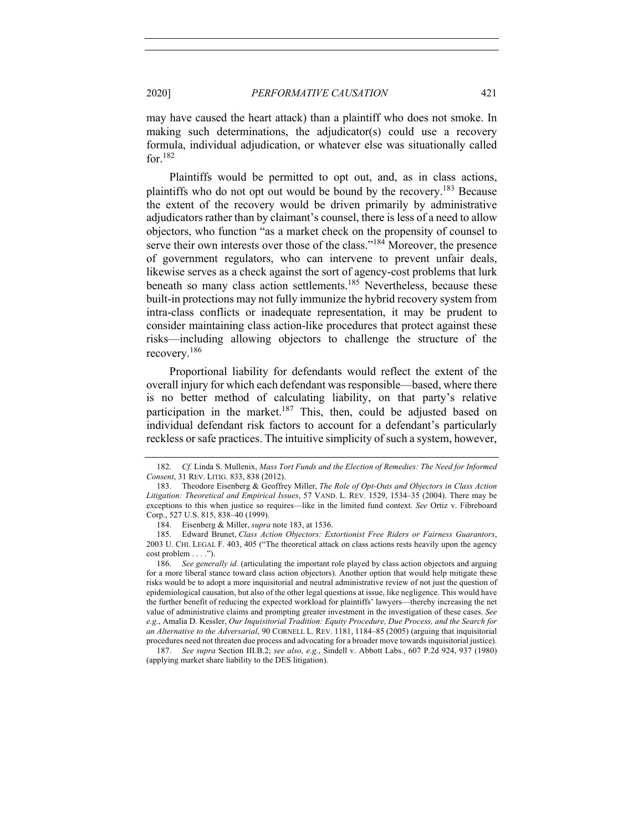may have caused the heart attack) than a plaintiff who does not smoke. In making such determinations, the adjudicator(s) could use a recovery formula, individual adjudication, or whatever else was situationally called for.<sup>182</sup>

Plaintiffs would be permitted to opt out, and, as in class actions, plaintiffs who do not opt out would be bound by the recovery.183 Because the extent of the recovery would be driven primarily by administrative adjudicators rather than by claimant's counsel, there is less of a need to allow objectors, who function "as a market check on the propensity of counsel to serve their own interests over those of the class."<sup>184</sup> Moreover, the presence of government regulators, who can intervene to prevent unfair deals, likewise serves as a check against the sort of agency-cost problems that lurk beneath so many class action settlements.<sup>185</sup> Nevertheless, because these built-in protections may not fully immunize the hybrid recovery system from intra-class conflicts or inadequate representation, it may be prudent to consider maintaining class action-like procedures that protect against these risks—including allowing objectors to challenge the structure of the recovery.<sup>186</sup>

Proportional liability for defendants would reflect the extent of the overall injury for which each defendant was responsible—based, where there is no better method of calculating liability, on that party's relative participation in the market.<sup>187</sup> This, then, could be adjusted based on individual defendant risk factors to account for a defendant's particularly reckless or safe practices. The intuitive simplicity of such a system, however,

<sup>182.</sup> *Cf.* Linda S. Mullenix, *Mass Tort Funds and the Election of Remedies: The Need for Informed Consent*, 31 REV. LITIG. 833, 838 (2012).

<sup>183.</sup> Theodore Eisenberg & Geoffrey Miller, *The Role of Opt-Outs and Objectors in Class Action Litigation: Theoretical and Empirical Issues*, 57 VAND. L. REV. 1529, 1534–35 (2004). There may be exceptions to this when justice so requires—like in the limited fund context. *See* Ortiz v. Fibreboard Corp., 527 U.S. 815, 838–40 (1999).

<sup>184.</sup> Eisenberg & Miller, *supra* note 183, at 1536.

<sup>185.</sup> Edward Brunet, *Class Action Objectors: Extortionist Free Riders or Fairness Guarantors*, 2003 U. CHI. LEGAL F. 403, 405 ("The theoretical attack on class actions rests heavily upon the agency cost problem . . . .").

<sup>186.</sup> *See generally id.* (articulating the important role played by class action objectors and arguing for a more liberal stance toward class action objectors). Another option that would help mitigate these risks would be to adopt a more inquisitorial and neutral administrative review of not just the question of epidemiological causation, but also of the other legal questions at issue, like negligence. This would have the further benefit of reducing the expected workload for plaintiffs' lawyers—thereby increasing the net value of administrative claims and prompting greater investment in the investigation of these cases. *See e.g.*, Amalia D. Kessler, *Our Inquisitorial Tradition: Equity Procedure, Due Process, and the Search for an Alternative to the Adversarial*, 90 CORNELL L. REV. 1181, 1184–85 (2005) (arguing that inquisitorial procedures need not threaten due process and advocating for a broader move towards inquisitorial justice).

<sup>187.</sup> *See supra* Section III.B.2; *see also, e.g.*, Sindell v. Abbott Labs., 607 P.2d 924, 937 (1980) (applying market share liability to the DES litigation).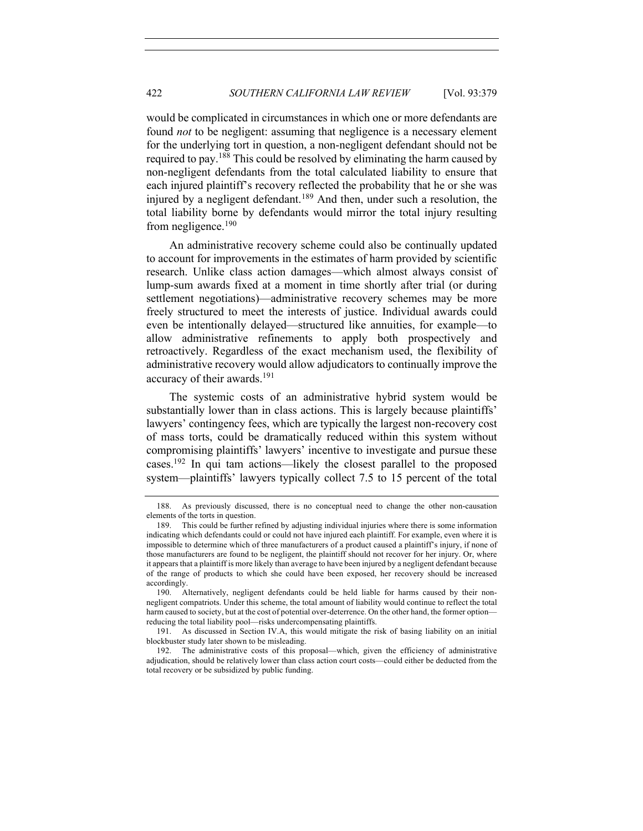would be complicated in circumstances in which one or more defendants are found *not* to be negligent: assuming that negligence is a necessary element for the underlying tort in question, a non-negligent defendant should not be required to pay.<sup>188</sup> This could be resolved by eliminating the harm caused by non-negligent defendants from the total calculated liability to ensure that each injured plaintiff's recovery reflected the probability that he or she was injured by a negligent defendant.<sup>189</sup> And then, under such a resolution, the total liability borne by defendants would mirror the total injury resulting from negligence.<sup>190</sup>

An administrative recovery scheme could also be continually updated to account for improvements in the estimates of harm provided by scientific research. Unlike class action damages—which almost always consist of lump-sum awards fixed at a moment in time shortly after trial (or during settlement negotiations)—administrative recovery schemes may be more freely structured to meet the interests of justice. Individual awards could even be intentionally delayed—structured like annuities, for example—to allow administrative refinements to apply both prospectively and retroactively. Regardless of the exact mechanism used, the flexibility of administrative recovery would allow adjudicators to continually improve the accuracy of their awards.<sup>191</sup>

The systemic costs of an administrative hybrid system would be substantially lower than in class actions. This is largely because plaintiffs' lawyers' contingency fees, which are typically the largest non-recovery cost of mass torts, could be dramatically reduced within this system without compromising plaintiffs' lawyers' incentive to investigate and pursue these cases.192 In qui tam actions—likely the closest parallel to the proposed system—plaintiffs' lawyers typically collect 7.5 to 15 percent of the total

191. As discussed in Section IV.A, this would mitigate the risk of basing liability on an initial blockbuster study later shown to be misleading.

<sup>188.</sup> As previously discussed, there is no conceptual need to change the other non-causation elements of the torts in question.

<sup>189.</sup> This could be further refined by adjusting individual injuries where there is some information indicating which defendants could or could not have injured each plaintiff. For example, even where it is impossible to determine which of three manufacturers of a product caused a plaintiff's injury, if none of those manufacturers are found to be negligent, the plaintiff should not recover for her injury. Or, where it appears that a plaintiff is more likely than average to have been injured by a negligent defendant because of the range of products to which she could have been exposed, her recovery should be increased accordingly.

<sup>190.</sup> Alternatively, negligent defendants could be held liable for harms caused by their nonnegligent compatriots. Under this scheme, the total amount of liability would continue to reflect the total harm caused to society, but at the cost of potential over-deterrence. On the other hand, the former option reducing the total liability pool—risks undercompensating plaintiffs.

<sup>192.</sup> The administrative costs of this proposal—which, given the efficiency of administrative adjudication, should be relatively lower than class action court costs—could either be deducted from the total recovery or be subsidized by public funding.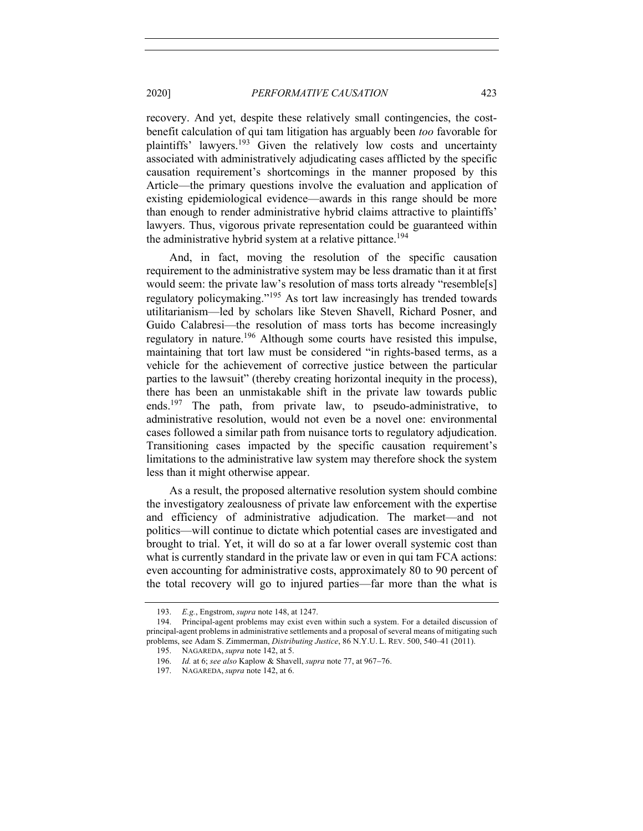recovery. And yet, despite these relatively small contingencies, the costbenefit calculation of qui tam litigation has arguably been *too* favorable for plaintiffs' lawyers.<sup>193</sup> Given the relatively low costs and uncertainty associated with administratively adjudicating cases afflicted by the specific causation requirement's shortcomings in the manner proposed by this Article—the primary questions involve the evaluation and application of existing epidemiological evidence—awards in this range should be more than enough to render administrative hybrid claims attractive to plaintiffs' lawyers. Thus, vigorous private representation could be guaranteed within the administrative hybrid system at a relative pittance.<sup>194</sup>

And, in fact, moving the resolution of the specific causation requirement to the administrative system may be less dramatic than it at first would seem: the private law's resolution of mass torts already "resemble[s] regulatory policymaking."<sup>195</sup> As tort law increasingly has trended towards utilitarianism—led by scholars like Steven Shavell, Richard Posner, and Guido Calabresi—the resolution of mass torts has become increasingly regulatory in nature.<sup>196</sup> Although some courts have resisted this impulse, maintaining that tort law must be considered "in rights-based terms, as a vehicle for the achievement of corrective justice between the particular parties to the lawsuit" (thereby creating horizontal inequity in the process), there has been an unmistakable shift in the private law towards public ends.197 The path, from private law, to pseudo-administrative, to administrative resolution, would not even be a novel one: environmental cases followed a similar path from nuisance torts to regulatory adjudication. Transitioning cases impacted by the specific causation requirement's limitations to the administrative law system may therefore shock the system less than it might otherwise appear.

As a result, the proposed alternative resolution system should combine the investigatory zealousness of private law enforcement with the expertise and efficiency of administrative adjudication. The market—and not politics—will continue to dictate which potential cases are investigated and brought to trial. Yet, it will do so at a far lower overall systemic cost than what is currently standard in the private law or even in qui tam FCA actions: even accounting for administrative costs, approximately 80 to 90 percent of the total recovery will go to injured parties—far more than the what is

<sup>193.</sup> *E.g.*, Engstrom, *supra* note 148, at 1247.

<sup>194.</sup> Principal-agent problems may exist even within such a system. For a detailed discussion of principal-agent problems in administrative settlements and a proposal of several means of mitigating such problems, see Adam S. Zimmerman, *Distributing Justice*, 86 N.Y.U. L. REV. 500, 540–41 (2011).

<sup>195.</sup> NAGAREDA, *supra* note 142, at 5.

<sup>196.</sup> *Id.* at 6; *see also* Kaplow & Shavell, *supra* note 77, at 967-76.

<sup>197.</sup> NAGAREDA, *supra* note 142, at 6.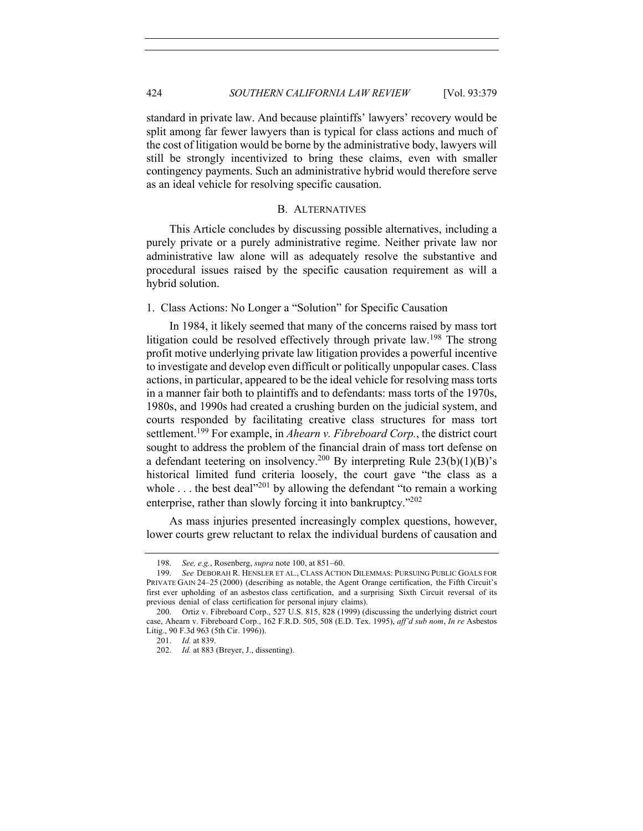standard in private law. And because plaintiffs' lawyers' recovery would be split among far fewer lawyers than is typical for class actions and much of the cost of litigation would be borne by the administrative body, lawyers will still be strongly incentivized to bring these claims, even with smaller contingency payments. Such an administrative hybrid would therefore serve as an ideal vehicle for resolving specific causation.

#### B. ALTERNATIVES

This Article concludes by discussing possible alternatives, including a purely private or a purely administrative regime. Neither private law nor administrative law alone will as adequately resolve the substantive and procedural issues raised by the specific causation requirement as will a hybrid solution.

1. Class Actions: No Longer a "Solution" for Specific Causation

In 1984, it likely seemed that many of the concerns raised by mass tort litigation could be resolved effectively through private law.<sup>198</sup> The strong profit motive underlying private law litigation provides a powerful incentive to investigate and develop even difficult or politically unpopular cases. Class actions, in particular, appeared to be the ideal vehicle for resolving mass torts in a manner fair both to plaintiffs and to defendants: mass torts of the 1970s, 1980s, and 1990s had created a crushing burden on the judicial system, and courts responded by facilitating creative class structures for mass tort settlement.<sup>199</sup> For example, in *Ahearn v. Fibreboard Corp.*, the district court sought to address the problem of the financial drain of mass tort defense on a defendant teetering on insolvency.<sup>200</sup> By interpreting Rule  $23(b)(1)(B)$ 's historical limited fund criteria loosely, the court gave "the class as a whole  $\dots$  the best deal"<sup>201</sup> by allowing the defendant "to remain a working" enterprise, rather than slowly forcing it into bankruptcy."202

As mass injuries presented increasingly complex questions, however, lower courts grew reluctant to relax the individual burdens of causation and

<sup>198.</sup> *See, e.g.*, Rosenberg, *supra* note 100, at 851-60.

<sup>199.</sup> *See* DEBORAH R. HENSLER ET AL., CLASS ACTION DILEMMAS: PURSUING PUBLIC GOALS FOR PRIVATE GAIN 24–25 (2000) (describing as notable, the Agent Orange certification, the Fifth Circuit's first ever upholding of an asbestos class certification, and a surprising Sixth Circuit reversal of its previous denial of class certification for personal injury claims).

<sup>200.</sup> Ortiz v. Fibreboard Corp., 527 U.S. 815, 828 (1999) (discussing the underlying district court case, Ahearn v. Fibreboard Corp., 162 F.R.D. 505, 508 (E.D. Tex. 1995), *aff'd sub nom*, *In re* Asbestos Litig., 90 F.3d 963 (5th Cir. 1996)).

<sup>201.</sup> *Id.* at 839.

<sup>202.</sup> *Id.* at 883 (Breyer, J., dissenting).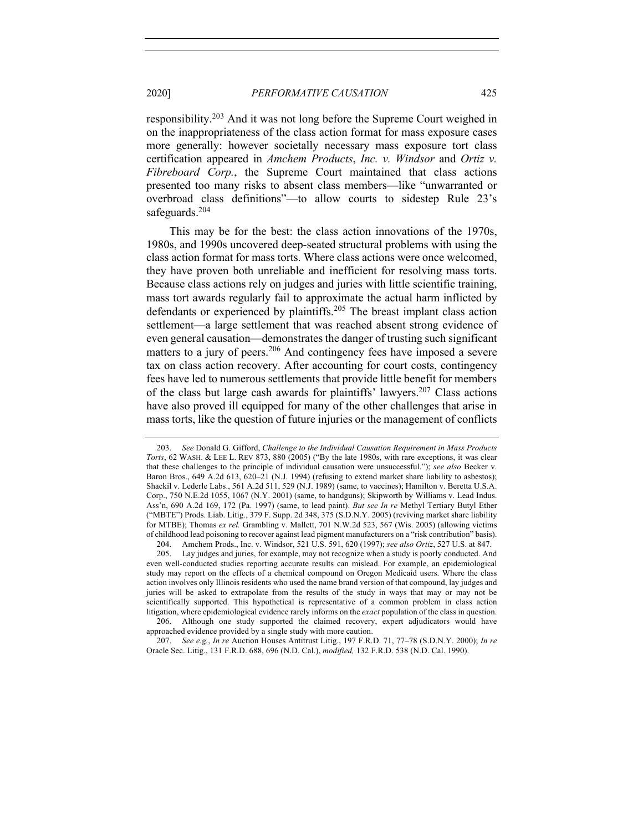responsibility.203 And it was not long before the Supreme Court weighed in on the inappropriateness of the class action format for mass exposure cases more generally: however societally necessary mass exposure tort class certification appeared in *Amchem Products*, *Inc. v. Windsor* and *Ortiz v. Fibreboard Corp.*, the Supreme Court maintained that class actions presented too many risks to absent class members—like "unwarranted or overbroad class definitions"—to allow courts to sidestep Rule 23's safeguards.<sup>204</sup>

This may be for the best: the class action innovations of the 1970s, 1980s, and 1990s uncovered deep-seated structural problems with using the class action format for mass torts. Where class actions were once welcomed, they have proven both unreliable and inefficient for resolving mass torts. Because class actions rely on judges and juries with little scientific training, mass tort awards regularly fail to approximate the actual harm inflicted by defendants or experienced by plaintiffs.<sup>205</sup> The breast implant class action settlement—a large settlement that was reached absent strong evidence of even general causation—demonstrates the danger of trusting such significant matters to a jury of peers.<sup>206</sup> And contingency fees have imposed a severe tax on class action recovery. After accounting for court costs, contingency fees have led to numerous settlements that provide little benefit for members of the class but large cash awards for plaintiffs' lawyers. <sup>207</sup> Class actions have also proved ill equipped for many of the other challenges that arise in mass torts, like the question of future injuries or the management of conflicts

204. Amchem Prods., Inc. v. Windsor, 521 U.S. 591, 620 (1997); *see also Ortiz*, 527 U.S. at 847.

205. Lay judges and juries, for example, may not recognize when a study is poorly conducted. And even well-conducted studies reporting accurate results can mislead. For example, an epidemiological study may report on the effects of a chemical compound on Oregon Medicaid users. Where the class action involves only Illinois residents who used the name brand version of that compound, lay judges and juries will be asked to extrapolate from the results of the study in ways that may or may not be scientifically supported. This hypothetical is representative of a common problem in class action litigation, where epidemiological evidence rarely informs on the *exact* population of the class in question.

206. Although one study supported the claimed recovery, expert adjudicators would have approached evidence provided by a single study with more caution.

207. *See e.g.*, *In re* Auction Houses Antitrust Litig., 197 F.R.D. 71, 77–78 (S.D.N.Y. 2000); *In re* Oracle Sec. Litig., 131 F.R.D. 688, 696 (N.D. Cal.), *modified,* 132 F.R.D. 538 (N.D. Cal. 1990).

<sup>203.</sup> *See* Donald G. Gifford, *Challenge to the Individual Causation Requirement in Mass Products Torts*, 62 WASH. & LEE L. REV 873, 880 (2005) ("By the late 1980s, with rare exceptions, it was clear that these challenges to the principle of individual causation were unsuccessful."); *see also* Becker v. Baron Bros., 649 A.2d 613, 620–21 (N.J. 1994) (refusing to extend market share liability to asbestos); Shackil v. Lederle Labs., 561 A.2d 511, 529 (N.J. 1989) (same, to vaccines); Hamilton v. Beretta U.S.A. Corp., 750 N.E.2d 1055, 1067 (N.Y. 2001) (same, to handguns); Skipworth by Williams v. Lead Indus. Ass'n, 690 A.2d 169, 172 (Pa. 1997) (same, to lead paint). *But see In re* Methyl Tertiary Butyl Ether ("MBTE") Prods. Liab. Litig., 379 F. Supp. 2d 348, 375 (S.D.N.Y. 2005) (reviving market share liability for MTBE); Thomas *ex rel.* Grambling v. Mallett, 701 N.W.2d 523, 567 (Wis. 2005) (allowing victims of childhood lead poisoning to recover against lead pigment manufacturers on a "risk contribution" basis).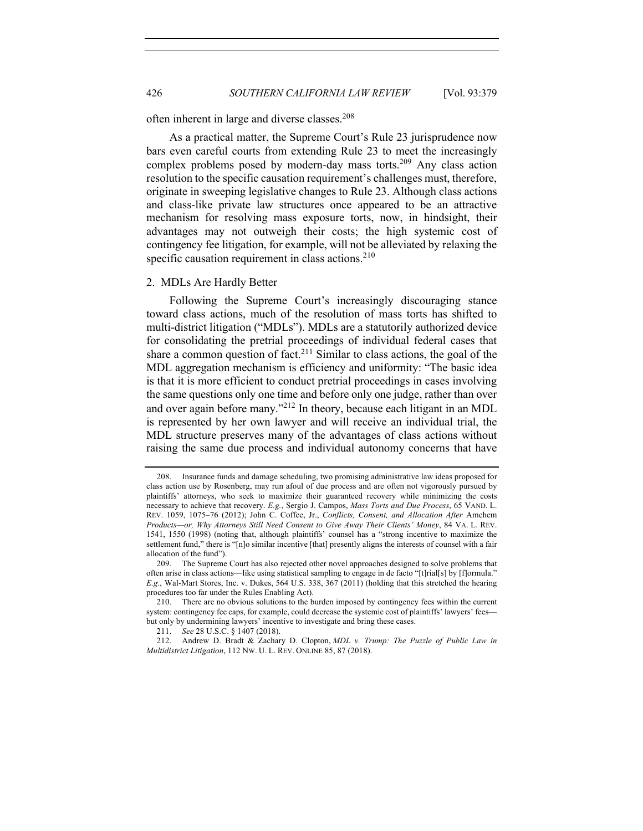often inherent in large and diverse classes.<sup>208</sup>

As a practical matter, the Supreme Court's Rule 23 jurisprudence now bars even careful courts from extending Rule 23 to meet the increasingly complex problems posed by modern-day mass torts.<sup>209</sup> Any class action resolution to the specific causation requirement's challenges must, therefore, originate in sweeping legislative changes to Rule 23. Although class actions and class-like private law structures once appeared to be an attractive mechanism for resolving mass exposure torts, now, in hindsight, their advantages may not outweigh their costs; the high systemic cost of contingency fee litigation, for example, will not be alleviated by relaxing the specific causation requirement in class actions. $2^{10}$ 

## 2. MDLs Are Hardly Better

Following the Supreme Court's increasingly discouraging stance toward class actions, much of the resolution of mass torts has shifted to multi-district litigation ("MDLs"). MDLs are a statutorily authorized device for consolidating the pretrial proceedings of individual federal cases that share a common question of fact.<sup>211</sup> Similar to class actions, the goal of the MDL aggregation mechanism is efficiency and uniformity: "The basic idea is that it is more efficient to conduct pretrial proceedings in cases involving the same questions only one time and before only one judge, rather than over and over again before many."212 In theory, because each litigant in an MDL is represented by her own lawyer and will receive an individual trial, the MDL structure preserves many of the advantages of class actions without raising the same due process and individual autonomy concerns that have

<sup>208.</sup> Insurance funds and damage scheduling, two promising administrative law ideas proposed for class action use by Rosenberg, may run afoul of due process and are often not vigorously pursued by plaintiffs' attorneys, who seek to maximize their guaranteed recovery while minimizing the costs necessary to achieve that recovery. *E.g.*, Sergio J. Campos, *Mass Torts and Due Process*, 65 VAND. L. REV. 1059, 1075–76 (2012); John C. Coffee, Jr., *Conflicts, Consent, and Allocation After* Amchem *Products—or, Why Attorneys Still Need Consent to Give Away Their Clients' Money*, 84 VA. L. REV. 1541, 1550 (1998) (noting that, although plaintiffs' counsel has a "strong incentive to maximize the settlement fund," there is "[n]o similar incentive [that] presently aligns the interests of counsel with a fair allocation of the fund").

<sup>209.</sup> The Supreme Court has also rejected other novel approaches designed to solve problems that often arise in class actions—like using statistical sampling to engage in de facto "[t]rial[s] by [f]ormula." *E.g*., Wal-Mart Stores, Inc. v. Dukes, 564 U.S. 338, 367 (2011) (holding that this stretched the hearing procedures too far under the Rules Enabling Act).

<sup>210.</sup> There are no obvious solutions to the burden imposed by contingency fees within the current system: contingency fee caps, for example, could decrease the systemic cost of plaintiffs' lawyers' feesbut only by undermining lawyers' incentive to investigate and bring these cases.

<sup>211.</sup> *See* 28 U.S.C. § 1407 (2018).

<sup>212.</sup> Andrew D. Bradt & Zachary D. Clopton, *MDL v. Trump: The Puzzle of Public Law in Multidistrict Litigation*, 112 NW. U. L. REV. ONLINE 85, 87 (2018).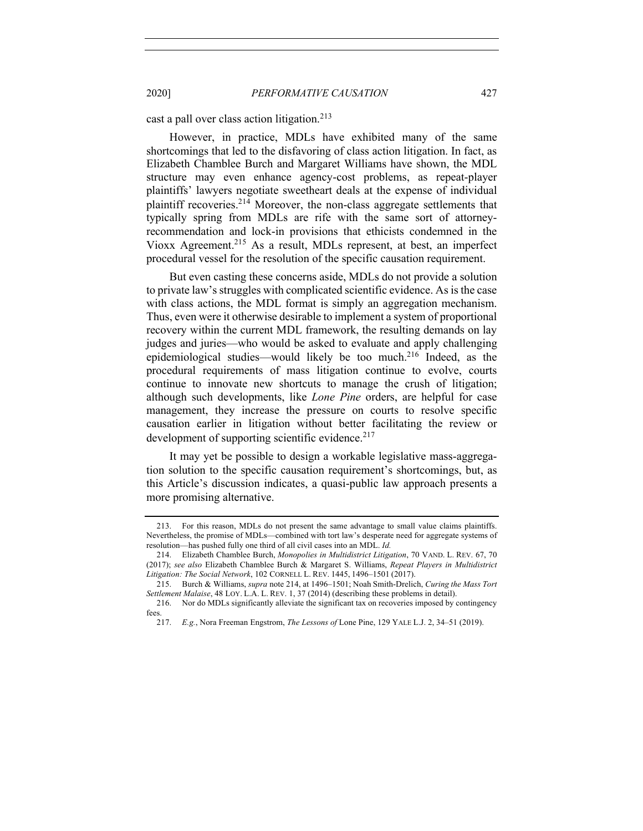cast a pall over class action litigation.<sup>213</sup>

However, in practice, MDLs have exhibited many of the same shortcomings that led to the disfavoring of class action litigation. In fact, as Elizabeth Chamblee Burch and Margaret Williams have shown, the MDL structure may even enhance agency-cost problems, as repeat-player plaintiffs' lawyers negotiate sweetheart deals at the expense of individual plaintiff recoveries.<sup>214</sup> Moreover, the non-class aggregate settlements that typically spring from MDLs are rife with the same sort of attorneyrecommendation and lock-in provisions that ethicists condemned in the Vioxx Agreement.215 As a result, MDLs represent, at best, an imperfect procedural vessel for the resolution of the specific causation requirement.

But even casting these concerns aside, MDLs do not provide a solution to private law's struggles with complicated scientific evidence. As is the case with class actions, the MDL format is simply an aggregation mechanism. Thus, even were it otherwise desirable to implement a system of proportional recovery within the current MDL framework, the resulting demands on lay judges and juries—who would be asked to evaluate and apply challenging epidemiological studies—would likely be too much.216 Indeed, as the procedural requirements of mass litigation continue to evolve, courts continue to innovate new shortcuts to manage the crush of litigation; although such developments, like *Lone Pine* orders, are helpful for case management, they increase the pressure on courts to resolve specific causation earlier in litigation without better facilitating the review or development of supporting scientific evidence. $2^{17}$ 

It may yet be possible to design a workable legislative mass-aggregation solution to the specific causation requirement's shortcomings, but, as this Article's discussion indicates, a quasi-public law approach presents a more promising alternative.

<sup>213.</sup> For this reason, MDLs do not present the same advantage to small value claims plaintiffs. Nevertheless, the promise of MDLs—combined with tort law's desperate need for aggregate systems of resolution—has pushed fully one third of all civil cases into an MDL. *Id.*

<sup>214.</sup> Elizabeth Chamblee Burch, *Monopolies in Multidistrict Litigation*, 70 VAND. L. REV. 67, 70 (2017); *see also* Elizabeth Chamblee Burch & Margaret S. Williams, *Repeat Players in Multidistrict Litigation: The Social Network*, 102 CORNELL L. REV. 1445, 1496–1501 (2017).

<sup>215.</sup> Burch & Williams, *supra* note 214, at 1496–1501; Noah Smith-Drelich, *Curing the Mass Tort Settlement Malaise*, 48 LOY. L.A. L. REV. 1, 37 (2014) (describing these problems in detail).

<sup>216.</sup> Nor do MDLs significantly alleviate the significant tax on recoveries imposed by contingency fees.

<sup>217.</sup> *E.g.*, Nora Freeman Engstrom, *The Lessons of* Lone Pine, 129 YALE L.J. 2, 34–51 (2019).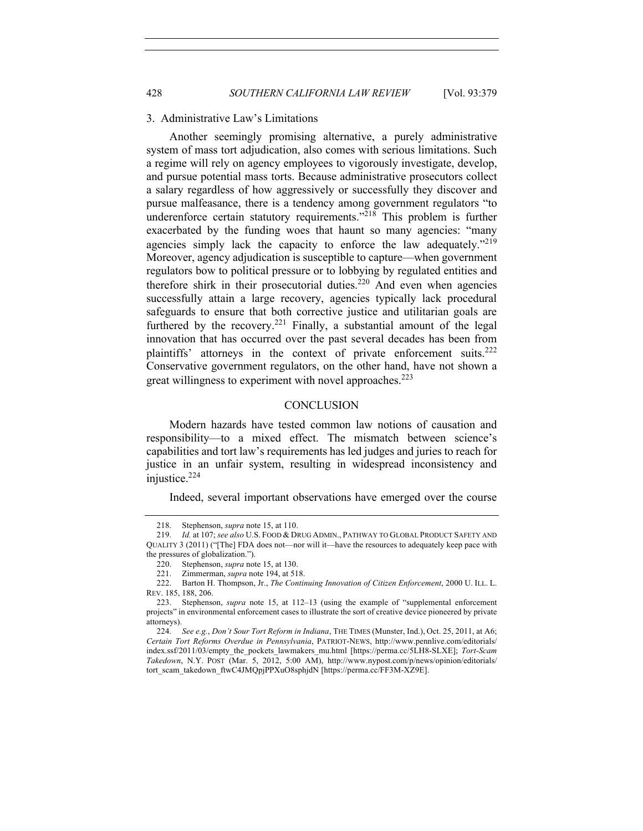## 3. Administrative Law's Limitations

Another seemingly promising alternative, a purely administrative system of mass tort adjudication, also comes with serious limitations. Such a regime will rely on agency employees to vigorously investigate, develop, and pursue potential mass torts. Because administrative prosecutors collect a salary regardless of how aggressively or successfully they discover and pursue malfeasance, there is a tendency among government regulators "to underenforce certain statutory requirements."218 This problem is further exacerbated by the funding woes that haunt so many agencies: "many agencies simply lack the capacity to enforce the law adequately."<sup>219</sup> Moreover, agency adjudication is susceptible to capture—when government regulators bow to political pressure or to lobbying by regulated entities and therefore shirk in their prosecutorial duties.<sup>220</sup> And even when agencies successfully attain a large recovery, agencies typically lack procedural safeguards to ensure that both corrective justice and utilitarian goals are furthered by the recovery.<sup>221</sup> Finally, a substantial amount of the legal innovation that has occurred over the past several decades has been from plaintiffs' attorneys in the context of private enforcement suits.<sup>222</sup> Conservative government regulators, on the other hand, have not shown a great willingness to experiment with novel approaches.<sup>223</sup>

# **CONCLUSION**

Modern hazards have tested common law notions of causation and responsibility—to a mixed effect. The mismatch between science's capabilities and tort law's requirements has led judges and juries to reach for justice in an unfair system, resulting in widespread inconsistency and injustice.<sup>224</sup>

Indeed, several important observations have emerged over the course

<sup>218.</sup> Stephenson, *supra* note 15, at 110.

<sup>219.</sup> *Id.* at 107; *see also* U.S. FOOD & DRUG ADMIN., PATHWAY TO GLOBAL PRODUCT SAFETY AND QUALITY 3 (2011) ("[The] FDA does not—nor will it—have the resources to adequately keep pace with the pressures of globalization.").

<sup>220.</sup> Stephenson, *supra* note 15, at 130.

<sup>221.</sup> Zimmerman, *supra* note 194, at 518.

<sup>222.</sup> Barton H. Thompson, Jr., *The Continuing Innovation of Citizen Enforcement*, 2000 U. ILL. L. REV. 185, 188, 206.

<sup>223.</sup> Stephenson, *supra* note 15, at 112–13 (using the example of "supplemental enforcement projects" in environmental enforcement cases to illustrate the sort of creative device pioneered by private attorneys).

<sup>224.</sup> *See e.g.*, *Don't Sour Tort Reform in Indiana*, THE TIMES (Munster, Ind.), Oct. 25, 2011, at A6; *Certain Tort Reforms Overdue in Pennsylvania*, PATRIOT-NEWS, http://www.pennlive.com/editorials/ index.ssf/2011/03/empty\_the\_pockets\_lawmakers\_mu.html [https://perma.cc/5LH8-SLXE]; *Tort-Scam Takedown*, N.Y. POST (Mar. 5, 2012, 5:00 AM), http://www.nypost.com/p/news/opinion/editorials/ tort\_scam\_takedown\_ftwC4JMQpjPPXuO8sphjdN [https://perma.cc/FF3M-XZ9E].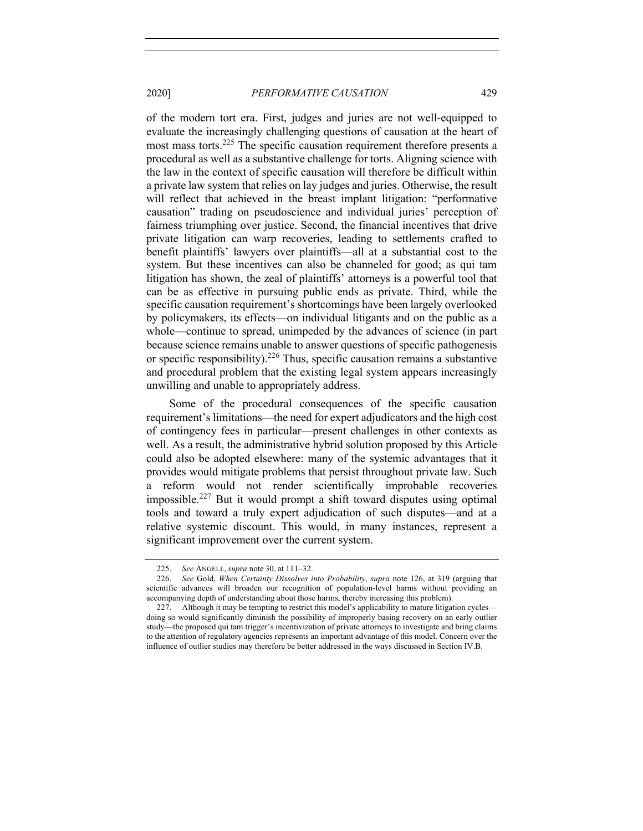of the modern tort era. First, judges and juries are not well-equipped to evaluate the increasingly challenging questions of causation at the heart of most mass torts.<sup>225</sup> The specific causation requirement therefore presents a procedural as well as a substantive challenge for torts. Aligning science with the law in the context of specific causation will therefore be difficult within a private law system that relies on lay judges and juries. Otherwise, the result will reflect that achieved in the breast implant litigation: "performative causation" trading on pseudoscience and individual juries' perception of fairness triumphing over justice. Second, the financial incentives that drive private litigation can warp recoveries, leading to settlements crafted to benefit plaintiffs' lawyers over plaintiffs—all at a substantial cost to the system. But these incentives can also be channeled for good; as qui tam litigation has shown, the zeal of plaintiffs' attorneys is a powerful tool that can be as effective in pursuing public ends as private. Third, while the specific causation requirement's shortcomings have been largely overlooked by policymakers, its effects—on individual litigants and on the public as a whole—continue to spread, unimpeded by the advances of science (in part because science remains unable to answer questions of specific pathogenesis or specific responsibility).226 Thus, specific causation remains a substantive and procedural problem that the existing legal system appears increasingly unwilling and unable to appropriately address.

Some of the procedural consequences of the specific causation requirement's limitations—the need for expert adjudicators and the high cost of contingency fees in particular—present challenges in other contexts as well. As a result, the administrative hybrid solution proposed by this Article could also be adopted elsewhere: many of the systemic advantages that it provides would mitigate problems that persist throughout private law. Such a reform would not render scientifically improbable recoveries impossible.227 But it would prompt a shift toward disputes using optimal tools and toward a truly expert adjudication of such disputes—and at a relative systemic discount. This would, in many instances, represent a significant improvement over the current system.

<sup>225.</sup> *See* ANGELL, *supra* note 30, at 111–32.

<sup>226.</sup> *See* Gold, *When Certainty Dissolves into Probability*, *supra* note 126, at 319 (arguing that scientific advances will broaden our recognition of population-level harms without providing an accompanying depth of understanding about those harms, thereby increasing this problem).

<sup>227.</sup> Although it may be tempting to restrict this model's applicability to mature litigation cycles doing so would significantly diminish the possibility of improperly basing recovery on an early outlier study—the proposed qui tam trigger's incentivization of private attorneys to investigate and bring claims to the attention of regulatory agencies represents an important advantage of this model. Concern over the influence of outlier studies may therefore be better addressed in the ways discussed in Section IV.B.